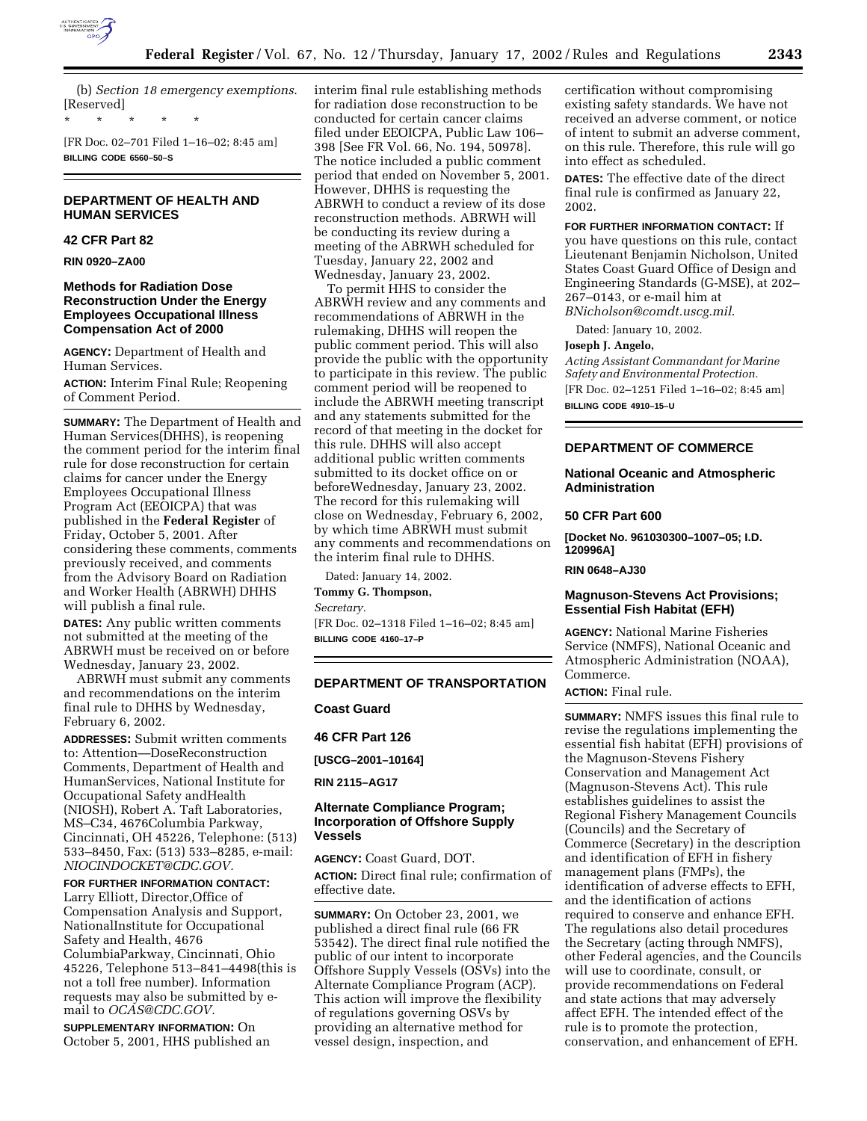

(b) *Section 18 emergency exemptions*. [Reserved]

[FR Doc. 02–701 Filed 1–16–02; 8:45 am] **BILLING CODE 6560–50–S**

\* \* \* \* \*

# **DEPARTMENT OF HEALTH AND HUMAN SERVICES**

# **42 CFR Part 82**

**RIN 0920–ZA00**

## **Methods for Radiation Dose Reconstruction Under the Energy Employees Occupational Illness Compensation Act of 2000**

**AGENCY:** Department of Health and Human Services.

**ACTION:** Interim Final Rule; Reopening of Comment Period.

**SUMMARY:** The Department of Health and Human Services(DHHS), is reopening the comment period for the interim final rule for dose reconstruction for certain claims for cancer under the Energy Employees Occupational Illness Program Act (EEOICPA) that was published in the **Federal Register** of Friday, October 5, 2001. After considering these comments, comments previously received, and comments from the Advisory Board on Radiation and Worker Health (ABRWH) DHHS will publish a final rule.

**DATES:** Any public written comments not submitted at the meeting of the ABRWH must be received on or before Wednesday, January 23, 2002.

ABRWH must submit any comments and recommendations on the interim final rule to DHHS by Wednesday, February 6, 2002.

**ADDRESSES:** Submit written comments to: Attention—DoseReconstruction Comments, Department of Health and HumanServices, National Institute for Occupational Safety andHealth (NIOSH), Robert A. Taft Laboratories, MS–C34, 4676Columbia Parkway, Cincinnati, OH 45226, Telephone: (513) 533–8450, Fax: (513) 533–8285, e-mail: *NIOCINDOCKET@CDC.GOV.*

# **FOR FURTHER INFORMATION CONTACT:**

Larry Elliott, Director,Office of Compensation Analysis and Support, NationalInstitute for Occupational Safety and Health, 4676 ColumbiaParkway, Cincinnati, Ohio 45226, Telephone 513–841–4498(this is not a toll free number). Information requests may also be submitted by email to *OCAS@CDC.GOV.*

**SUPPLEMENTARY INFORMATION:** On October 5, 2001, HHS published an interim final rule establishing methods for radiation dose reconstruction to be conducted for certain cancer claims filed under EEOICPA, Public Law 106– 398 [See FR Vol. 66, No. 194, 50978]. The notice included a public comment period that ended on November 5, 2001. However, DHHS is requesting the ABRWH to conduct a review of its dose reconstruction methods. ABRWH will be conducting its review during a meeting of the ABRWH scheduled for Tuesday, January 22, 2002 and Wednesday, January 23, 2002.

To permit HHS to consider the ABRWH review and any comments and recommendations of ABRWH in the rulemaking, DHHS will reopen the public comment period. This will also provide the public with the opportunity to participate in this review. The public comment period will be reopened to include the ABRWH meeting transcript and any statements submitted for the record of that meeting in the docket for this rule. DHHS will also accept additional public written comments submitted to its docket office on or beforeWednesday, January 23, 2002. The record for this rulemaking will close on Wednesday, February 6, 2002, by which time ABRWH must submit any comments and recommendations on the interim final rule to DHHS.

Dated: January 14, 2002. **Tommy G. Thompson,**

*Secretary.*

[FR Doc. 02–1318 Filed 1–16–02; 8:45 am] **BILLING CODE 4160–17–P**

## **DEPARTMENT OF TRANSPORTATION**

**Coast Guard**

**46 CFR Part 126**

**[USCG–2001–10164]**

**RIN 2115–AG17**

# **Alternate Compliance Program; Incorporation of Offshore Supply Vessels**

**AGENCY:** Coast Guard, DOT. **ACTION:** Direct final rule; confirmation of effective date.

**SUMMARY:** On October 23, 2001, we published a direct final rule (66 FR 53542). The direct final rule notified the public of our intent to incorporate Offshore Supply Vessels (OSVs) into the Alternate Compliance Program (ACP). This action will improve the flexibility of regulations governing OSVs by providing an alternative method for vessel design, inspection, and

certification without compromising existing safety standards. We have not received an adverse comment, or notice of intent to submit an adverse comment, on this rule. Therefore, this rule will go into effect as scheduled.

**DATES:** The effective date of the direct final rule is confirmed as January 22, 2002.

### **FOR FURTHER INFORMATION CONTACT:** If

you have questions on this rule, contact Lieutenant Benjamin Nicholson, United States Coast Guard Office of Design and Engineering Standards (G-MSE), at 202– 267–0143, or e-mail him at *BNicholson@comdt.uscg.mil*.

Dated: January 10, 2002.

#### **Joseph J. Angelo,**

*Acting Assistant Commandant for Marine Safety and Environmental Protection.* [FR Doc. 02–1251 Filed 1–16–02; 8:45 am] **BILLING CODE 4910–15–U**

#### **DEPARTMENT OF COMMERCE**

## **National Oceanic and Atmospheric Administration**

# **50 CFR Part 600**

**[Docket No. 961030300–1007–05; I.D. 120996A]**

**RIN 0648–AJ30**

### **Magnuson-Stevens Act Provisions; Essential Fish Habitat (EFH)**

**AGENCY:** National Marine Fisheries Service (NMFS), National Oceanic and Atmospheric Administration (NOAA), Commerce.

**ACTION:** Final rule.

**SUMMARY:** NMFS issues this final rule to revise the regulations implementing the essential fish habitat (EFH) provisions of the Magnuson-Stevens Fishery Conservation and Management Act (Magnuson-Stevens Act). This rule establishes guidelines to assist the Regional Fishery Management Councils (Councils) and the Secretary of Commerce (Secretary) in the description and identification of EFH in fishery management plans (FMPs), the identification of adverse effects to EFH, and the identification of actions required to conserve and enhance EFH. The regulations also detail procedures the Secretary (acting through NMFS), other Federal agencies, and the Councils will use to coordinate, consult, or provide recommendations on Federal and state actions that may adversely affect EFH. The intended effect of the rule is to promote the protection, conservation, and enhancement of EFH.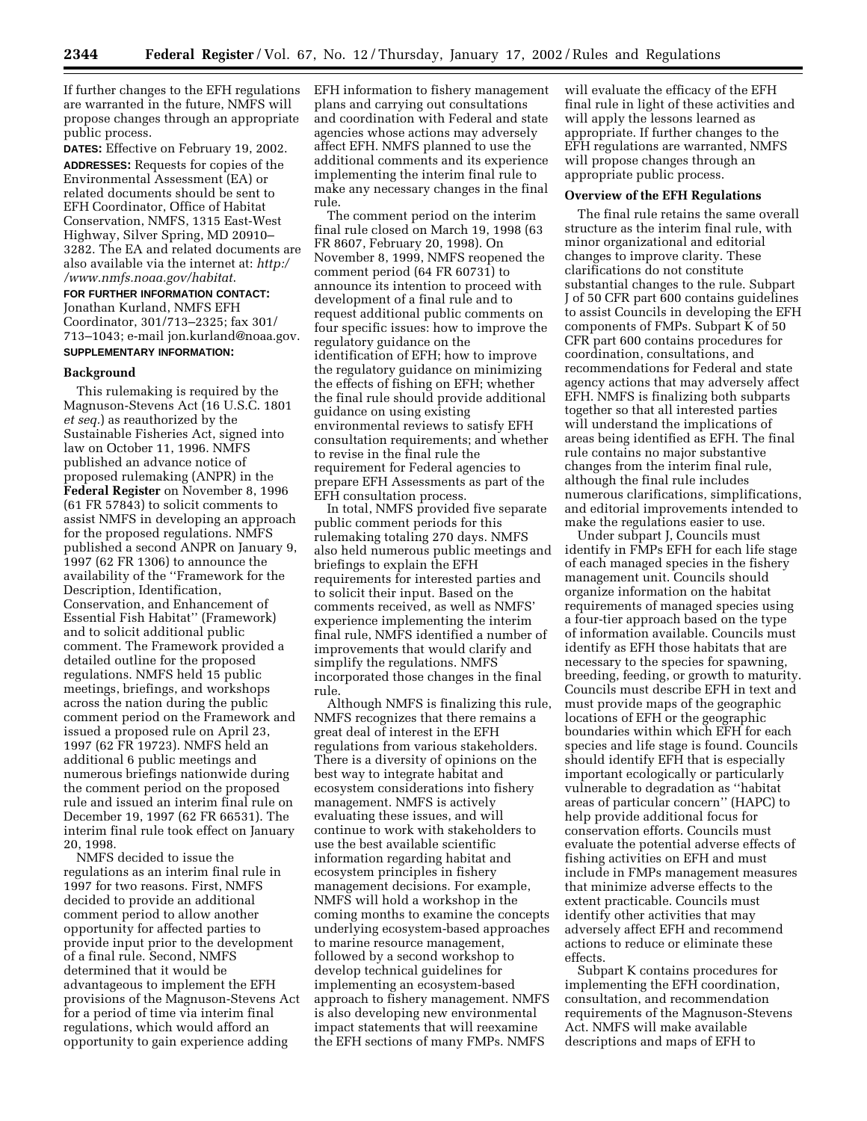If further changes to the EFH regulations are warranted in the future, NMFS will propose changes through an appropriate public process.

**DATES:** Effective on February 19, 2002. **ADDRESSES:** Requests for copies of the Environmental Assessment (EA) or related documents should be sent to EFH Coordinator, Office of Habitat Conservation, NMFS, 1315 East-West Highway, Silver Spring, MD 20910– 3282. The EA and related documents are also available via the internet at: *http:/ /www.nmfs.noaa.gov/habitat*.

# **FOR FURTHER INFORMATION CONTACT:** Jonathan Kurland, NMFS EFH Coordinator, 301/713–2325; fax 301/ 713–1043; e-mail jon.kurland@noaa.gov. **SUPPLEMENTARY INFORMATION:**

#### **Background**

This rulemaking is required by the Magnuson-Stevens Act (16 U.S.C. 1801 *et seq.*) as reauthorized by the Sustainable Fisheries Act, signed into law on October 11, 1996. NMFS published an advance notice of proposed rulemaking (ANPR) in the **Federal Register** on November 8, 1996 (61 FR 57843) to solicit comments to assist NMFS in developing an approach for the proposed regulations. NMFS published a second ANPR on January 9, 1997 (62 FR 1306) to announce the availability of the ''Framework for the Description, Identification, Conservation, and Enhancement of Essential Fish Habitat'' (Framework) and to solicit additional public comment. The Framework provided a detailed outline for the proposed regulations. NMFS held 15 public meetings, briefings, and workshops across the nation during the public comment period on the Framework and issued a proposed rule on April 23, 1997 (62 FR 19723). NMFS held an additional 6 public meetings and numerous briefings nationwide during the comment period on the proposed rule and issued an interim final rule on December 19, 1997 (62 FR 66531). The interim final rule took effect on January 20, 1998.

NMFS decided to issue the regulations as an interim final rule in 1997 for two reasons. First, NMFS decided to provide an additional comment period to allow another opportunity for affected parties to provide input prior to the development of a final rule. Second, NMFS determined that it would be advantageous to implement the EFH provisions of the Magnuson-Stevens Act for a period of time via interim final regulations, which would afford an opportunity to gain experience adding

EFH information to fishery management plans and carrying out consultations and coordination with Federal and state agencies whose actions may adversely affect EFH. NMFS planned to use the additional comments and its experience implementing the interim final rule to make any necessary changes in the final rule.

The comment period on the interim final rule closed on March 19, 1998 (63 FR 8607, February 20, 1998). On November 8, 1999, NMFS reopened the comment period (64 FR 60731) to announce its intention to proceed with development of a final rule and to request additional public comments on four specific issues: how to improve the regulatory guidance on the identification of EFH; how to improve the regulatory guidance on minimizing the effects of fishing on EFH; whether the final rule should provide additional guidance on using existing environmental reviews to satisfy EFH consultation requirements; and whether to revise in the final rule the requirement for Federal agencies to prepare EFH Assessments as part of the EFH consultation process.

In total, NMFS provided five separate public comment periods for this rulemaking totaling 270 days. NMFS also held numerous public meetings and briefings to explain the EFH requirements for interested parties and to solicit their input. Based on the comments received, as well as NMFS' experience implementing the interim final rule, NMFS identified a number of improvements that would clarify and simplify the regulations. NMFS incorporated those changes in the final rule.

Although NMFS is finalizing this rule, NMFS recognizes that there remains a great deal of interest in the EFH regulations from various stakeholders. There is a diversity of opinions on the best way to integrate habitat and ecosystem considerations into fishery management. NMFS is actively evaluating these issues, and will continue to work with stakeholders to use the best available scientific information regarding habitat and ecosystem principles in fishery management decisions. For example, NMFS will hold a workshop in the coming months to examine the concepts underlying ecosystem-based approaches to marine resource management, followed by a second workshop to develop technical guidelines for implementing an ecosystem-based approach to fishery management. NMFS is also developing new environmental impact statements that will reexamine the EFH sections of many FMPs. NMFS

will evaluate the efficacy of the EFH final rule in light of these activities and will apply the lessons learned as appropriate. If further changes to the EFH regulations are warranted, NMFS will propose changes through an appropriate public process.

### **Overview of the EFH Regulations**

The final rule retains the same overall structure as the interim final rule, with minor organizational and editorial changes to improve clarity. These clarifications do not constitute substantial changes to the rule. Subpart J of 50 CFR part 600 contains guidelines to assist Councils in developing the EFH components of FMPs. Subpart K of 50 CFR part 600 contains procedures for coordination, consultations, and recommendations for Federal and state agency actions that may adversely affect EFH. NMFS is finalizing both subparts together so that all interested parties will understand the implications of areas being identified as EFH. The final rule contains no major substantive changes from the interim final rule, although the final rule includes numerous clarifications, simplifications, and editorial improvements intended to make the regulations easier to use.

Under subpart J, Councils must identify in FMPs EFH for each life stage of each managed species in the fishery management unit. Councils should organize information on the habitat requirements of managed species using a four-tier approach based on the type of information available. Councils must identify as EFH those habitats that are necessary to the species for spawning, breeding, feeding, or growth to maturity. Councils must describe EFH in text and must provide maps of the geographic locations of EFH or the geographic boundaries within which EFH for each species and life stage is found. Councils should identify EFH that is especially important ecologically or particularly vulnerable to degradation as ''habitat areas of particular concern'' (HAPC) to help provide additional focus for conservation efforts. Councils must evaluate the potential adverse effects of fishing activities on EFH and must include in FMPs management measures that minimize adverse effects to the extent practicable. Councils must identify other activities that may adversely affect EFH and recommend actions to reduce or eliminate these effects.

Subpart K contains procedures for implementing the EFH coordination, consultation, and recommendation requirements of the Magnuson-Stevens Act. NMFS will make available descriptions and maps of EFH to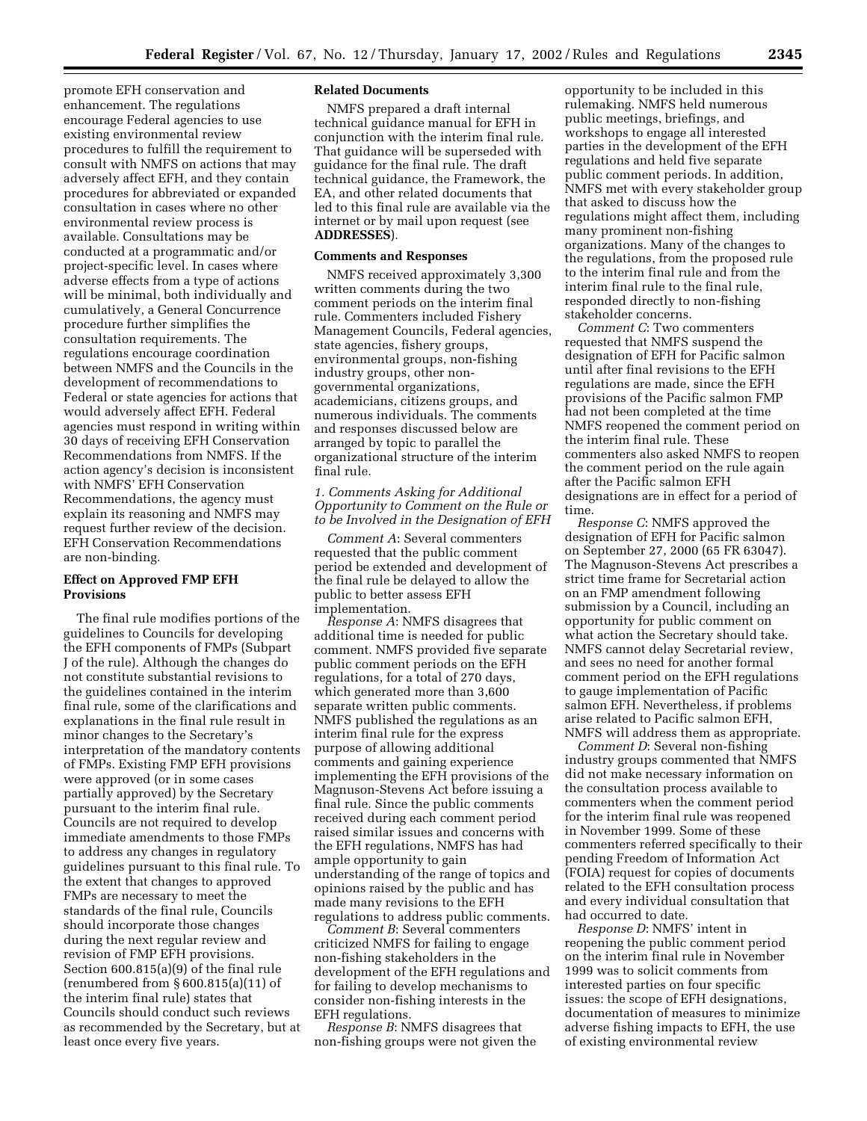promote EFH conservation and enhancement. The regulations encourage Federal agencies to use existing environmental review procedures to fulfill the requirement to consult with NMFS on actions that may adversely affect EFH, and they contain procedures for abbreviated or expanded consultation in cases where no other environmental review process is available. Consultations may be conducted at a programmatic and/or project-specific level. In cases where adverse effects from a type of actions will be minimal, both individually and cumulatively, a General Concurrence procedure further simplifies the consultation requirements. The regulations encourage coordination between NMFS and the Councils in the development of recommendations to Federal or state agencies for actions that would adversely affect EFH. Federal agencies must respond in writing within 30 days of receiving EFH Conservation Recommendations from NMFS. If the action agency's decision is inconsistent with NMFS' EFH Conservation Recommendations, the agency must explain its reasoning and NMFS may request further review of the decision. EFH Conservation Recommendations are non-binding.

# **Effect on Approved FMP EFH Provisions**

The final rule modifies portions of the guidelines to Councils for developing the EFH components of FMPs (Subpart J of the rule). Although the changes do not constitute substantial revisions to the guidelines contained in the interim final rule, some of the clarifications and explanations in the final rule result in minor changes to the Secretary's interpretation of the mandatory contents of FMPs. Existing FMP EFH provisions were approved (or in some cases partially approved) by the Secretary pursuant to the interim final rule. Councils are not required to develop immediate amendments to those FMPs to address any changes in regulatory guidelines pursuant to this final rule. To the extent that changes to approved FMPs are necessary to meet the standards of the final rule, Councils should incorporate those changes during the next regular review and revision of FMP EFH provisions. Section 600.815(a)(9) of the final rule (renumbered from § 600.815(a)(11) of the interim final rule) states that Councils should conduct such reviews as recommended by the Secretary, but at least once every five years.

### **Related Documents**

NMFS prepared a draft internal technical guidance manual for EFH in conjunction with the interim final rule. That guidance will be superseded with guidance for the final rule. The draft technical guidance, the Framework, the EA, and other related documents that led to this final rule are available via the internet or by mail upon request (see **ADDRESSES**).

#### **Comments and Responses**

NMFS received approximately 3,300 written comments during the two comment periods on the interim final rule. Commenters included Fishery Management Councils, Federal agencies, state agencies, fishery groups, environmental groups, non-fishing industry groups, other nongovernmental organizations, academicians, citizens groups, and numerous individuals. The comments and responses discussed below are arranged by topic to parallel the organizational structure of the interim final rule.

### *1. Comments Asking for Additional Opportunity to Comment on the Rule or to be Involved in the Designation of EFH*

*Comment A*: Several commenters requested that the public comment period be extended and development of the final rule be delayed to allow the public to better assess EFH implementation.

*Response A*: NMFS disagrees that additional time is needed for public comment. NMFS provided five separate public comment periods on the EFH regulations, for a total of 270 days, which generated more than 3,600 separate written public comments. NMFS published the regulations as an interim final rule for the express purpose of allowing additional comments and gaining experience implementing the EFH provisions of the Magnuson-Stevens Act before issuing a final rule. Since the public comments received during each comment period raised similar issues and concerns with the EFH regulations, NMFS has had ample opportunity to gain understanding of the range of topics and opinions raised by the public and has made many revisions to the EFH regulations to address public comments.

*Comment B*: Several commenters criticized NMFS for failing to engage non-fishing stakeholders in the development of the EFH regulations and for failing to develop mechanisms to consider non-fishing interests in the EFH regulations.

*Response B*: NMFS disagrees that non-fishing groups were not given the

opportunity to be included in this rulemaking. NMFS held numerous public meetings, briefings, and workshops to engage all interested parties in the development of the EFH regulations and held five separate public comment periods. In addition, NMFS met with every stakeholder group that asked to discuss how the regulations might affect them, including many prominent non-fishing organizations. Many of the changes to the regulations, from the proposed rule to the interim final rule and from the interim final rule to the final rule, responded directly to non-fishing stakeholder concerns.

*Comment C*: Two commenters requested that NMFS suspend the designation of EFH for Pacific salmon until after final revisions to the EFH regulations are made, since the EFH provisions of the Pacific salmon FMP had not been completed at the time NMFS reopened the comment period on the interim final rule. These commenters also asked NMFS to reopen the comment period on the rule again after the Pacific salmon EFH designations are in effect for a period of time.

*Response C*: NMFS approved the designation of EFH for Pacific salmon on September 27, 2000 (65 FR 63047). The Magnuson-Stevens Act prescribes a strict time frame for Secretarial action on an FMP amendment following submission by a Council, including an opportunity for public comment on what action the Secretary should take. NMFS cannot delay Secretarial review, and sees no need for another formal comment period on the EFH regulations to gauge implementation of Pacific salmon EFH. Nevertheless, if problems arise related to Pacific salmon EFH, NMFS will address them as appropriate.

*Comment D*: Several non-fishing industry groups commented that NMFS did not make necessary information on the consultation process available to commenters when the comment period for the interim final rule was reopened in November 1999. Some of these commenters referred specifically to their pending Freedom of Information Act (FOIA) request for copies of documents related to the EFH consultation process and every individual consultation that had occurred to date.

*Response D*: NMFS' intent in reopening the public comment period on the interim final rule in November 1999 was to solicit comments from interested parties on four specific issues: the scope of EFH designations, documentation of measures to minimize adverse fishing impacts to EFH, the use of existing environmental review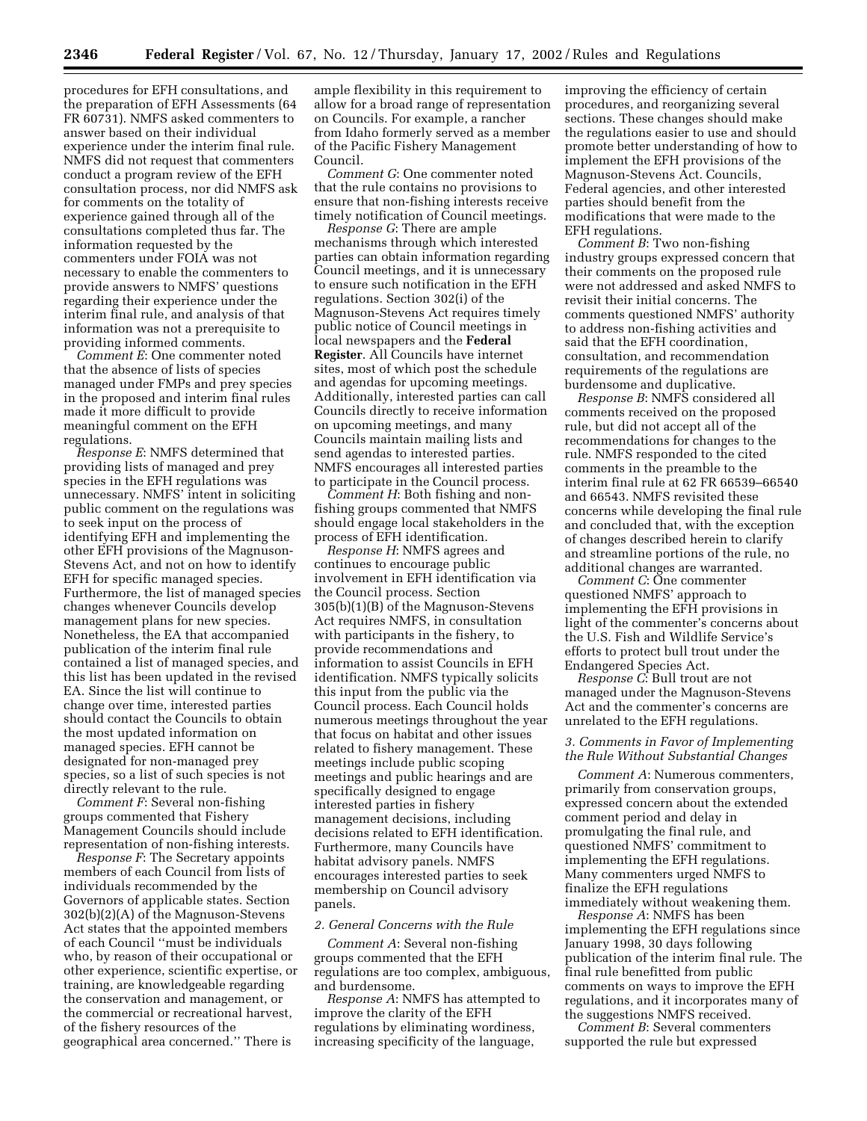procedures for EFH consultations, and the preparation of EFH Assessments (64 FR 60731). NMFS asked commenters to answer based on their individual experience under the interim final rule. NMFS did not request that commenters conduct a program review of the EFH consultation process, nor did NMFS ask for comments on the totality of experience gained through all of the consultations completed thus far. The information requested by the commenters under FOIA was not necessary to enable the commenters to provide answers to NMFS' questions regarding their experience under the interim final rule, and analysis of that information was not a prerequisite to providing informed comments.

*Comment E*: One commenter noted that the absence of lists of species managed under FMPs and prey species in the proposed and interim final rules made it more difficult to provide meaningful comment on the EFH regulations.

*Response E*: NMFS determined that providing lists of managed and prey species in the EFH regulations was unnecessary. NMFS' intent in soliciting public comment on the regulations was to seek input on the process of identifying EFH and implementing the other EFH provisions of the Magnuson-Stevens Act, and not on how to identify EFH for specific managed species. Furthermore, the list of managed species changes whenever Councils develop management plans for new species. Nonetheless, the EA that accompanied publication of the interim final rule contained a list of managed species, and this list has been updated in the revised EA. Since the list will continue to change over time, interested parties should contact the Councils to obtain the most updated information on managed species. EFH cannot be designated for non-managed prey species, so a list of such species is not directly relevant to the rule.

*Comment F*: Several non-fishing groups commented that Fishery Management Councils should include representation of non-fishing interests.

*Response F*: The Secretary appoints members of each Council from lists of individuals recommended by the Governors of applicable states. Section 302(b)(2)(A) of the Magnuson-Stevens Act states that the appointed members of each Council ''must be individuals who, by reason of their occupational or other experience, scientific expertise, or training, are knowledgeable regarding the conservation and management, or the commercial or recreational harvest, of the fishery resources of the geographical area concerned.'' There is

ample flexibility in this requirement to allow for a broad range of representation on Councils. For example, a rancher from Idaho formerly served as a member of the Pacific Fishery Management Council.

*Comment G*: One commenter noted that the rule contains no provisions to ensure that non-fishing interests receive timely notification of Council meetings.

*Response G*: There are ample mechanisms through which interested parties can obtain information regarding Council meetings, and it is unnecessary to ensure such notification in the EFH regulations. Section 302(i) of the Magnuson-Stevens Act requires timely public notice of Council meetings in local newspapers and the **Federal Register**. All Councils have internet sites, most of which post the schedule and agendas for upcoming meetings. Additionally, interested parties can call Councils directly to receive information on upcoming meetings, and many Councils maintain mailing lists and send agendas to interested parties. NMFS encourages all interested parties to participate in the Council process.

*Comment H*: Both fishing and nonfishing groups commented that NMFS should engage local stakeholders in the process of EFH identification.

*Response H*: NMFS agrees and continues to encourage public involvement in EFH identification via the Council process. Section 305(b)(1)(B) of the Magnuson-Stevens Act requires NMFS, in consultation with participants in the fishery, to provide recommendations and information to assist Councils in EFH identification. NMFS typically solicits this input from the public via the Council process. Each Council holds numerous meetings throughout the year that focus on habitat and other issues related to fishery management. These meetings include public scoping meetings and public hearings and are specifically designed to engage interested parties in fishery management decisions, including decisions related to EFH identification. Furthermore, many Councils have habitat advisory panels. NMFS encourages interested parties to seek membership on Council advisory panels.

#### *2. General Concerns with the Rule*

*Comment A*: Several non-fishing groups commented that the EFH regulations are too complex, ambiguous, and burdensome.

*Response A*: NMFS has attempted to improve the clarity of the EFH regulations by eliminating wordiness, increasing specificity of the language,

improving the efficiency of certain procedures, and reorganizing several sections. These changes should make the regulations easier to use and should promote better understanding of how to implement the EFH provisions of the Magnuson-Stevens Act. Councils, Federal agencies, and other interested parties should benefit from the modifications that were made to the EFH regulations.

*Comment B*: Two non-fishing industry groups expressed concern that their comments on the proposed rule were not addressed and asked NMFS to revisit their initial concerns. The comments questioned NMFS' authority to address non-fishing activities and said that the EFH coordination, consultation, and recommendation requirements of the regulations are burdensome and duplicative.

*Response B*: NMFS considered all comments received on the proposed rule, but did not accept all of the recommendations for changes to the rule. NMFS responded to the cited comments in the preamble to the interim final rule at 62 FR 66539–66540 and 66543. NMFS revisited these concerns while developing the final rule and concluded that, with the exception of changes described herein to clarify and streamline portions of the rule, no additional changes are warranted.

*Comment C*: One commenter questioned NMFS' approach to implementing the EFH provisions in light of the commenter's concerns about the U.S. Fish and Wildlife Service's efforts to protect bull trout under the Endangered Species Act.

*Response C*: Bull trout are not managed under the Magnuson-Stevens Act and the commenter's concerns are unrelated to the EFH regulations.

#### *3. Comments in Favor of Implementing the Rule Without Substantial Changes*

*Comment A*: Numerous commenters, primarily from conservation groups, expressed concern about the extended comment period and delay in promulgating the final rule, and questioned NMFS' commitment to implementing the EFH regulations. Many commenters urged NMFS to finalize the EFH regulations immediately without weakening them.

*Response A*: NMFS has been implementing the EFH regulations since January 1998, 30 days following publication of the interim final rule. The final rule benefitted from public comments on ways to improve the EFH regulations, and it incorporates many of the suggestions NMFS received.

*Comment B*: Several commenters supported the rule but expressed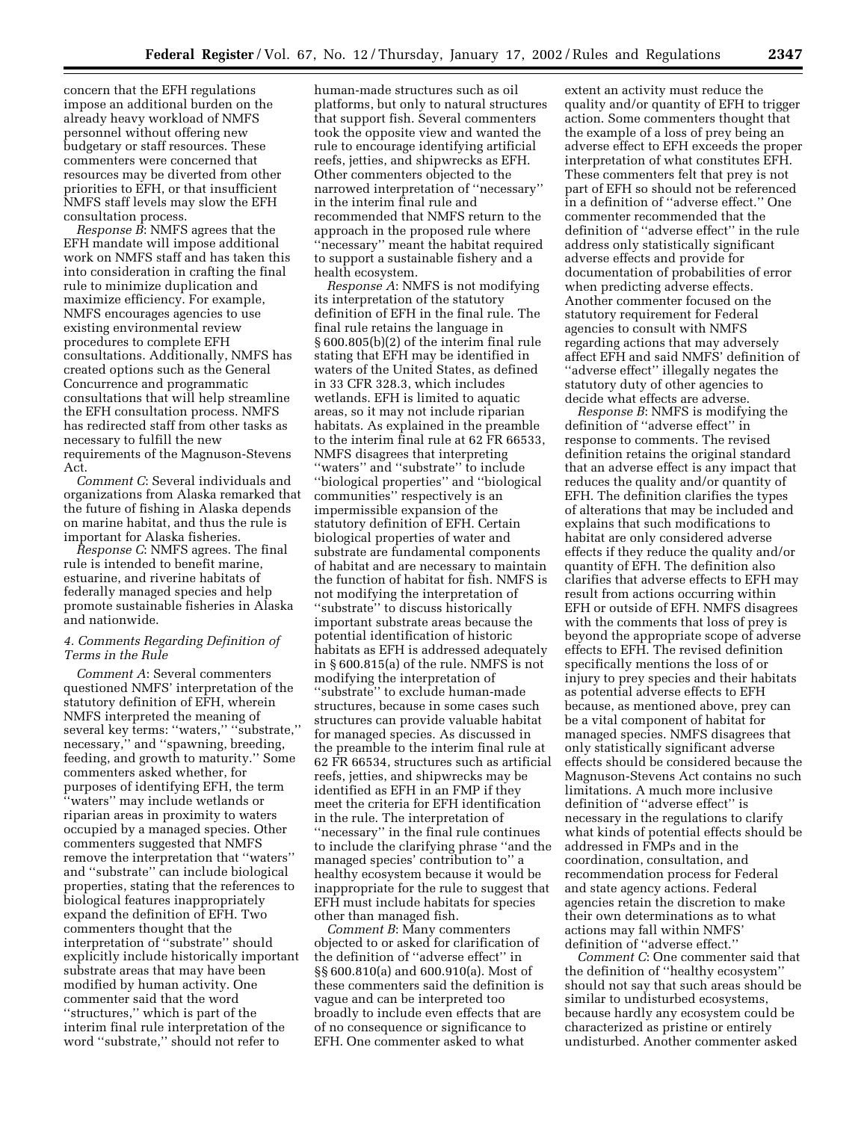concern that the EFH regulations impose an additional burden on the already heavy workload of NMFS personnel without offering new budgetary or staff resources. These commenters were concerned that resources may be diverted from other priorities to EFH, or that insufficient NMFS staff levels may slow the EFH consultation process.

*Response B*: NMFS agrees that the EFH mandate will impose additional work on NMFS staff and has taken this into consideration in crafting the final rule to minimize duplication and maximize efficiency. For example, NMFS encourages agencies to use existing environmental review procedures to complete EFH consultations. Additionally, NMFS has created options such as the General Concurrence and programmatic consultations that will help streamline the EFH consultation process. NMFS has redirected staff from other tasks as necessary to fulfill the new requirements of the Magnuson-Stevens Act.

*Comment C*: Several individuals and organizations from Alaska remarked that the future of fishing in Alaska depends on marine habitat, and thus the rule is important for Alaska fisheries.

*Response C*: NMFS agrees. The final rule is intended to benefit marine, estuarine, and riverine habitats of federally managed species and help promote sustainable fisheries in Alaska and nationwide.

# *4. Comments Regarding Definition of Terms in the Rule*

*Comment A*: Several commenters questioned NMFS' interpretation of the statutory definition of EFH, wherein NMFS interpreted the meaning of several key terms: "waters," "substrate," necessary,'' and ''spawning, breeding, feeding, and growth to maturity.'' Some commenters asked whether, for purposes of identifying EFH, the term ''waters'' may include wetlands or riparian areas in proximity to waters occupied by a managed species. Other commenters suggested that NMFS remove the interpretation that ''waters'' and ''substrate'' can include biological properties, stating that the references to biological features inappropriately expand the definition of EFH. Two commenters thought that the interpretation of ''substrate'' should explicitly include historically important substrate areas that may have been modified by human activity. One commenter said that the word ''structures,'' which is part of the interim final rule interpretation of the word ''substrate,'' should not refer to

human-made structures such as oil platforms, but only to natural structures that support fish. Several commenters took the opposite view and wanted the rule to encourage identifying artificial reefs, jetties, and shipwrecks as EFH. Other commenters objected to the narrowed interpretation of ''necessary'' in the interim final rule and recommended that NMFS return to the approach in the proposed rule where ''necessary'' meant the habitat required to support a sustainable fishery and a health ecosystem.

*Response A*: NMFS is not modifying its interpretation of the statutory definition of EFH in the final rule. The final rule retains the language in § 600.805(b)(2) of the interim final rule stating that EFH may be identified in waters of the United States, as defined in 33 CFR 328.3, which includes wetlands. EFH is limited to aquatic areas, so it may not include riparian habitats. As explained in the preamble to the interim final rule at 62 FR 66533, NMFS disagrees that interpreting ''waters'' and ''substrate'' to include ''biological properties'' and ''biological communities'' respectively is an impermissible expansion of the statutory definition of EFH. Certain biological properties of water and substrate are fundamental components of habitat and are necessary to maintain the function of habitat for fish. NMFS is not modifying the interpretation of ''substrate'' to discuss historically important substrate areas because the potential identification of historic habitats as EFH is addressed adequately in § 600.815(a) of the rule. NMFS is not modifying the interpretation of ''substrate'' to exclude human-made structures, because in some cases such structures can provide valuable habitat for managed species. As discussed in the preamble to the interim final rule at 62 FR 66534, structures such as artificial reefs, jetties, and shipwrecks may be identified as EFH in an FMP if they meet the criteria for EFH identification in the rule. The interpretation of ''necessary'' in the final rule continues to include the clarifying phrase ''and the managed species' contribution to'' a healthy ecosystem because it would be inappropriate for the rule to suggest that EFH must include habitats for species other than managed fish.

*Comment B*: Many commenters objected to or asked for clarification of the definition of ''adverse effect'' in §§ 600.810(a) and 600.910(a). Most of these commenters said the definition is vague and can be interpreted too broadly to include even effects that are of no consequence or significance to EFH. One commenter asked to what

extent an activity must reduce the quality and/or quantity of EFH to trigger action. Some commenters thought that the example of a loss of prey being an adverse effect to EFH exceeds the proper interpretation of what constitutes EFH. These commenters felt that prey is not part of EFH so should not be referenced in a definition of ''adverse effect.'' One commenter recommended that the definition of ''adverse effect'' in the rule address only statistically significant adverse effects and provide for documentation of probabilities of error when predicting adverse effects. Another commenter focused on the statutory requirement for Federal agencies to consult with NMFS regarding actions that may adversely affect EFH and said NMFS' definition of ''adverse effect'' illegally negates the statutory duty of other agencies to decide what effects are adverse.

*Response B*: NMFS is modifying the definition of ''adverse effect'' in response to comments. The revised definition retains the original standard that an adverse effect is any impact that reduces the quality and/or quantity of EFH. The definition clarifies the types of alterations that may be included and explains that such modifications to habitat are only considered adverse effects if they reduce the quality and/or quantity of EFH. The definition also clarifies that adverse effects to EFH may result from actions occurring within EFH or outside of EFH. NMFS disagrees with the comments that loss of prey is beyond the appropriate scope of adverse effects to EFH. The revised definition specifically mentions the loss of or injury to prey species and their habitats as potential adverse effects to EFH because, as mentioned above, prey can be a vital component of habitat for managed species. NMFS disagrees that only statistically significant adverse effects should be considered because the Magnuson-Stevens Act contains no such limitations. A much more inclusive definition of ''adverse effect'' is necessary in the regulations to clarify what kinds of potential effects should be addressed in FMPs and in the coordination, consultation, and recommendation process for Federal and state agency actions. Federal agencies retain the discretion to make their own determinations as to what actions may fall within NMFS' definition of ''adverse effect.''

*Comment C*: One commenter said that the definition of ''healthy ecosystem'' should not say that such areas should be similar to undisturbed ecosystems, because hardly any ecosystem could be characterized as pristine or entirely undisturbed. Another commenter asked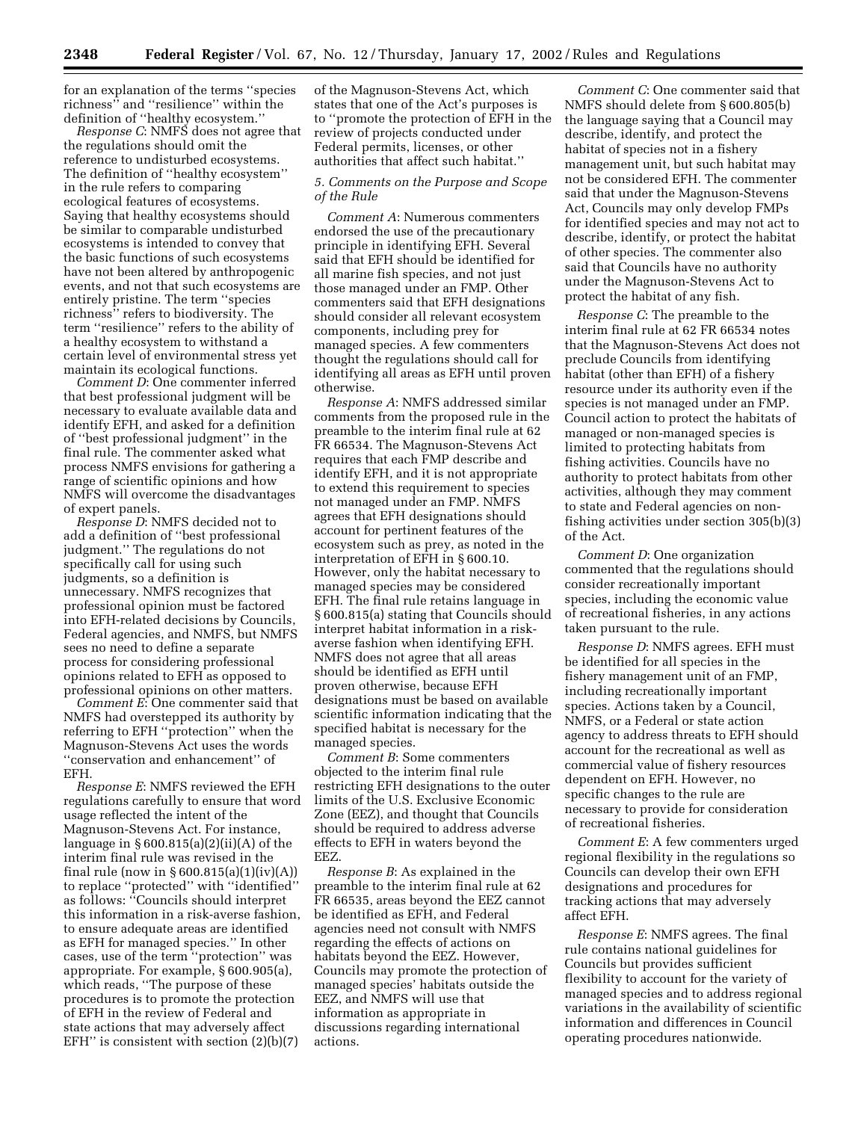for an explanation of the terms ''species richness'' and ''resilience'' within the definition of ''healthy ecosystem.''

*Response C*: NMFS does not agree that the regulations should omit the reference to undisturbed ecosystems. The definition of ''healthy ecosystem'' in the rule refers to comparing ecological features of ecosystems. Saying that healthy ecosystems should be similar to comparable undisturbed ecosystems is intended to convey that the basic functions of such ecosystems have not been altered by anthropogenic events, and not that such ecosystems are entirely pristine. The term ''species richness'' refers to biodiversity. The term ''resilience'' refers to the ability of a healthy ecosystem to withstand a certain level of environmental stress yet maintain its ecological functions.

*Comment D*: One commenter inferred that best professional judgment will be necessary to evaluate available data and identify EFH, and asked for a definition of ''best professional judgment'' in the final rule. The commenter asked what process NMFS envisions for gathering a range of scientific opinions and how NMFS will overcome the disadvantages of expert panels.

*Response D*: NMFS decided not to add a definition of ''best professional judgment.'' The regulations do not specifically call for using such judgments, so a definition is unnecessary. NMFS recognizes that professional opinion must be factored into EFH-related decisions by Councils, Federal agencies, and NMFS, but NMFS sees no need to define a separate process for considering professional opinions related to EFH as opposed to professional opinions on other matters.

*Comment E*: One commenter said that NMFS had overstepped its authority by referring to EFH ''protection'' when the Magnuson-Stevens Act uses the words ''conservation and enhancement'' of EFH.

*Response E*: NMFS reviewed the EFH regulations carefully to ensure that word usage reflected the intent of the Magnuson-Stevens Act. For instance, language in  $\S 600.815(a)(2)(ii)(A)$  of the interim final rule was revised in the final rule (now in  $\S 600.815(a)(1)(iv)(A))$ to replace ''protected'' with ''identified'' as follows: ''Councils should interpret this information in a risk-averse fashion, to ensure adequate areas are identified as EFH for managed species.'' In other cases, use of the term ''protection'' was appropriate. For example, § 600.905(a), which reads, ''The purpose of these procedures is to promote the protection of EFH in the review of Federal and state actions that may adversely affect EFH" is consistent with section  $(2)(b)(7)$ 

of the Magnuson-Stevens Act, which states that one of the Act's purposes is to ''promote the protection of EFH in the review of projects conducted under Federal permits, licenses, or other authorities that affect such habitat.''

### *5. Comments on the Purpose and Scope of the Rule*

*Comment A*: Numerous commenters endorsed the use of the precautionary principle in identifying EFH. Several said that EFH should be identified for all marine fish species, and not just those managed under an FMP. Other commenters said that EFH designations should consider all relevant ecosystem components, including prey for managed species. A few commenters thought the regulations should call for identifying all areas as EFH until proven otherwise.

*Response A*: NMFS addressed similar comments from the proposed rule in the preamble to the interim final rule at 62 FR 66534. The Magnuson-Stevens Act requires that each FMP describe and identify EFH, and it is not appropriate to extend this requirement to species not managed under an FMP. NMFS agrees that EFH designations should account for pertinent features of the ecosystem such as prey, as noted in the interpretation of EFH in § 600.10. However, only the habitat necessary to managed species may be considered EFH. The final rule retains language in § 600.815(a) stating that Councils should interpret habitat information in a riskaverse fashion when identifying EFH. NMFS does not agree that all areas should be identified as EFH until proven otherwise, because EFH designations must be based on available scientific information indicating that the specified habitat is necessary for the managed species.

*Comment B*: Some commenters objected to the interim final rule restricting EFH designations to the outer limits of the U.S. Exclusive Economic Zone (EEZ), and thought that Councils should be required to address adverse effects to EFH in waters beyond the EEZ.

*Response B*: As explained in the preamble to the interim final rule at 62 FR 66535, areas beyond the EEZ cannot be identified as EFH, and Federal agencies need not consult with NMFS regarding the effects of actions on habitats beyond the EEZ. However, Councils may promote the protection of managed species' habitats outside the EEZ, and NMFS will use that information as appropriate in discussions regarding international actions.

*Comment C*: One commenter said that NMFS should delete from § 600.805(b) the language saying that a Council may describe, identify, and protect the habitat of species not in a fishery management unit, but such habitat may not be considered EFH. The commenter said that under the Magnuson-Stevens Act, Councils may only develop FMPs for identified species and may not act to describe, identify, or protect the habitat of other species. The commenter also said that Councils have no authority under the Magnuson-Stevens Act to protect the habitat of any fish.

*Response C*: The preamble to the interim final rule at 62 FR 66534 notes that the Magnuson-Stevens Act does not preclude Councils from identifying habitat (other than EFH) of a fishery resource under its authority even if the species is not managed under an FMP. Council action to protect the habitats of managed or non-managed species is limited to protecting habitats from fishing activities. Councils have no authority to protect habitats from other activities, although they may comment to state and Federal agencies on nonfishing activities under section 305(b)(3) of the Act.

*Comment D*: One organization commented that the regulations should consider recreationally important species, including the economic value of recreational fisheries, in any actions taken pursuant to the rule.

*Response D*: NMFS agrees. EFH must be identified for all species in the fishery management unit of an FMP, including recreationally important species. Actions taken by a Council, NMFS, or a Federal or state action agency to address threats to EFH should account for the recreational as well as commercial value of fishery resources dependent on EFH. However, no specific changes to the rule are necessary to provide for consideration of recreational fisheries.

*Comment E*: A few commenters urged regional flexibility in the regulations so Councils can develop their own EFH designations and procedures for tracking actions that may adversely affect EFH.

*Response E*: NMFS agrees. The final rule contains national guidelines for Councils but provides sufficient flexibility to account for the variety of managed species and to address regional variations in the availability of scientific information and differences in Council operating procedures nationwide.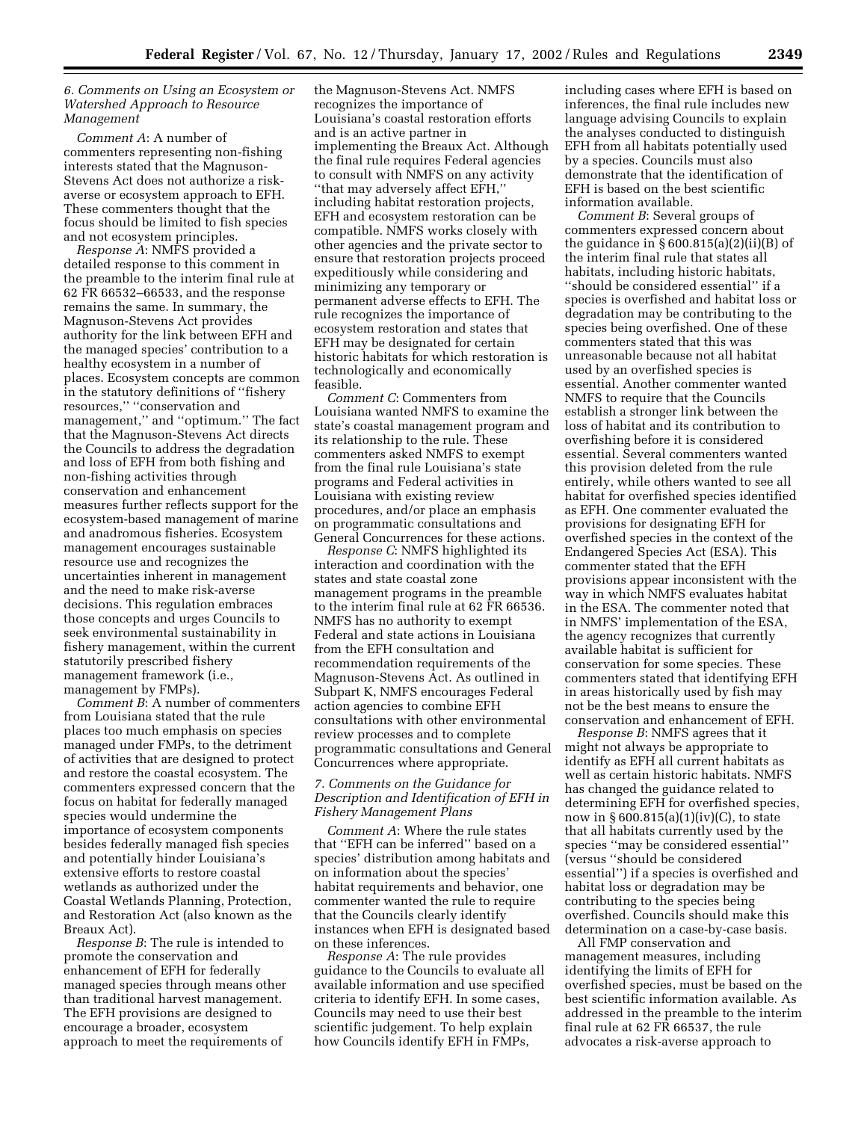### *6. Comments on Using an Ecosystem or Watershed Approach to Resource Management*

*Comment A*: A number of commenters representing non-fishing interests stated that the Magnuson-Stevens Act does not authorize a riskaverse or ecosystem approach to EFH. These commenters thought that the focus should be limited to fish species and not ecosystem principles.

*Response A*: NMFS provided a detailed response to this comment in the preamble to the interim final rule at 62 FR 66532–66533, and the response remains the same. In summary, the Magnuson-Stevens Act provides authority for the link between EFH and the managed species' contribution to a healthy ecosystem in a number of places. Ecosystem concepts are common in the statutory definitions of ''fishery resources,'' ''conservation and management,'' and ''optimum.'' The fact that the Magnuson-Stevens Act directs the Councils to address the degradation and loss of EFH from both fishing and non-fishing activities through conservation and enhancement measures further reflects support for the ecosystem-based management of marine and anadromous fisheries. Ecosystem management encourages sustainable resource use and recognizes the uncertainties inherent in management and the need to make risk-averse decisions. This regulation embraces those concepts and urges Councils to seek environmental sustainability in fishery management, within the current statutorily prescribed fishery management framework (i.e., management by FMPs).

*Comment B*: A number of commenters from Louisiana stated that the rule places too much emphasis on species managed under FMPs, to the detriment of activities that are designed to protect and restore the coastal ecosystem. The commenters expressed concern that the focus on habitat for federally managed species would undermine the importance of ecosystem components besides federally managed fish species and potentially hinder Louisiana's extensive efforts to restore coastal wetlands as authorized under the Coastal Wetlands Planning, Protection, and Restoration Act (also known as the Breaux Act).

*Response B*: The rule is intended to promote the conservation and enhancement of EFH for federally managed species through means other than traditional harvest management. The EFH provisions are designed to encourage a broader, ecosystem approach to meet the requirements of

the Magnuson-Stevens Act. NMFS recognizes the importance of Louisiana's coastal restoration efforts and is an active partner in implementing the Breaux Act. Although the final rule requires Federal agencies to consult with NMFS on any activity ''that may adversely affect EFH,'' including habitat restoration projects, EFH and ecosystem restoration can be compatible. NMFS works closely with other agencies and the private sector to ensure that restoration projects proceed expeditiously while considering and minimizing any temporary or permanent adverse effects to EFH. The rule recognizes the importance of ecosystem restoration and states that EFH may be designated for certain historic habitats for which restoration is technologically and economically feasible.

*Comment C*: Commenters from Louisiana wanted NMFS to examine the state's coastal management program and its relationship to the rule. These commenters asked NMFS to exempt from the final rule Louisiana's state programs and Federal activities in Louisiana with existing review procedures, and/or place an emphasis on programmatic consultations and General Concurrences for these actions.

*Response C*: NMFS highlighted its interaction and coordination with the states and state coastal zone management programs in the preamble to the interim final rule at 62 FR 66536. NMFS has no authority to exempt Federal and state actions in Louisiana from the EFH consultation and recommendation requirements of the Magnuson-Stevens Act. As outlined in Subpart K, NMFS encourages Federal action agencies to combine EFH consultations with other environmental review processes and to complete programmatic consultations and General Concurrences where appropriate.

## *7. Comments on the Guidance for Description and Identification of EFH in Fishery Management Plans*

*Comment A*: Where the rule states that ''EFH can be inferred'' based on a species' distribution among habitats and on information about the species' habitat requirements and behavior, one commenter wanted the rule to require that the Councils clearly identify instances when EFH is designated based on these inferences.

*Response A*: The rule provides guidance to the Councils to evaluate all available information and use specified criteria to identify EFH. In some cases, Councils may need to use their best scientific judgement. To help explain how Councils identify EFH in FMPs,

including cases where EFH is based on inferences, the final rule includes new language advising Councils to explain the analyses conducted to distinguish EFH from all habitats potentially used by a species. Councils must also demonstrate that the identification of EFH is based on the best scientific information available.

*Comment B*: Several groups of commenters expressed concern about the guidance in  $\S 600.815(a)(2)(ii)(B)$  of the interim final rule that states all habitats, including historic habitats, ''should be considered essential'' if a species is overfished and habitat loss or degradation may be contributing to the species being overfished. One of these commenters stated that this was unreasonable because not all habitat used by an overfished species is essential. Another commenter wanted NMFS to require that the Councils establish a stronger link between the loss of habitat and its contribution to overfishing before it is considered essential. Several commenters wanted this provision deleted from the rule entirely, while others wanted to see all habitat for overfished species identified as EFH. One commenter evaluated the provisions for designating EFH for overfished species in the context of the Endangered Species Act (ESA). This commenter stated that the EFH provisions appear inconsistent with the way in which NMFS evaluates habitat in the ESA. The commenter noted that in NMFS' implementation of the ESA, the agency recognizes that currently available habitat is sufficient for conservation for some species. These commenters stated that identifying EFH in areas historically used by fish may not be the best means to ensure the conservation and enhancement of EFH.

*Response B*: NMFS agrees that it might not always be appropriate to identify as EFH all current habitats as well as certain historic habitats. NMFS has changed the guidance related to determining EFH for overfished species, now in § 600.815(a)(1)(iv)(C), to state that all habitats currently used by the species ''may be considered essential'' (versus ''should be considered essential'') if a species is overfished and habitat loss or degradation may be contributing to the species being overfished. Councils should make this determination on a case-by-case basis.

All FMP conservation and management measures, including identifying the limits of EFH for overfished species, must be based on the best scientific information available. As addressed in the preamble to the interim final rule at 62 FR 66537, the rule advocates a risk-averse approach to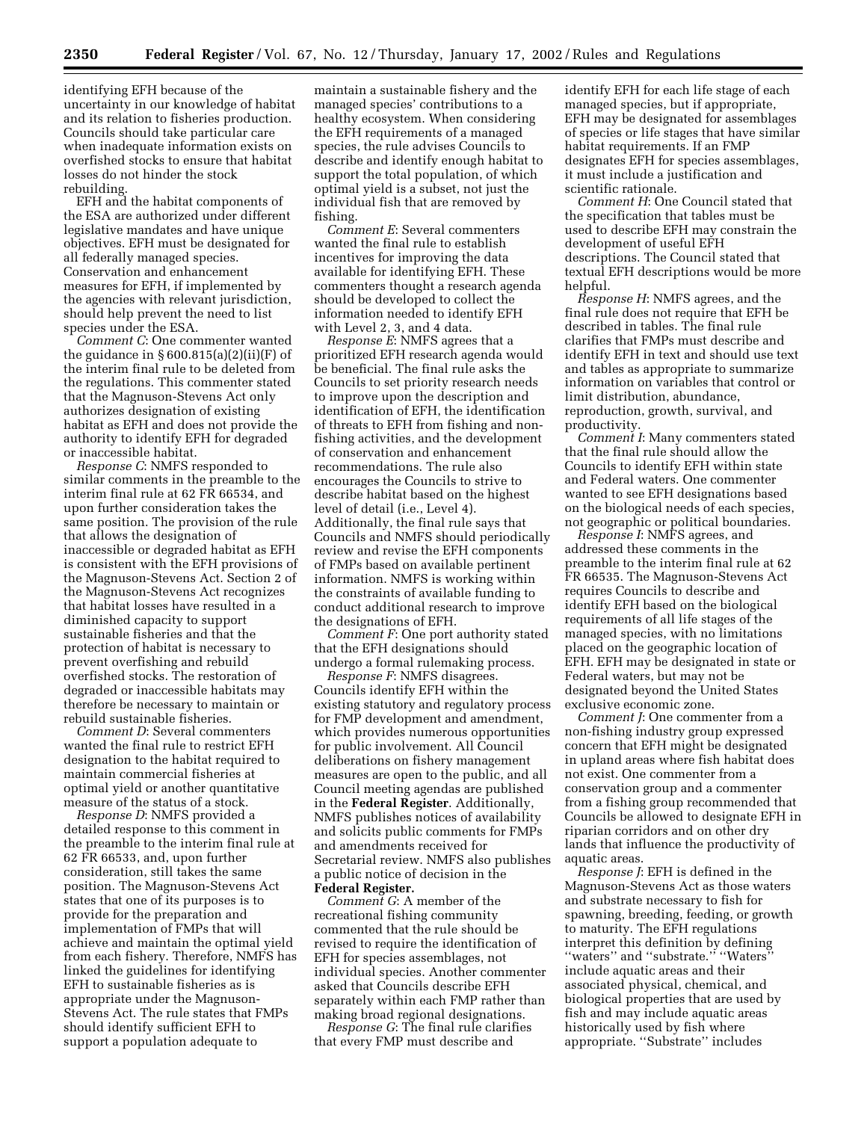identifying EFH because of the uncertainty in our knowledge of habitat and its relation to fisheries production. Councils should take particular care when inadequate information exists on overfished stocks to ensure that habitat losses do not hinder the stock rebuilding.

EFH and the habitat components of the ESA are authorized under different legislative mandates and have unique objectives. EFH must be designated for all federally managed species. Conservation and enhancement measures for EFH, if implemented by the agencies with relevant jurisdiction, should help prevent the need to list species under the ESA.

*Comment C*: One commenter wanted the guidance in  $\S 600.815(a)(2)(ii)(F)$  of the interim final rule to be deleted from the regulations. This commenter stated that the Magnuson-Stevens Act only authorizes designation of existing habitat as EFH and does not provide the authority to identify EFH for degraded or inaccessible habitat.

*Response C*: NMFS responded to similar comments in the preamble to the interim final rule at 62 FR 66534, and upon further consideration takes the same position. The provision of the rule that allows the designation of inaccessible or degraded habitat as EFH is consistent with the EFH provisions of the Magnuson-Stevens Act. Section 2 of the Magnuson-Stevens Act recognizes that habitat losses have resulted in a diminished capacity to support sustainable fisheries and that the protection of habitat is necessary to prevent overfishing and rebuild overfished stocks. The restoration of degraded or inaccessible habitats may therefore be necessary to maintain or rebuild sustainable fisheries.

*Comment D*: Several commenters wanted the final rule to restrict EFH designation to the habitat required to maintain commercial fisheries at optimal yield or another quantitative measure of the status of a stock.

*Response D*: NMFS provided a detailed response to this comment in the preamble to the interim final rule at 62 FR 66533, and, upon further consideration, still takes the same position. The Magnuson-Stevens Act states that one of its purposes is to provide for the preparation and implementation of FMPs that will achieve and maintain the optimal yield from each fishery. Therefore, NMFS has linked the guidelines for identifying EFH to sustainable fisheries as is appropriate under the Magnuson-Stevens Act. The rule states that FMPs should identify sufficient EFH to support a population adequate to

maintain a sustainable fishery and the managed species' contributions to a healthy ecosystem. When considering the EFH requirements of a managed species, the rule advises Councils to describe and identify enough habitat to support the total population, of which optimal yield is a subset, not just the individual fish that are removed by fishing.

*Comment E*: Several commenters wanted the final rule to establish incentives for improving the data available for identifying EFH. These commenters thought a research agenda should be developed to collect the information needed to identify EFH with Level 2, 3, and 4 data.

*Response E*: NMFS agrees that a prioritized EFH research agenda would be beneficial. The final rule asks the Councils to set priority research needs to improve upon the description and identification of EFH, the identification of threats to EFH from fishing and nonfishing activities, and the development of conservation and enhancement recommendations. The rule also encourages the Councils to strive to describe habitat based on the highest level of detail (i.e., Level 4). Additionally, the final rule says that Councils and NMFS should periodically review and revise the EFH components of FMPs based on available pertinent information. NMFS is working within the constraints of available funding to conduct additional research to improve the designations of EFH.

*Comment F*: One port authority stated that the EFH designations should undergo a formal rulemaking process.

*Response F*: NMFS disagrees. Councils identify EFH within the existing statutory and regulatory process for FMP development and amendment, which provides numerous opportunities for public involvement. All Council deliberations on fishery management measures are open to the public, and all Council meeting agendas are published in the **Federal Register**. Additionally, NMFS publishes notices of availability and solicits public comments for FMPs and amendments received for Secretarial review. NMFS also publishes a public notice of decision in the **Federal Register.**

*Comment G*: A member of the recreational fishing community commented that the rule should be revised to require the identification of EFH for species assemblages, not individual species. Another commenter asked that Councils describe EFH separately within each FMP rather than making broad regional designations.

*Response G*: The final rule clarifies that every FMP must describe and

identify EFH for each life stage of each managed species, but if appropriate, EFH may be designated for assemblages of species or life stages that have similar habitat requirements. If an FMP designates EFH for species assemblages, it must include a justification and scientific rationale.

*Comment H*: One Council stated that the specification that tables must be used to describe EFH may constrain the development of useful EFH descriptions. The Council stated that textual EFH descriptions would be more helpful.

*Response H*: NMFS agrees, and the final rule does not require that EFH be described in tables. The final rule clarifies that FMPs must describe and identify EFH in text and should use text and tables as appropriate to summarize information on variables that control or limit distribution, abundance, reproduction, growth, survival, and productivity.

*Comment I*: Many commenters stated that the final rule should allow the Councils to identify EFH within state and Federal waters. One commenter wanted to see EFH designations based on the biological needs of each species, not geographic or political boundaries.

*Response I*: NMFS agrees, and addressed these comments in the preamble to the interim final rule at 62 FR 66535. The Magnuson-Stevens Act requires Councils to describe and identify EFH based on the biological requirements of all life stages of the managed species, with no limitations placed on the geographic location of EFH. EFH may be designated in state or Federal waters, but may not be designated beyond the United States exclusive economic zone.

*Comment J*: One commenter from a non-fishing industry group expressed concern that EFH might be designated in upland areas where fish habitat does not exist. One commenter from a conservation group and a commenter from a fishing group recommended that Councils be allowed to designate EFH in riparian corridors and on other dry lands that influence the productivity of aquatic areas.

*Response J*: EFH is defined in the Magnuson-Stevens Act as those waters and substrate necessary to fish for spawning, breeding, feeding, or growth to maturity. The EFH regulations interpret this definition by defining "waters" and "substrate." "Waters include aquatic areas and their associated physical, chemical, and biological properties that are used by fish and may include aquatic areas historically used by fish where appropriate. ''Substrate'' includes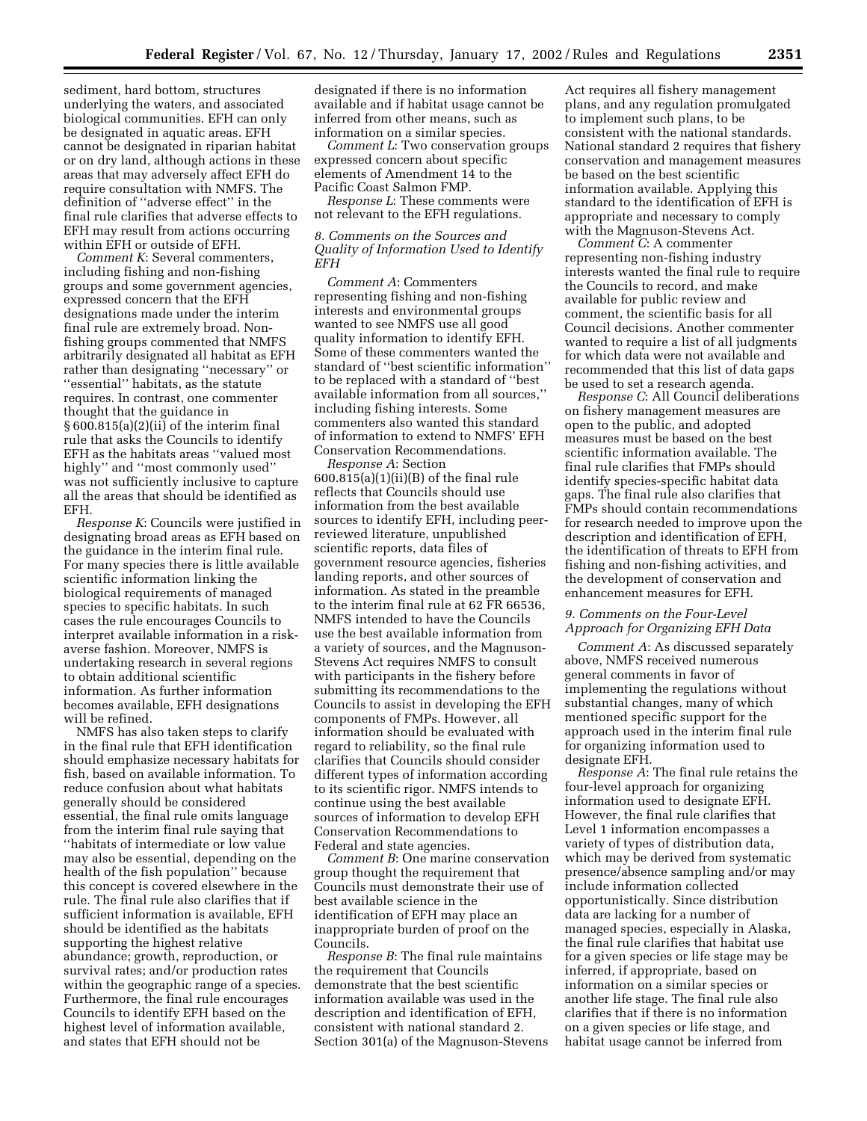sediment, hard bottom, structures underlying the waters, and associated biological communities. EFH can only be designated in aquatic areas. EFH cannot be designated in riparian habitat or on dry land, although actions in these areas that may adversely affect EFH do require consultation with NMFS. The definition of ''adverse effect'' in the final rule clarifies that adverse effects to EFH may result from actions occurring within EFH or outside of EFH.

*Comment K*: Several commenters, including fishing and non-fishing groups and some government agencies, expressed concern that the EFH designations made under the interim final rule are extremely broad. Nonfishing groups commented that NMFS arbitrarily designated all habitat as EFH rather than designating ''necessary'' or ''essential'' habitats, as the statute requires. In contrast, one commenter thought that the guidance in § 600.815(a)(2)(ii) of the interim final rule that asks the Councils to identify EFH as the habitats areas ''valued most highly'' and ''most commonly used'' was not sufficiently inclusive to capture all the areas that should be identified as EFH.

*Response K*: Councils were justified in designating broad areas as EFH based on the guidance in the interim final rule. For many species there is little available scientific information linking the biological requirements of managed species to specific habitats. In such cases the rule encourages Councils to interpret available information in a riskaverse fashion. Moreover, NMFS is undertaking research in several regions to obtain additional scientific information. As further information becomes available, EFH designations will be refined.

NMFS has also taken steps to clarify in the final rule that EFH identification should emphasize necessary habitats for fish, based on available information. To reduce confusion about what habitats generally should be considered essential, the final rule omits language from the interim final rule saying that ''habitats of intermediate or low value may also be essential, depending on the health of the fish population'' because this concept is covered elsewhere in the rule. The final rule also clarifies that if sufficient information is available, EFH should be identified as the habitats supporting the highest relative abundance; growth, reproduction, or survival rates; and/or production rates within the geographic range of a species. Furthermore, the final rule encourages Councils to identify EFH based on the highest level of information available, and states that EFH should not be

designated if there is no information available and if habitat usage cannot be inferred from other means, such as information on a similar species.

*Comment L*: Two conservation groups expressed concern about specific elements of Amendment 14 to the Pacific Coast Salmon FMP.

*Response L*: These comments were not relevant to the EFH regulations.

### *8. Comments on the Sources and Quality of Information Used to Identify EFH*

*Comment A*: Commenters representing fishing and non-fishing interests and environmental groups wanted to see NMFS use all good quality information to identify EFH. Some of these commenters wanted the standard of ''best scientific information'' to be replaced with a standard of ''best available information from all sources,'' including fishing interests. Some commenters also wanted this standard of information to extend to NMFS' EFH Conservation Recommendations.

*Response A*: Section 600.815(a)(1)(ii)(B) of the final rule reflects that Councils should use information from the best available sources to identify EFH, including peerreviewed literature, unpublished scientific reports, data files of government resource agencies, fisheries landing reports, and other sources of information. As stated in the preamble to the interim final rule at 62 FR 66536, NMFS intended to have the Councils use the best available information from a variety of sources, and the Magnuson-Stevens Act requires NMFS to consult with participants in the fishery before submitting its recommendations to the Councils to assist in developing the EFH components of FMPs. However, all information should be evaluated with regard to reliability, so the final rule clarifies that Councils should consider different types of information according to its scientific rigor. NMFS intends to continue using the best available sources of information to develop EFH Conservation Recommendations to Federal and state agencies.

*Comment B*: One marine conservation group thought the requirement that Councils must demonstrate their use of best available science in the identification of EFH may place an inappropriate burden of proof on the Councils.

*Response B*: The final rule maintains the requirement that Councils demonstrate that the best scientific information available was used in the description and identification of EFH, consistent with national standard 2. Section 301(a) of the Magnuson-Stevens

Act requires all fishery management plans, and any regulation promulgated to implement such plans, to be consistent with the national standards. National standard 2 requires that fishery conservation and management measures be based on the best scientific information available. Applying this standard to the identification of EFH is appropriate and necessary to comply with the Magnuson-Stevens Act.

*Comment C*: A commenter representing non-fishing industry interests wanted the final rule to require the Councils to record, and make available for public review and comment, the scientific basis for all Council decisions. Another commenter wanted to require a list of all judgments for which data were not available and recommended that this list of data gaps be used to set a research agenda.

*Response C*: All Council deliberations on fishery management measures are open to the public, and adopted measures must be based on the best scientific information available. The final rule clarifies that FMPs should identify species-specific habitat data gaps. The final rule also clarifies that FMPs should contain recommendations for research needed to improve upon the description and identification of EFH, the identification of threats to EFH from fishing and non-fishing activities, and the development of conservation and enhancement measures for EFH.

# *9. Comments on the Four-Level Approach for Organizing EFH Data*

*Comment A*: As discussed separately above, NMFS received numerous general comments in favor of implementing the regulations without substantial changes, many of which mentioned specific support for the approach used in the interim final rule for organizing information used to designate EFH.

*Response A*: The final rule retains the four-level approach for organizing information used to designate EFH. However, the final rule clarifies that Level 1 information encompasses a variety of types of distribution data, which may be derived from systematic presence/absence sampling and/or may include information collected opportunistically. Since distribution data are lacking for a number of managed species, especially in Alaska, the final rule clarifies that habitat use for a given species or life stage may be inferred, if appropriate, based on information on a similar species or another life stage. The final rule also clarifies that if there is no information on a given species or life stage, and habitat usage cannot be inferred from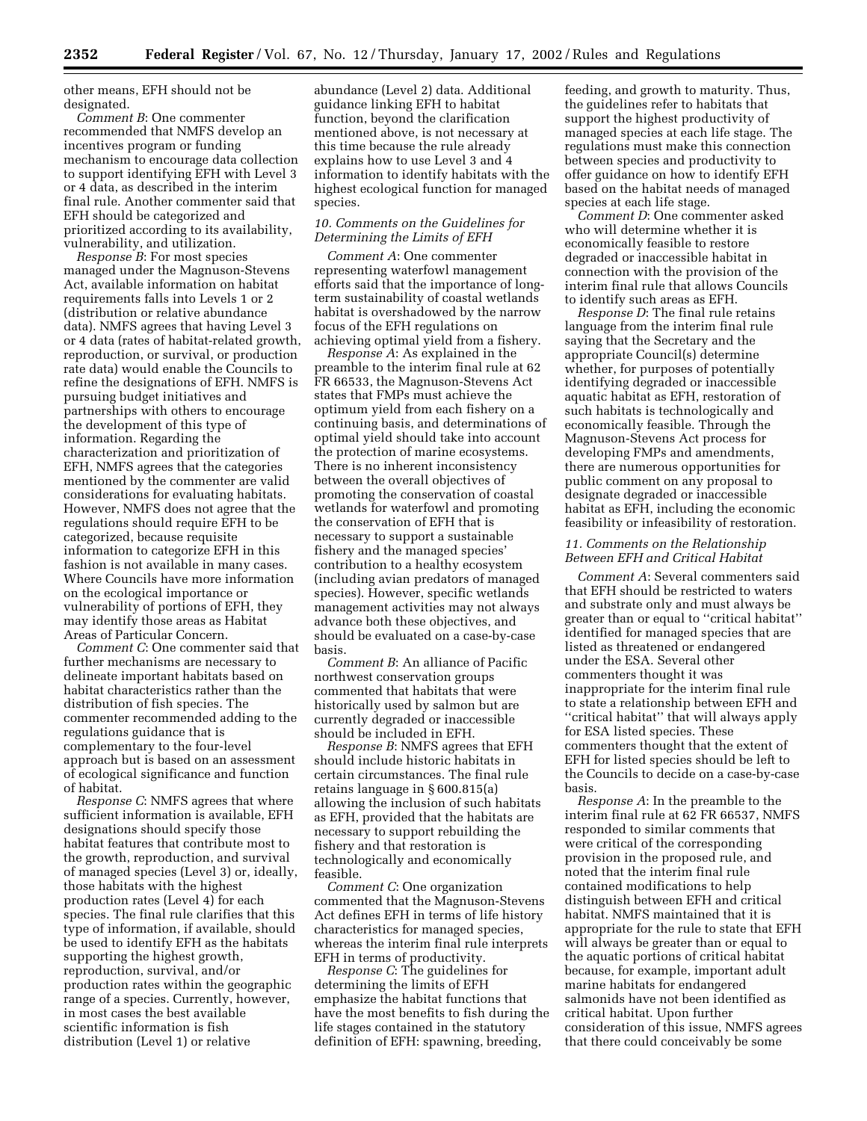other means, EFH should not be designated.

*Comment B*: One commenter recommended that NMFS develop an incentives program or funding mechanism to encourage data collection to support identifying EFH with Level 3 or 4 data, as described in the interim final rule. Another commenter said that EFH should be categorized and prioritized according to its availability, vulnerability, and utilization.

*Response B*: For most species managed under the Magnuson-Stevens Act, available information on habitat requirements falls into Levels 1 or 2 (distribution or relative abundance data). NMFS agrees that having Level 3 or 4 data (rates of habitat-related growth, reproduction, or survival, or production rate data) would enable the Councils to refine the designations of EFH. NMFS is pursuing budget initiatives and partnerships with others to encourage the development of this type of information. Regarding the characterization and prioritization of EFH, NMFS agrees that the categories mentioned by the commenter are valid considerations for evaluating habitats. However, NMFS does not agree that the regulations should require EFH to be categorized, because requisite information to categorize EFH in this fashion is not available in many cases. Where Councils have more information on the ecological importance or vulnerability of portions of EFH, they may identify those areas as Habitat Areas of Particular Concern.

*Comment C*: One commenter said that further mechanisms are necessary to delineate important habitats based on habitat characteristics rather than the distribution of fish species. The commenter recommended adding to the regulations guidance that is complementary to the four-level approach but is based on an assessment of ecological significance and function of habitat.

*Response C*: NMFS agrees that where sufficient information is available, EFH designations should specify those habitat features that contribute most to the growth, reproduction, and survival of managed species (Level 3) or, ideally, those habitats with the highest production rates (Level 4) for each species. The final rule clarifies that this type of information, if available, should be used to identify EFH as the habitats supporting the highest growth, reproduction, survival, and/or production rates within the geographic range of a species. Currently, however, in most cases the best available scientific information is fish distribution (Level 1) or relative

abundance (Level 2) data. Additional guidance linking EFH to habitat function, beyond the clarification mentioned above, is not necessary at this time because the rule already explains how to use Level 3 and 4 information to identify habitats with the highest ecological function for managed species.

## *10. Comments on the Guidelines for Determining the Limits of EFH*

*Comment A*: One commenter representing waterfowl management efforts said that the importance of longterm sustainability of coastal wetlands habitat is overshadowed by the narrow focus of the EFH regulations on achieving optimal yield from a fishery.

*Response A*: As explained in the preamble to the interim final rule at 62 FR 66533, the Magnuson-Stevens Act states that FMPs must achieve the optimum yield from each fishery on a continuing basis, and determinations of optimal yield should take into account the protection of marine ecosystems. There is no inherent inconsistency between the overall objectives of promoting the conservation of coastal wetlands for waterfowl and promoting the conservation of EFH that is necessary to support a sustainable fishery and the managed species' contribution to a healthy ecosystem (including avian predators of managed species). However, specific wetlands management activities may not always advance both these objectives, and should be evaluated on a case-by-case basis.

*Comment B*: An alliance of Pacific northwest conservation groups commented that habitats that were historically used by salmon but are currently degraded or inaccessible should be included in EFH.

*Response B*: NMFS agrees that EFH should include historic habitats in certain circumstances. The final rule retains language in § 600.815(a) allowing the inclusion of such habitats as EFH, provided that the habitats are necessary to support rebuilding the fishery and that restoration is technologically and economically feasible.

*Comment C*: One organization commented that the Magnuson-Stevens Act defines EFH in terms of life history characteristics for managed species, whereas the interim final rule interprets EFH in terms of productivity.

*Response C*: The guidelines for determining the limits of EFH emphasize the habitat functions that have the most benefits to fish during the life stages contained in the statutory definition of EFH: spawning, breeding,

feeding, and growth to maturity. Thus, the guidelines refer to habitats that support the highest productivity of managed species at each life stage. The regulations must make this connection between species and productivity to offer guidance on how to identify EFH based on the habitat needs of managed species at each life stage.

*Comment D*: One commenter asked who will determine whether it is economically feasible to restore degraded or inaccessible habitat in connection with the provision of the interim final rule that allows Councils to identify such areas as EFH.

*Response D*: The final rule retains language from the interim final rule saying that the Secretary and the appropriate Council(s) determine whether, for purposes of potentially identifying degraded or inaccessible aquatic habitat as EFH, restoration of such habitats is technologically and economically feasible. Through the Magnuson-Stevens Act process for developing FMPs and amendments, there are numerous opportunities for public comment on any proposal to designate degraded or inaccessible habitat as EFH, including the economic feasibility or infeasibility of restoration.

#### *11. Comments on the Relationship Between EFH and Critical Habitat*

*Comment A*: Several commenters said that EFH should be restricted to waters and substrate only and must always be greater than or equal to ''critical habitat'' identified for managed species that are listed as threatened or endangered under the ESA. Several other commenters thought it was inappropriate for the interim final rule to state a relationship between EFH and "critical habitat" that will always apply for ESA listed species. These commenters thought that the extent of EFH for listed species should be left to the Councils to decide on a case-by-case basis.

*Response A*: In the preamble to the interim final rule at 62 FR 66537, NMFS responded to similar comments that were critical of the corresponding provision in the proposed rule, and noted that the interim final rule contained modifications to help distinguish between EFH and critical habitat. NMFS maintained that it is appropriate for the rule to state that EFH will always be greater than or equal to the aquatic portions of critical habitat because, for example, important adult marine habitats for endangered salmonids have not been identified as critical habitat. Upon further consideration of this issue, NMFS agrees that there could conceivably be some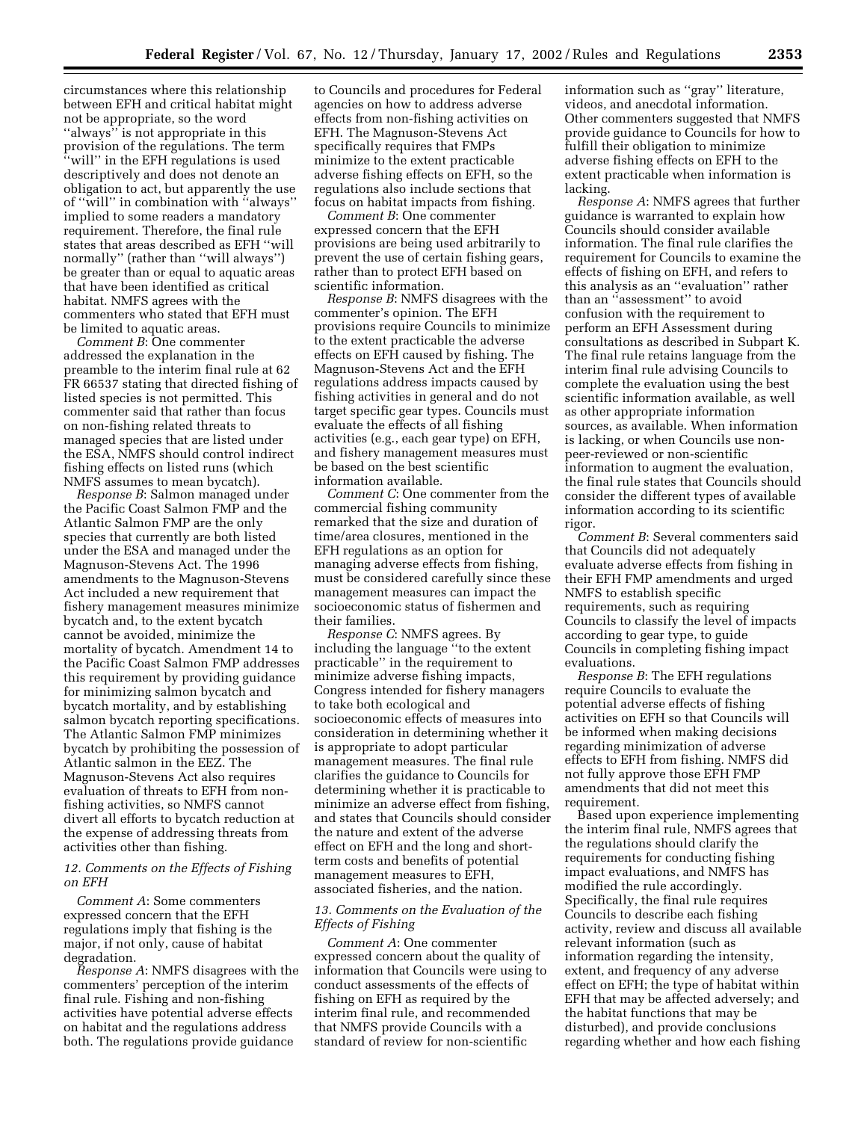circumstances where this relationship between EFH and critical habitat might not be appropriate, so the word ''always'' is not appropriate in this provision of the regulations. The term ''will'' in the EFH regulations is used descriptively and does not denote an obligation to act, but apparently the use of ''will'' in combination with ''always'' implied to some readers a mandatory requirement. Therefore, the final rule states that areas described as EFH ''will normally'' (rather than ''will always'') be greater than or equal to aquatic areas that have been identified as critical habitat. NMFS agrees with the commenters who stated that EFH must be limited to aquatic areas.

*Comment B*: One commenter addressed the explanation in the preamble to the interim final rule at 62 FR 66537 stating that directed fishing of listed species is not permitted. This commenter said that rather than focus on non-fishing related threats to managed species that are listed under the ESA, NMFS should control indirect fishing effects on listed runs (which NMFS assumes to mean bycatch).

*Response B*: Salmon managed under the Pacific Coast Salmon FMP and the Atlantic Salmon FMP are the only species that currently are both listed under the ESA and managed under the Magnuson-Stevens Act. The 1996 amendments to the Magnuson-Stevens Act included a new requirement that fishery management measures minimize bycatch and, to the extent bycatch cannot be avoided, minimize the mortality of bycatch. Amendment 14 to the Pacific Coast Salmon FMP addresses this requirement by providing guidance for minimizing salmon bycatch and bycatch mortality, and by establishing salmon bycatch reporting specifications. The Atlantic Salmon FMP minimizes bycatch by prohibiting the possession of Atlantic salmon in the EEZ. The Magnuson-Stevens Act also requires evaluation of threats to EFH from nonfishing activities, so NMFS cannot divert all efforts to bycatch reduction at the expense of addressing threats from activities other than fishing.

### *12. Comments on the Effects of Fishing on EFH*

*Comment A*: Some commenters expressed concern that the EFH regulations imply that fishing is the major, if not only, cause of habitat degradation.

*Response A*: NMFS disagrees with the commenters' perception of the interim final rule. Fishing and non-fishing activities have potential adverse effects on habitat and the regulations address both. The regulations provide guidance

to Councils and procedures for Federal agencies on how to address adverse effects from non-fishing activities on EFH. The Magnuson-Stevens Act specifically requires that FMPs minimize to the extent practicable adverse fishing effects on EFH, so the regulations also include sections that focus on habitat impacts from fishing.

*Comment B*: One commenter expressed concern that the EFH provisions are being used arbitrarily to prevent the use of certain fishing gears, rather than to protect EFH based on scientific information.

*Response B*: NMFS disagrees with the commenter's opinion. The EFH provisions require Councils to minimize to the extent practicable the adverse effects on EFH caused by fishing. The Magnuson-Stevens Act and the EFH regulations address impacts caused by fishing activities in general and do not target specific gear types. Councils must evaluate the effects of all fishing activities (e.g., each gear type) on EFH, and fishery management measures must be based on the best scientific information available.

*Comment C*: One commenter from the commercial fishing community remarked that the size and duration of time/area closures, mentioned in the EFH regulations as an option for managing adverse effects from fishing, must be considered carefully since these management measures can impact the socioeconomic status of fishermen and their families.

*Response C*: NMFS agrees. By including the language ''to the extent practicable'' in the requirement to minimize adverse fishing impacts, Congress intended for fishery managers to take both ecological and socioeconomic effects of measures into consideration in determining whether it is appropriate to adopt particular management measures. The final rule clarifies the guidance to Councils for determining whether it is practicable to minimize an adverse effect from fishing, and states that Councils should consider the nature and extent of the adverse effect on EFH and the long and shortterm costs and benefits of potential management measures to EFH, associated fisheries, and the nation.

## *13. Comments on the Evaluation of the Effects of Fishing*

*Comment A*: One commenter expressed concern about the quality of information that Councils were using to conduct assessments of the effects of fishing on EFH as required by the interim final rule, and recommended that NMFS provide Councils with a standard of review for non-scientific

information such as ''gray'' literature, videos, and anecdotal information. Other commenters suggested that NMFS provide guidance to Councils for how to fulfill their obligation to minimize adverse fishing effects on EFH to the extent practicable when information is lacking.

*Response A*: NMFS agrees that further guidance is warranted to explain how Councils should consider available information. The final rule clarifies the requirement for Councils to examine the effects of fishing on EFH, and refers to this analysis as an ''evaluation'' rather than an ''assessment'' to avoid confusion with the requirement to perform an EFH Assessment during consultations as described in Subpart K. The final rule retains language from the interim final rule advising Councils to complete the evaluation using the best scientific information available, as well as other appropriate information sources, as available. When information is lacking, or when Councils use nonpeer-reviewed or non-scientific information to augment the evaluation, the final rule states that Councils should consider the different types of available information according to its scientific rigor.

*Comment B*: Several commenters said that Councils did not adequately evaluate adverse effects from fishing in their EFH FMP amendments and urged NMFS to establish specific requirements, such as requiring Councils to classify the level of impacts according to gear type, to guide Councils in completing fishing impact evaluations.

*Response B*: The EFH regulations require Councils to evaluate the potential adverse effects of fishing activities on EFH so that Councils will be informed when making decisions regarding minimization of adverse effects to EFH from fishing. NMFS did not fully approve those EFH FMP amendments that did not meet this requirement.

Based upon experience implementing the interim final rule, NMFS agrees that the regulations should clarify the requirements for conducting fishing impact evaluations, and NMFS has modified the rule accordingly. Specifically, the final rule requires Councils to describe each fishing activity, review and discuss all available relevant information (such as information regarding the intensity, extent, and frequency of any adverse effect on EFH; the type of habitat within EFH that may be affected adversely; and the habitat functions that may be disturbed), and provide conclusions regarding whether and how each fishing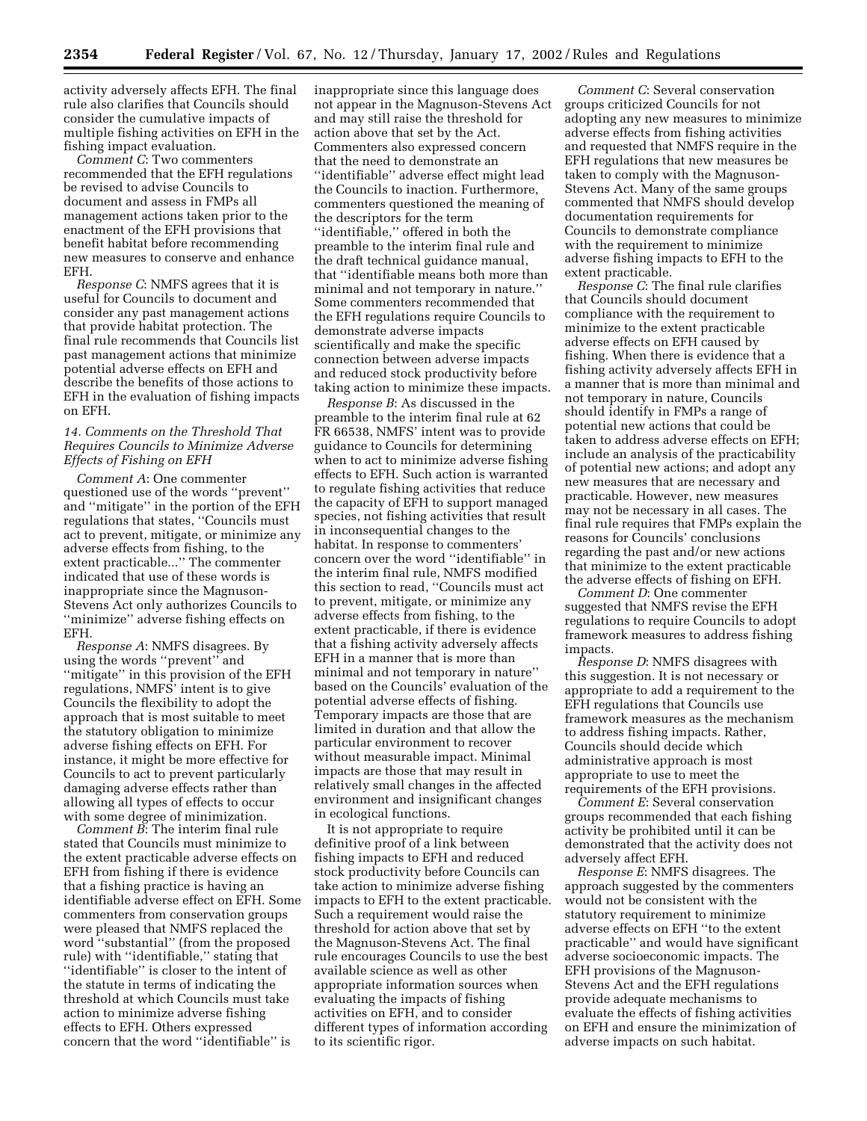activity adversely affects EFH. The final rule also clarifies that Councils should consider the cumulative impacts of multiple fishing activities on EFH in the fishing impact evaluation.

*Comment C*: Two commenters recommended that the EFH regulations be revised to advise Councils to document and assess in FMPs all management actions taken prior to the enactment of the EFH provisions that benefit habitat before recommending new measures to conserve and enhance EFH.

*Response C*: NMFS agrees that it is useful for Councils to document and consider any past management actions that provide habitat protection. The final rule recommends that Councils list past management actions that minimize potential adverse effects on EFH and describe the benefits of those actions to EFH in the evaluation of fishing impacts on EFH.

## *14. Comments on the Threshold That Requires Councils to Minimize Adverse Effects of Fishing on EFH*

*Comment A*: One commenter questioned use of the words ''prevent'' and ''mitigate'' in the portion of the EFH regulations that states, ''Councils must act to prevent, mitigate, or minimize any adverse effects from fishing, to the extent practicable...'' The commenter indicated that use of these words is inappropriate since the Magnuson-Stevens Act only authorizes Councils to ''minimize'' adverse fishing effects on EFH.

*Response A*: NMFS disagrees. By using the words ''prevent'' and ''mitigate'' in this provision of the EFH regulations, NMFS' intent is to give Councils the flexibility to adopt the approach that is most suitable to meet the statutory obligation to minimize adverse fishing effects on EFH. For instance, it might be more effective for Councils to act to prevent particularly damaging adverse effects rather than allowing all types of effects to occur with some degree of minimization.

*Comment B*: The interim final rule stated that Councils must minimize to the extent practicable adverse effects on EFH from fishing if there is evidence that a fishing practice is having an identifiable adverse effect on EFH. Some commenters from conservation groups were pleased that NMFS replaced the word ''substantial'' (from the proposed rule) with ''identifiable,'' stating that ''identifiable'' is closer to the intent of the statute in terms of indicating the threshold at which Councils must take action to minimize adverse fishing effects to EFH. Others expressed concern that the word ''identifiable'' is

inappropriate since this language does not appear in the Magnuson-Stevens Act and may still raise the threshold for action above that set by the Act. Commenters also expressed concern that the need to demonstrate an ''identifiable'' adverse effect might lead the Councils to inaction. Furthermore, commenters questioned the meaning of the descriptors for the term ''identifiable,'' offered in both the preamble to the interim final rule and the draft technical guidance manual, that ''identifiable means both more than minimal and not temporary in nature.'' Some commenters recommended that the EFH regulations require Councils to demonstrate adverse impacts scientifically and make the specific connection between adverse impacts and reduced stock productivity before taking action to minimize these impacts.

*Response B*: As discussed in the preamble to the interim final rule at 62 FR 66538, NMFS' intent was to provide guidance to Councils for determining when to act to minimize adverse fishing effects to EFH. Such action is warranted to regulate fishing activities that reduce the capacity of EFH to support managed species, not fishing activities that result in inconsequential changes to the habitat. In response to commenters' concern over the word ''identifiable'' in the interim final rule, NMFS modified this section to read, ''Councils must act to prevent, mitigate, or minimize any adverse effects from fishing, to the extent practicable, if there is evidence that a fishing activity adversely affects EFH in a manner that is more than minimal and not temporary in nature'' based on the Councils' evaluation of the potential adverse effects of fishing. Temporary impacts are those that are limited in duration and that allow the particular environment to recover without measurable impact. Minimal impacts are those that may result in relatively small changes in the affected environment and insignificant changes in ecological functions.

It is not appropriate to require definitive proof of a link between fishing impacts to EFH and reduced stock productivity before Councils can take action to minimize adverse fishing impacts to EFH to the extent practicable. Such a requirement would raise the threshold for action above that set by the Magnuson-Stevens Act. The final rule encourages Councils to use the best available science as well as other appropriate information sources when evaluating the impacts of fishing activities on EFH, and to consider different types of information according to its scientific rigor.

*Comment C*: Several conservation groups criticized Councils for not adopting any new measures to minimize adverse effects from fishing activities and requested that NMFS require in the EFH regulations that new measures be taken to comply with the Magnuson-Stevens Act. Many of the same groups commented that NMFS should develop documentation requirements for Councils to demonstrate compliance with the requirement to minimize adverse fishing impacts to EFH to the extent practicable.

*Response C*: The final rule clarifies that Councils should document compliance with the requirement to minimize to the extent practicable adverse effects on EFH caused by fishing. When there is evidence that a fishing activity adversely affects EFH in a manner that is more than minimal and not temporary in nature, Councils should identify in FMPs a range of potential new actions that could be taken to address adverse effects on EFH; include an analysis of the practicability of potential new actions; and adopt any new measures that are necessary and practicable. However, new measures may not be necessary in all cases. The final rule requires that FMPs explain the reasons for Councils' conclusions regarding the past and/or new actions that minimize to the extent practicable the adverse effects of fishing on EFH.

*Comment D*: One commenter suggested that NMFS revise the EFH regulations to require Councils to adopt framework measures to address fishing impacts.

*Response D*: NMFS disagrees with this suggestion. It is not necessary or appropriate to add a requirement to the EFH regulations that Councils use framework measures as the mechanism to address fishing impacts. Rather, Councils should decide which administrative approach is most appropriate to use to meet the requirements of the EFH provisions.

*Comment E*: Several conservation groups recommended that each fishing activity be prohibited until it can be demonstrated that the activity does not adversely affect EFH.

*Response E*: NMFS disagrees. The approach suggested by the commenters would not be consistent with the statutory requirement to minimize adverse effects on EFH ''to the extent practicable'' and would have significant adverse socioeconomic impacts. The EFH provisions of the Magnuson-Stevens Act and the EFH regulations provide adequate mechanisms to evaluate the effects of fishing activities on EFH and ensure the minimization of adverse impacts on such habitat.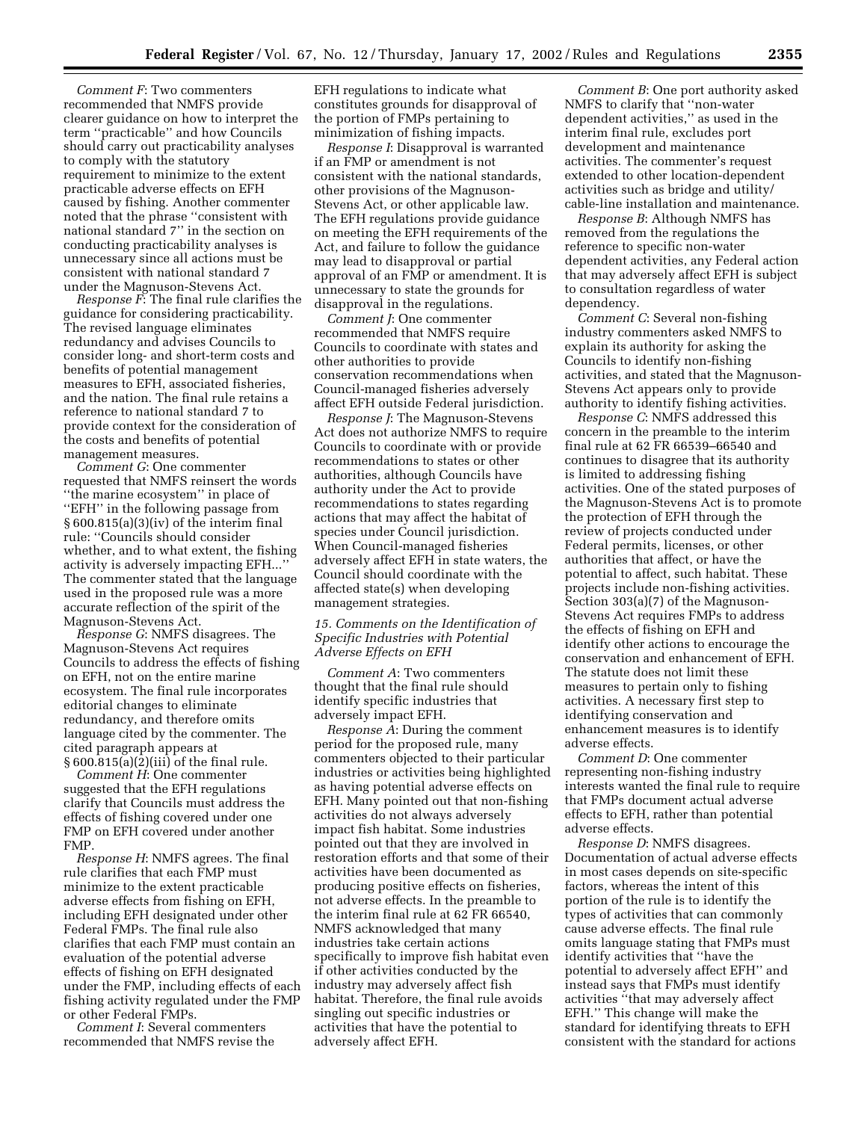*Comment F*: Two commenters recommended that NMFS provide clearer guidance on how to interpret the term ''practicable'' and how Councils should carry out practicability analyses to comply with the statutory requirement to minimize to the extent practicable adverse effects on EFH caused by fishing. Another commenter noted that the phrase ''consistent with national standard 7'' in the section on conducting practicability analyses is unnecessary since all actions must be consistent with national standard 7 under the Magnuson-Stevens Act.

*Response F*: The final rule clarifies the guidance for considering practicability. The revised language eliminates redundancy and advises Councils to consider long- and short-term costs and benefits of potential management measures to EFH, associated fisheries, and the nation. The final rule retains a reference to national standard 7 to provide context for the consideration of the costs and benefits of potential management measures.

*Comment G*: One commenter requested that NMFS reinsert the words ''the marine ecosystem'' in place of ''EFH'' in the following passage from § 600.815(a)(3)(iv) of the interim final rule: ''Councils should consider whether, and to what extent, the fishing activity is adversely impacting EFH...'' The commenter stated that the language used in the proposed rule was a more accurate reflection of the spirit of the Magnuson-Stevens Act.

*Response G*: NMFS disagrees. The Magnuson-Stevens Act requires Councils to address the effects of fishing on EFH, not on the entire marine ecosystem. The final rule incorporates editorial changes to eliminate redundancy, and therefore omits language cited by the commenter. The cited paragraph appears at § 600.815(a)(2)(iii) of the final rule.

*Comment H*: One commenter suggested that the EFH regulations clarify that Councils must address the effects of fishing covered under one FMP on EFH covered under another FMP.

*Response H*: NMFS agrees. The final rule clarifies that each FMP must minimize to the extent practicable adverse effects from fishing on EFH, including EFH designated under other Federal FMPs. The final rule also clarifies that each FMP must contain an evaluation of the potential adverse effects of fishing on EFH designated under the FMP, including effects of each fishing activity regulated under the FMP or other Federal FMPs.

*Comment I*: Several commenters recommended that NMFS revise the EFH regulations to indicate what constitutes grounds for disapproval of the portion of FMPs pertaining to minimization of fishing impacts.

*Response I*: Disapproval is warranted if an FMP or amendment is not consistent with the national standards, other provisions of the Magnuson-Stevens Act, or other applicable law. The EFH regulations provide guidance on meeting the EFH requirements of the Act, and failure to follow the guidance may lead to disapproval or partial approval of an FMP or amendment. It is unnecessary to state the grounds for disapproval in the regulations.

*Comment J*: One commenter recommended that NMFS require Councils to coordinate with states and other authorities to provide conservation recommendations when Council-managed fisheries adversely affect EFH outside Federal jurisdiction.

*Response J*: The Magnuson-Stevens Act does not authorize NMFS to require Councils to coordinate with or provide recommendations to states or other authorities, although Councils have authority under the Act to provide recommendations to states regarding actions that may affect the habitat of species under Council jurisdiction. When Council-managed fisheries adversely affect EFH in state waters, the Council should coordinate with the affected state(s) when developing management strategies.

## *15. Comments on the Identification of Specific Industries with Potential Adverse Effects on EFH*

*Comment A*: Two commenters thought that the final rule should identify specific industries that adversely impact EFH.

*Response A*: During the comment period for the proposed rule, many commenters objected to their particular industries or activities being highlighted as having potential adverse effects on EFH. Many pointed out that non-fishing activities do not always adversely impact fish habitat. Some industries pointed out that they are involved in restoration efforts and that some of their activities have been documented as producing positive effects on fisheries, not adverse effects. In the preamble to the interim final rule at 62 FR 66540, NMFS acknowledged that many industries take certain actions specifically to improve fish habitat even if other activities conducted by the industry may adversely affect fish habitat. Therefore, the final rule avoids singling out specific industries or activities that have the potential to adversely affect EFH.

*Comment B*: One port authority asked NMFS to clarify that ''non-water dependent activities,'' as used in the interim final rule, excludes port development and maintenance activities. The commenter's request extended to other location-dependent activities such as bridge and utility/ cable-line installation and maintenance.

*Response B*: Although NMFS has removed from the regulations the reference to specific non-water dependent activities, any Federal action that may adversely affect EFH is subject to consultation regardless of water dependency.

*Comment C*: Several non-fishing industry commenters asked NMFS to explain its authority for asking the Councils to identify non-fishing activities, and stated that the Magnuson-Stevens Act appears only to provide authority to identify fishing activities.

*Response C*: NMFS addressed this concern in the preamble to the interim final rule at 62 FR 66539–66540 and continues to disagree that its authority is limited to addressing fishing activities. One of the stated purposes of the Magnuson-Stevens Act is to promote the protection of EFH through the review of projects conducted under Federal permits, licenses, or other authorities that affect, or have the potential to affect, such habitat. These projects include non-fishing activities. Section 303(a)(7) of the Magnuson-Stevens Act requires FMPs to address the effects of fishing on EFH and identify other actions to encourage the conservation and enhancement of EFH. The statute does not limit these measures to pertain only to fishing activities. A necessary first step to identifying conservation and enhancement measures is to identify adverse effects.

*Comment D*: One commenter representing non-fishing industry interests wanted the final rule to require that FMPs document actual adverse effects to EFH, rather than potential adverse effects.

*Response D*: NMFS disagrees. Documentation of actual adverse effects in most cases depends on site-specific factors, whereas the intent of this portion of the rule is to identify the types of activities that can commonly cause adverse effects. The final rule omits language stating that FMPs must identify activities that ''have the potential to adversely affect EFH'' and instead says that FMPs must identify activities ''that may adversely affect EFH.'' This change will make the standard for identifying threats to EFH consistent with the standard for actions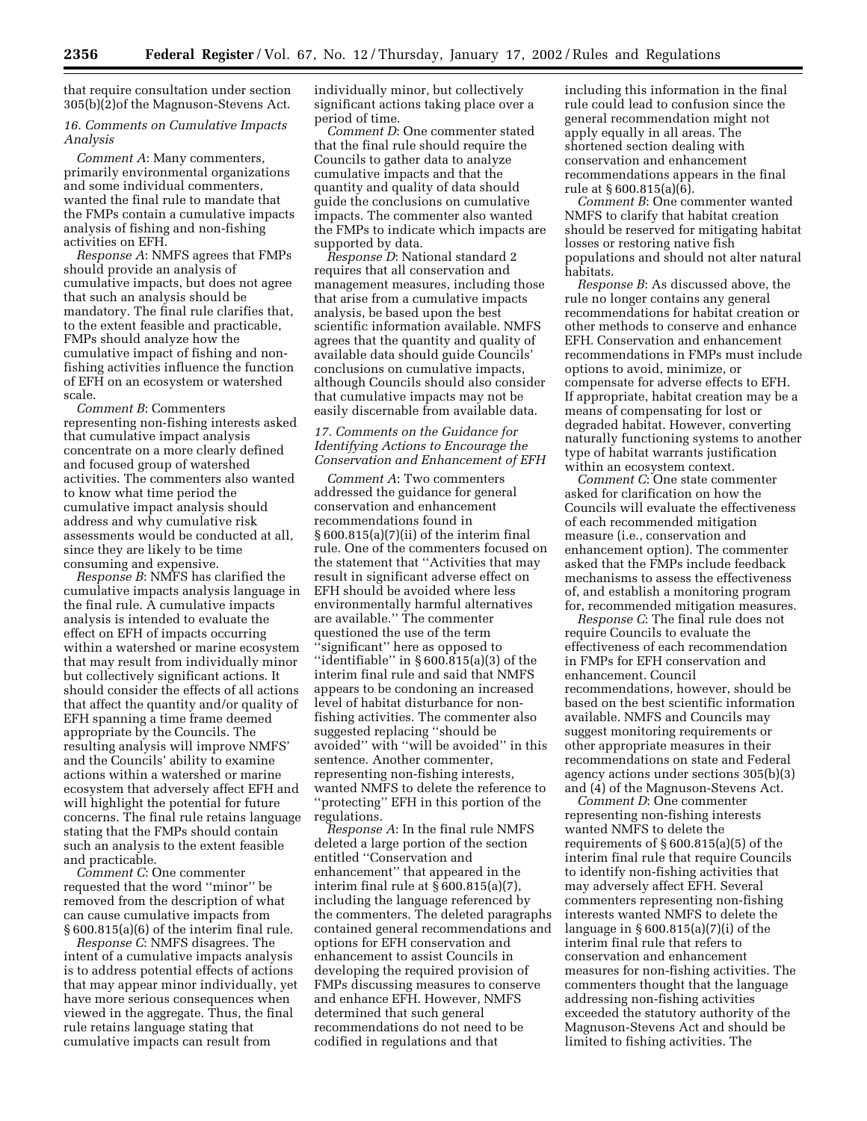that require consultation under section 305(b)(2)of the Magnuson-Stevens Act.

## *16. Comments on Cumulative Impacts Analysis*

*Comment A*: Many commenters, primarily environmental organizations and some individual commenters, wanted the final rule to mandate that the FMPs contain a cumulative impacts analysis of fishing and non-fishing activities on EFH.

*Response A*: NMFS agrees that FMPs should provide an analysis of cumulative impacts, but does not agree that such an analysis should be mandatory. The final rule clarifies that, to the extent feasible and practicable, FMPs should analyze how the cumulative impact of fishing and nonfishing activities influence the function of EFH on an ecosystem or watershed scale.

*Comment B*: Commenters representing non-fishing interests asked that cumulative impact analysis concentrate on a more clearly defined and focused group of watershed activities. The commenters also wanted to know what time period the cumulative impact analysis should address and why cumulative risk assessments would be conducted at all, since they are likely to be time consuming and expensive.

*Response B*: NMFS has clarified the cumulative impacts analysis language in the final rule. A cumulative impacts analysis is intended to evaluate the effect on EFH of impacts occurring within a watershed or marine ecosystem that may result from individually minor but collectively significant actions. It should consider the effects of all actions that affect the quantity and/or quality of EFH spanning a time frame deemed appropriate by the Councils. The resulting analysis will improve NMFS' and the Councils' ability to examine actions within a watershed or marine ecosystem that adversely affect EFH and will highlight the potential for future concerns. The final rule retains language stating that the FMPs should contain such an analysis to the extent feasible and practicable.

*Comment C*: One commenter requested that the word ''minor'' be removed from the description of what can cause cumulative impacts from § 600.815(a)(6) of the interim final rule.

*Response C*: NMFS disagrees. The intent of a cumulative impacts analysis is to address potential effects of actions that may appear minor individually, yet have more serious consequences when viewed in the aggregate. Thus, the final rule retains language stating that cumulative impacts can result from

individually minor, but collectively significant actions taking place over a period of time.

*Comment D*: One commenter stated that the final rule should require the Councils to gather data to analyze cumulative impacts and that the quantity and quality of data should guide the conclusions on cumulative impacts. The commenter also wanted the FMPs to indicate which impacts are supported by data.

*Response D*: National standard 2 requires that all conservation and management measures, including those that arise from a cumulative impacts analysis, be based upon the best scientific information available. NMFS agrees that the quantity and quality of available data should guide Councils' conclusions on cumulative impacts, although Councils should also consider that cumulative impacts may not be easily discernable from available data.

### *17. Comments on the Guidance for Identifying Actions to Encourage the Conservation and Enhancement of EFH*

*Comment A*: Two commenters addressed the guidance for general conservation and enhancement recommendations found in § 600.815(a)(7)(ii) of the interim final rule. One of the commenters focused on the statement that ''Activities that may result in significant adverse effect on EFH should be avoided where less environmentally harmful alternatives are available.'' The commenter questioned the use of the term ''significant'' here as opposed to ''identifiable'' in § 600.815(a)(3) of the interim final rule and said that NMFS appears to be condoning an increased level of habitat disturbance for nonfishing activities. The commenter also suggested replacing ''should be avoided'' with ''will be avoided'' in this sentence. Another commenter, representing non-fishing interests, wanted NMFS to delete the reference to ''protecting'' EFH in this portion of the regulations.

*Response A*: In the final rule NMFS deleted a large portion of the section entitled ''Conservation and enhancement'' that appeared in the interim final rule at  $\S$  600.815(a)(7), including the language referenced by the commenters. The deleted paragraphs contained general recommendations and options for EFH conservation and enhancement to assist Councils in developing the required provision of FMPs discussing measures to conserve and enhance EFH. However, NMFS determined that such general recommendations do not need to be codified in regulations and that

including this information in the final rule could lead to confusion since the general recommendation might not apply equally in all areas. The shortened section dealing with conservation and enhancement recommendations appears in the final rule at § 600.815(a)(6).

*Comment B*: One commenter wanted NMFS to clarify that habitat creation should be reserved for mitigating habitat losses or restoring native fish populations and should not alter natural habitats.

*Response B*: As discussed above, the rule no longer contains any general recommendations for habitat creation or other methods to conserve and enhance EFH. Conservation and enhancement recommendations in FMPs must include options to avoid, minimize, or compensate for adverse effects to EFH. If appropriate, habitat creation may be a means of compensating for lost or degraded habitat. However, converting naturally functioning systems to another type of habitat warrants justification within an ecosystem context.

*Comment C*: One state commenter asked for clarification on how the Councils will evaluate the effectiveness of each recommended mitigation measure (i.e., conservation and enhancement option). The commenter asked that the FMPs include feedback mechanisms to assess the effectiveness of, and establish a monitoring program for, recommended mitigation measures.

*Response C*: The final rule does not require Councils to evaluate the effectiveness of each recommendation in FMPs for EFH conservation and enhancement. Council recommendations, however, should be based on the best scientific information available. NMFS and Councils may suggest monitoring requirements or other appropriate measures in their recommendations on state and Federal agency actions under sections 305(b)(3) and (4) of the Magnuson-Stevens Act.

*Comment D*: One commenter representing non-fishing interests wanted NMFS to delete the requirements of § 600.815(a)(5) of the interim final rule that require Councils to identify non-fishing activities that may adversely affect EFH. Several commenters representing non-fishing interests wanted NMFS to delete the language in § 600.815(a)(7)(i) of the interim final rule that refers to conservation and enhancement measures for non-fishing activities. The commenters thought that the language addressing non-fishing activities exceeded the statutory authority of the Magnuson-Stevens Act and should be limited to fishing activities. The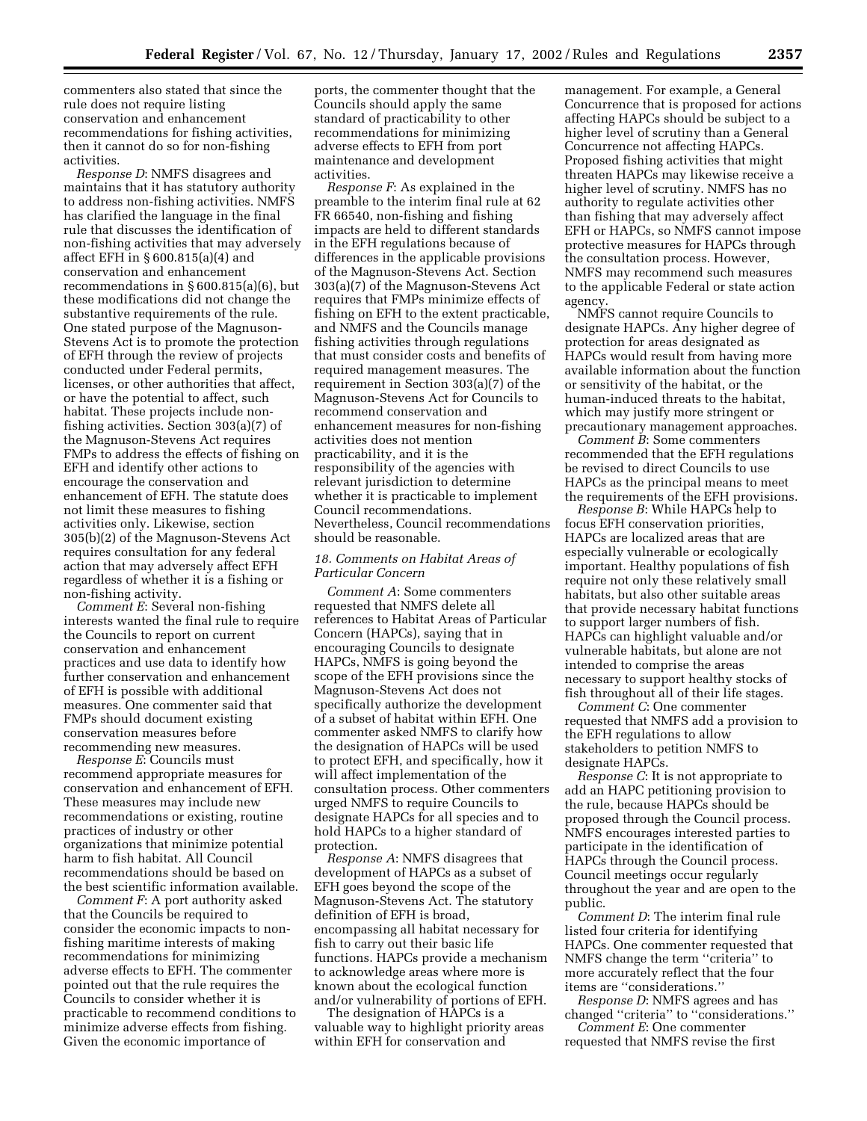commenters also stated that since the rule does not require listing conservation and enhancement recommendations for fishing activities, then it cannot do so for non-fishing activities.

*Response D*: NMFS disagrees and maintains that it has statutory authority to address non-fishing activities. NMFS has clarified the language in the final rule that discusses the identification of non-fishing activities that may adversely affect EFH in § 600.815(a)(4) and conservation and enhancement recommendations in § 600.815(a)(6), but these modifications did not change the substantive requirements of the rule. One stated purpose of the Magnuson-Stevens Act is to promote the protection of EFH through the review of projects conducted under Federal permits, licenses, or other authorities that affect, or have the potential to affect, such habitat. These projects include nonfishing activities. Section 303(a)(7) of the Magnuson-Stevens Act requires FMPs to address the effects of fishing on EFH and identify other actions to encourage the conservation and enhancement of EFH. The statute does not limit these measures to fishing activities only. Likewise, section 305(b)(2) of the Magnuson-Stevens Act requires consultation for any federal action that may adversely affect EFH regardless of whether it is a fishing or non-fishing activity.

*Comment E*: Several non-fishing interests wanted the final rule to require the Councils to report on current conservation and enhancement practices and use data to identify how further conservation and enhancement of EFH is possible with additional measures. One commenter said that FMPs should document existing conservation measures before recommending new measures.

*Response E*: Councils must recommend appropriate measures for conservation and enhancement of EFH. These measures may include new recommendations or existing, routine practices of industry or other organizations that minimize potential harm to fish habitat. All Council recommendations should be based on the best scientific information available.

*Comment F*: A port authority asked that the Councils be required to consider the economic impacts to nonfishing maritime interests of making recommendations for minimizing adverse effects to EFH. The commenter pointed out that the rule requires the Councils to consider whether it is practicable to recommend conditions to minimize adverse effects from fishing. Given the economic importance of

ports, the commenter thought that the Councils should apply the same standard of practicability to other recommendations for minimizing adverse effects to EFH from port maintenance and development activities.

*Response F*: As explained in the preamble to the interim final rule at 62 FR 66540, non-fishing and fishing impacts are held to different standards in the EFH regulations because of differences in the applicable provisions of the Magnuson-Stevens Act. Section 303(a)(7) of the Magnuson-Stevens Act requires that FMPs minimize effects of fishing on EFH to the extent practicable, and NMFS and the Councils manage fishing activities through regulations that must consider costs and benefits of required management measures. The requirement in Section 303(a)(7) of the Magnuson-Stevens Act for Councils to recommend conservation and enhancement measures for non-fishing activities does not mention practicability, and it is the responsibility of the agencies with relevant jurisdiction to determine whether it is practicable to implement Council recommendations. Nevertheless, Council recommendations should be reasonable.

### *18. Comments on Habitat Areas of Particular Concern*

*Comment A*: Some commenters requested that NMFS delete all references to Habitat Areas of Particular Concern (HAPCs), saying that in encouraging Councils to designate HAPCs, NMFS is going beyond the scope of the EFH provisions since the Magnuson-Stevens Act does not specifically authorize the development of a subset of habitat within EFH. One commenter asked NMFS to clarify how the designation of HAPCs will be used to protect EFH, and specifically, how it will affect implementation of the consultation process. Other commenters urged NMFS to require Councils to designate HAPCs for all species and to hold HAPCs to a higher standard of protection.

*Response A*: NMFS disagrees that development of HAPCs as a subset of EFH goes beyond the scope of the Magnuson-Stevens Act. The statutory definition of EFH is broad, encompassing all habitat necessary for fish to carry out their basic life functions. HAPCs provide a mechanism to acknowledge areas where more is known about the ecological function and/or vulnerability of portions of EFH.

The designation of HAPCs is a valuable way to highlight priority areas within EFH for conservation and

management. For example, a General Concurrence that is proposed for actions affecting HAPCs should be subject to a higher level of scrutiny than a General Concurrence not affecting HAPCs. Proposed fishing activities that might threaten HAPCs may likewise receive a higher level of scrutiny. NMFS has no authority to regulate activities other than fishing that may adversely affect EFH or HAPCs, so NMFS cannot impose protective measures for HAPCs through the consultation process. However, NMFS may recommend such measures to the applicable Federal or state action agency.

NMFS cannot require Councils to designate HAPCs. Any higher degree of protection for areas designated as HAPCs would result from having more available information about the function or sensitivity of the habitat, or the human-induced threats to the habitat, which may justify more stringent or precautionary management approaches.

*Comment B*: Some commenters recommended that the EFH regulations be revised to direct Councils to use HAPCs as the principal means to meet the requirements of the EFH provisions.

*Response B*: While HAPCs help to focus EFH conservation priorities, HAPCs are localized areas that are especially vulnerable or ecologically important. Healthy populations of fish require not only these relatively small habitats, but also other suitable areas that provide necessary habitat functions to support larger numbers of fish. HAPCs can highlight valuable and/or vulnerable habitats, but alone are not intended to comprise the areas necessary to support healthy stocks of fish throughout all of their life stages.

*Comment C*: One commenter requested that NMFS add a provision to the EFH regulations to allow stakeholders to petition NMFS to designate HAPCs.

*Response C*: It is not appropriate to add an HAPC petitioning provision to the rule, because HAPCs should be proposed through the Council process. NMFS encourages interested parties to participate in the identification of HAPCs through the Council process. Council meetings occur regularly throughout the year and are open to the public.

*Comment D*: The interim final rule listed four criteria for identifying HAPCs. One commenter requested that NMFS change the term ''criteria'' to more accurately reflect that the four items are ''considerations.''

*Response D*: NMFS agrees and has changed ''criteria'' to ''considerations.''

*Comment E*: One commenter requested that NMFS revise the first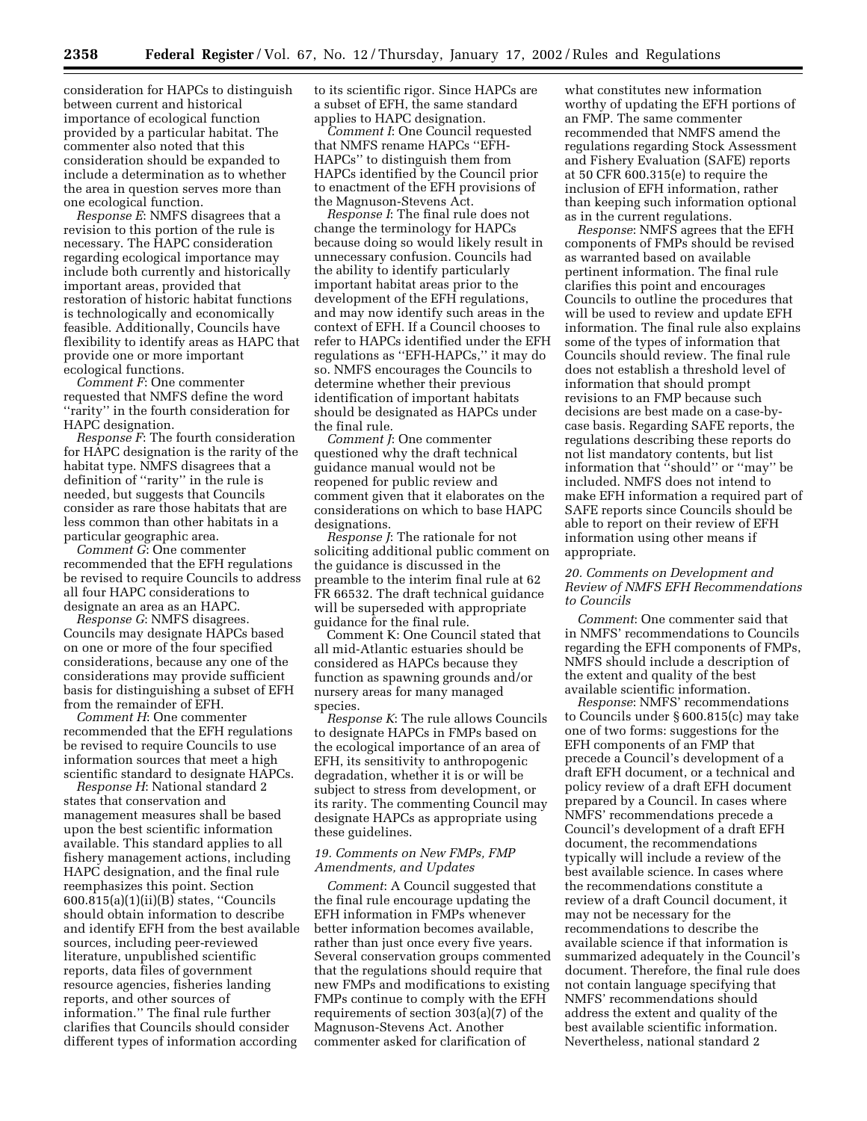consideration for HAPCs to distinguish between current and historical importance of ecological function provided by a particular habitat. The commenter also noted that this consideration should be expanded to include a determination as to whether the area in question serves more than one ecological function.

*Response E*: NMFS disagrees that a revision to this portion of the rule is necessary. The HAPC consideration regarding ecological importance may include both currently and historically important areas, provided that restoration of historic habitat functions is technologically and economically feasible. Additionally, Councils have flexibility to identify areas as HAPC that provide one or more important ecological functions.

*Comment F*: One commenter requested that NMFS define the word ''rarity'' in the fourth consideration for HAPC designation.

*Response F*: The fourth consideration for HAPC designation is the rarity of the habitat type. NMFS disagrees that a definition of ''rarity'' in the rule is needed, but suggests that Councils consider as rare those habitats that are less common than other habitats in a particular geographic area.

*Comment G*: One commenter recommended that the EFH regulations be revised to require Councils to address all four HAPC considerations to designate an area as an HAPC.

*Response G*: NMFS disagrees. Councils may designate HAPCs based on one or more of the four specified considerations, because any one of the considerations may provide sufficient basis for distinguishing a subset of EFH from the remainder of EFH.

*Comment H*: One commenter recommended that the EFH regulations be revised to require Councils to use information sources that meet a high scientific standard to designate HAPCs.

*Response H*: National standard 2 states that conservation and management measures shall be based upon the best scientific information available. This standard applies to all fishery management actions, including HAPC designation, and the final rule reemphasizes this point. Section 600.815(a)(1)(ii)(B) states, ''Councils should obtain information to describe and identify EFH from the best available sources, including peer-reviewed literature, unpublished scientific reports, data files of government resource agencies, fisheries landing reports, and other sources of information.'' The final rule further clarifies that Councils should consider different types of information according

to its scientific rigor. Since HAPCs are a subset of EFH, the same standard applies to HAPC designation.

*Comment I*: One Council requested that NMFS rename HAPCs ''EFH-HAPCs'' to distinguish them from HAPCs identified by the Council prior to enactment of the EFH provisions of the Magnuson-Stevens Act.

*Response I*: The final rule does not change the terminology for HAPCs because doing so would likely result in unnecessary confusion. Councils had the ability to identify particularly important habitat areas prior to the development of the EFH regulations, and may now identify such areas in the context of EFH. If a Council chooses to refer to HAPCs identified under the EFH regulations as ''EFH-HAPCs,'' it may do so. NMFS encourages the Councils to determine whether their previous identification of important habitats should be designated as HAPCs under the final rule.

*Comment J*: One commenter questioned why the draft technical guidance manual would not be reopened for public review and comment given that it elaborates on the considerations on which to base HAPC designations.

*Response J*: The rationale for not soliciting additional public comment on the guidance is discussed in the preamble to the interim final rule at 62 FR 66532. The draft technical guidance will be superseded with appropriate guidance for the final rule.

Comment K: One Council stated that all mid-Atlantic estuaries should be considered as HAPCs because they function as spawning grounds and/or nursery areas for many managed species.

*Response K*: The rule allows Councils to designate HAPCs in FMPs based on the ecological importance of an area of EFH, its sensitivity to anthropogenic degradation, whether it is or will be subject to stress from development, or its rarity. The commenting Council may designate HAPCs as appropriate using these guidelines.

#### *19. Comments on New FMPs, FMP Amendments, and Updates*

*Comment*: A Council suggested that the final rule encourage updating the EFH information in FMPs whenever better information becomes available, rather than just once every five years. Several conservation groups commented that the regulations should require that new FMPs and modifications to existing FMPs continue to comply with the EFH requirements of section 303(a)(7) of the Magnuson-Stevens Act. Another commenter asked for clarification of

what constitutes new information worthy of updating the EFH portions of an FMP. The same commenter recommended that NMFS amend the regulations regarding Stock Assessment and Fishery Evaluation (SAFE) reports at 50 CFR 600.315(e) to require the inclusion of EFH information, rather than keeping such information optional as in the current regulations.

*Response*: NMFS agrees that the EFH components of FMPs should be revised as warranted based on available pertinent information. The final rule clarifies this point and encourages Councils to outline the procedures that will be used to review and update EFH information. The final rule also explains some of the types of information that Councils should review. The final rule does not establish a threshold level of information that should prompt revisions to an FMP because such decisions are best made on a case-bycase basis. Regarding SAFE reports, the regulations describing these reports do not list mandatory contents, but list information that ''should'' or ''may'' be included. NMFS does not intend to make EFH information a required part of SAFE reports since Councils should be able to report on their review of EFH information using other means if appropriate.

## *20. Comments on Development and Review of NMFS EFH Recommendations to Councils*

*Comment*: One commenter said that in NMFS' recommendations to Councils regarding the EFH components of FMPs, NMFS should include a description of the extent and quality of the best available scientific information.

*Response*: NMFS' recommendations to Councils under § 600.815(c) may take one of two forms: suggestions for the EFH components of an FMP that precede a Council's development of a draft EFH document, or a technical and policy review of a draft EFH document prepared by a Council. In cases where NMFS' recommendations precede a Council's development of a draft EFH document, the recommendations typically will include a review of the best available science. In cases where the recommendations constitute a review of a draft Council document, it may not be necessary for the recommendations to describe the available science if that information is summarized adequately in the Council's document. Therefore, the final rule does not contain language specifying that NMFS' recommendations should address the extent and quality of the best available scientific information. Nevertheless, national standard 2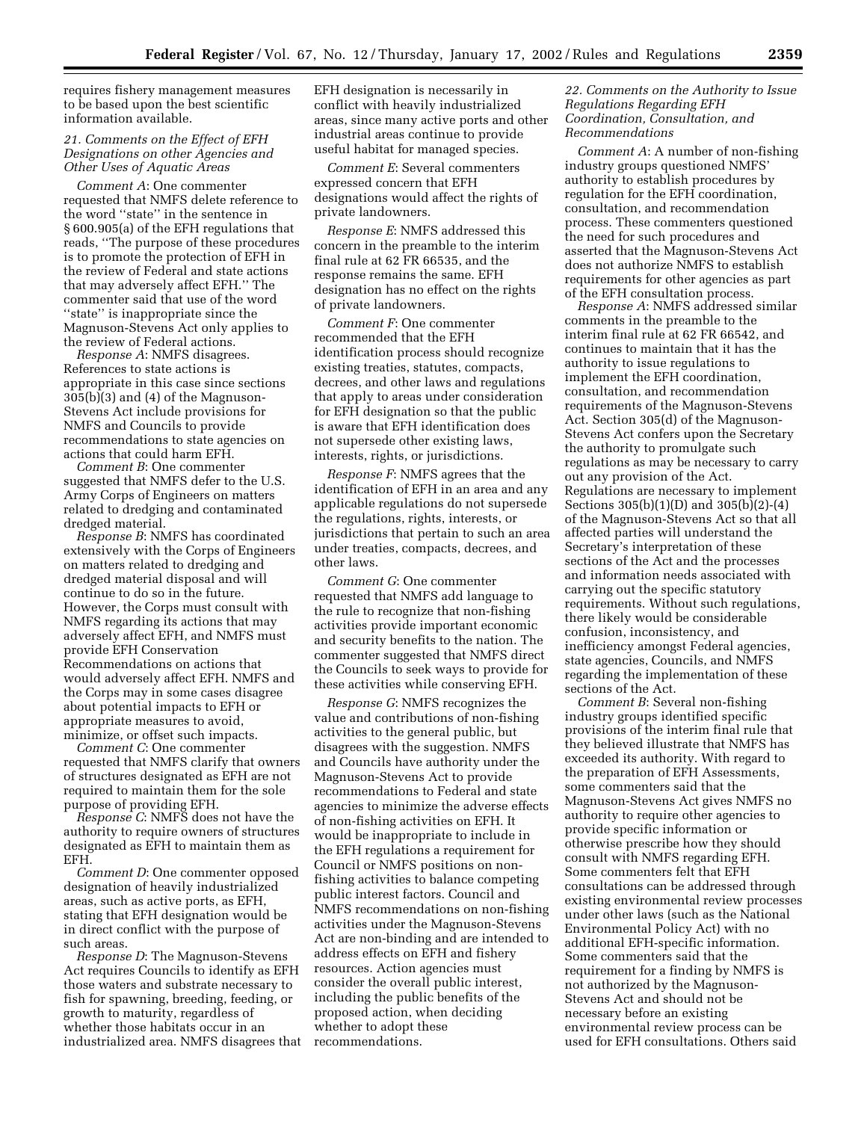requires fishery management measures to be based upon the best scientific information available.

## *21. Comments on the Effect of EFH Designations on other Agencies and Other Uses of Aquatic Areas*

*Comment A*: One commenter requested that NMFS delete reference to the word ''state'' in the sentence in § 600.905(a) of the EFH regulations that reads, ''The purpose of these procedures is to promote the protection of EFH in the review of Federal and state actions that may adversely affect EFH.'' The commenter said that use of the word ''state'' is inappropriate since the Magnuson-Stevens Act only applies to the review of Federal actions.

*Response A*: NMFS disagrees. References to state actions is appropriate in this case since sections 305(b)(3) and (4) of the Magnuson-Stevens Act include provisions for NMFS and Councils to provide recommendations to state agencies on actions that could harm EFH.

*Comment B*: One commenter suggested that NMFS defer to the U.S. Army Corps of Engineers on matters related to dredging and contaminated dredged material.

*Response B*: NMFS has coordinated extensively with the Corps of Engineers on matters related to dredging and dredged material disposal and will continue to do so in the future. However, the Corps must consult with NMFS regarding its actions that may adversely affect EFH, and NMFS must provide EFH Conservation Recommendations on actions that would adversely affect EFH. NMFS and the Corps may in some cases disagree about potential impacts to EFH or appropriate measures to avoid, minimize, or offset such impacts.

*Comment C*: One commenter requested that NMFS clarify that owners of structures designated as EFH are not required to maintain them for the sole purpose of providing EFH.

*Response C*: NMFS does not have the authority to require owners of structures designated as EFH to maintain them as EFH.

*Comment D*: One commenter opposed designation of heavily industrialized areas, such as active ports, as EFH, stating that EFH designation would be in direct conflict with the purpose of such areas.

*Response D*: The Magnuson-Stevens Act requires Councils to identify as EFH those waters and substrate necessary to fish for spawning, breeding, feeding, or growth to maturity, regardless of whether those habitats occur in an industrialized area. NMFS disagrees that EFH designation is necessarily in conflict with heavily industrialized areas, since many active ports and other industrial areas continue to provide useful habitat for managed species.

*Comment E*: Several commenters expressed concern that EFH designations would affect the rights of private landowners.

*Response E*: NMFS addressed this concern in the preamble to the interim final rule at 62 FR 66535, and the response remains the same. EFH designation has no effect on the rights of private landowners.

*Comment F*: One commenter recommended that the EFH identification process should recognize existing treaties, statutes, compacts, decrees, and other laws and regulations that apply to areas under consideration for EFH designation so that the public is aware that EFH identification does not supersede other existing laws, interests, rights, or jurisdictions.

*Response F*: NMFS agrees that the identification of EFH in an area and any applicable regulations do not supersede the regulations, rights, interests, or jurisdictions that pertain to such an area under treaties, compacts, decrees, and other laws.

*Comment G*: One commenter requested that NMFS add language to the rule to recognize that non-fishing activities provide important economic and security benefits to the nation. The commenter suggested that NMFS direct the Councils to seek ways to provide for these activities while conserving EFH.

*Response G*: NMFS recognizes the value and contributions of non-fishing activities to the general public, but disagrees with the suggestion. NMFS and Councils have authority under the Magnuson-Stevens Act to provide recommendations to Federal and state agencies to minimize the adverse effects of non-fishing activities on EFH. It would be inappropriate to include in the EFH regulations a requirement for Council or NMFS positions on nonfishing activities to balance competing public interest factors. Council and NMFS recommendations on non-fishing activities under the Magnuson-Stevens Act are non-binding and are intended to address effects on EFH and fishery resources. Action agencies must consider the overall public interest, including the public benefits of the proposed action, when deciding whether to adopt these recommendations.

## *22. Comments on the Authority to Issue Regulations Regarding EFH Coordination, Consultation, and Recommendations*

*Comment A*: A number of non-fishing industry groups questioned NMFS' authority to establish procedures by regulation for the EFH coordination, consultation, and recommendation process. These commenters questioned the need for such procedures and asserted that the Magnuson-Stevens Act does not authorize NMFS to establish requirements for other agencies as part of the EFH consultation process.

*Response A*: NMFS addressed similar comments in the preamble to the interim final rule at 62 FR 66542, and continues to maintain that it has the authority to issue regulations to implement the EFH coordination, consultation, and recommendation requirements of the Magnuson-Stevens Act. Section 305(d) of the Magnuson-Stevens Act confers upon the Secretary the authority to promulgate such regulations as may be necessary to carry out any provision of the Act. Regulations are necessary to implement Sections 305(b)(1)(D) and 305(b)(2)-(4) of the Magnuson-Stevens Act so that all affected parties will understand the Secretary's interpretation of these sections of the Act and the processes and information needs associated with carrying out the specific statutory requirements. Without such regulations, there likely would be considerable confusion, inconsistency, and inefficiency amongst Federal agencies, state agencies, Councils, and NMFS regarding the implementation of these sections of the Act.

*Comment B*: Several non-fishing industry groups identified specific provisions of the interim final rule that they believed illustrate that NMFS has exceeded its authority. With regard to the preparation of EFH Assessments, some commenters said that the Magnuson-Stevens Act gives NMFS no authority to require other agencies to provide specific information or otherwise prescribe how they should consult with NMFS regarding EFH. Some commenters felt that EFH consultations can be addressed through existing environmental review processes under other laws (such as the National Environmental Policy Act) with no additional EFH-specific information. Some commenters said that the requirement for a finding by NMFS is not authorized by the Magnuson-Stevens Act and should not be necessary before an existing environmental review process can be used for EFH consultations. Others said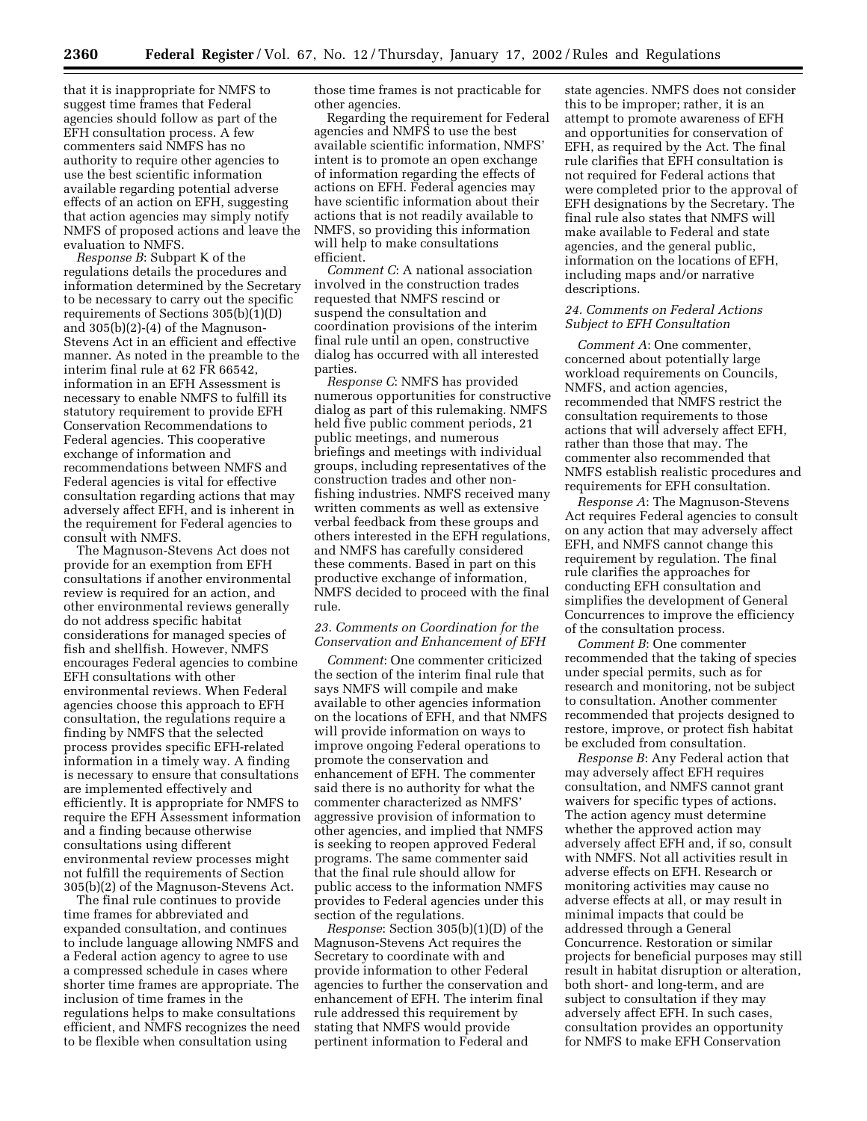that it is inappropriate for NMFS to suggest time frames that Federal agencies should follow as part of the EFH consultation process. A few commenters said NMFS has no authority to require other agencies to use the best scientific information available regarding potential adverse effects of an action on EFH, suggesting that action agencies may simply notify NMFS of proposed actions and leave the evaluation to NMFS.

*Response B*: Subpart K of the regulations details the procedures and information determined by the Secretary to be necessary to carry out the specific requirements of Sections 305(b)(1)(D) and 305(b)(2)-(4) of the Magnuson-Stevens Act in an efficient and effective manner. As noted in the preamble to the interim final rule at 62 FR 66542, information in an EFH Assessment is necessary to enable NMFS to fulfill its statutory requirement to provide EFH Conservation Recommendations to Federal agencies. This cooperative exchange of information and recommendations between NMFS and Federal agencies is vital for effective consultation regarding actions that may adversely affect EFH, and is inherent in the requirement for Federal agencies to consult with NMFS.

The Magnuson-Stevens Act does not provide for an exemption from EFH consultations if another environmental review is required for an action, and other environmental reviews generally do not address specific habitat considerations for managed species of fish and shellfish. However, NMFS encourages Federal agencies to combine EFH consultations with other environmental reviews. When Federal agencies choose this approach to EFH consultation, the regulations require a finding by NMFS that the selected process provides specific EFH-related information in a timely way. A finding is necessary to ensure that consultations are implemented effectively and efficiently. It is appropriate for NMFS to require the EFH Assessment information and a finding because otherwise consultations using different environmental review processes might not fulfill the requirements of Section 305(b)(2) of the Magnuson-Stevens Act.

The final rule continues to provide time frames for abbreviated and expanded consultation, and continues to include language allowing NMFS and a Federal action agency to agree to use a compressed schedule in cases where shorter time frames are appropriate. The inclusion of time frames in the regulations helps to make consultations efficient, and NMFS recognizes the need to be flexible when consultation using

those time frames is not practicable for other agencies.

Regarding the requirement for Federal agencies and NMFS to use the best available scientific information, NMFS' intent is to promote an open exchange of information regarding the effects of actions on EFH. Federal agencies may have scientific information about their actions that is not readily available to NMFS, so providing this information will help to make consultations efficient.

*Comment C*: A national association involved in the construction trades requested that NMFS rescind or suspend the consultation and coordination provisions of the interim final rule until an open, constructive dialog has occurred with all interested parties.

*Response C*: NMFS has provided numerous opportunities for constructive dialog as part of this rulemaking. NMFS held five public comment periods, 21 public meetings, and numerous briefings and meetings with individual groups, including representatives of the construction trades and other nonfishing industries. NMFS received many written comments as well as extensive verbal feedback from these groups and others interested in the EFH regulations, and NMFS has carefully considered these comments. Based in part on this productive exchange of information, NMFS decided to proceed with the final rule.

# *23. Comments on Coordination for the Conservation and Enhancement of EFH*

*Comment*: One commenter criticized the section of the interim final rule that says NMFS will compile and make available to other agencies information on the locations of EFH, and that NMFS will provide information on ways to improve ongoing Federal operations to promote the conservation and enhancement of EFH. The commenter said there is no authority for what the commenter characterized as NMFS' aggressive provision of information to other agencies, and implied that NMFS is seeking to reopen approved Federal programs. The same commenter said that the final rule should allow for public access to the information NMFS provides to Federal agencies under this section of the regulations.

*Response*: Section 305(b)(1)(D) of the Magnuson-Stevens Act requires the Secretary to coordinate with and provide information to other Federal agencies to further the conservation and enhancement of EFH. The interim final rule addressed this requirement by stating that NMFS would provide pertinent information to Federal and

state agencies. NMFS does not consider this to be improper; rather, it is an attempt to promote awareness of EFH and opportunities for conservation of EFH, as required by the Act. The final rule clarifies that EFH consultation is not required for Federal actions that were completed prior to the approval of EFH designations by the Secretary. The final rule also states that NMFS will make available to Federal and state agencies, and the general public, information on the locations of EFH, including maps and/or narrative descriptions.

### *24. Comments on Federal Actions Subject to EFH Consultation*

*Comment A*: One commenter, concerned about potentially large workload requirements on Councils, NMFS, and action agencies, recommended that NMFS restrict the consultation requirements to those actions that will adversely affect EFH, rather than those that may. The commenter also recommended that NMFS establish realistic procedures and requirements for EFH consultation.

*Response A*: The Magnuson-Stevens Act requires Federal agencies to consult on any action that may adversely affect EFH, and NMFS cannot change this requirement by regulation. The final rule clarifies the approaches for conducting EFH consultation and simplifies the development of General Concurrences to improve the efficiency of the consultation process.

*Comment B*: One commenter recommended that the taking of species under special permits, such as for research and monitoring, not be subject to consultation. Another commenter recommended that projects designed to restore, improve, or protect fish habitat be excluded from consultation.

*Response B*: Any Federal action that may adversely affect EFH requires consultation, and NMFS cannot grant waivers for specific types of actions. The action agency must determine whether the approved action may adversely affect EFH and, if so, consult with NMFS. Not all activities result in adverse effects on EFH. Research or monitoring activities may cause no adverse effects at all, or may result in minimal impacts that could be addressed through a General Concurrence. Restoration or similar projects for beneficial purposes may still result in habitat disruption or alteration, both short- and long-term, and are subject to consultation if they may adversely affect EFH. In such cases, consultation provides an opportunity for NMFS to make EFH Conservation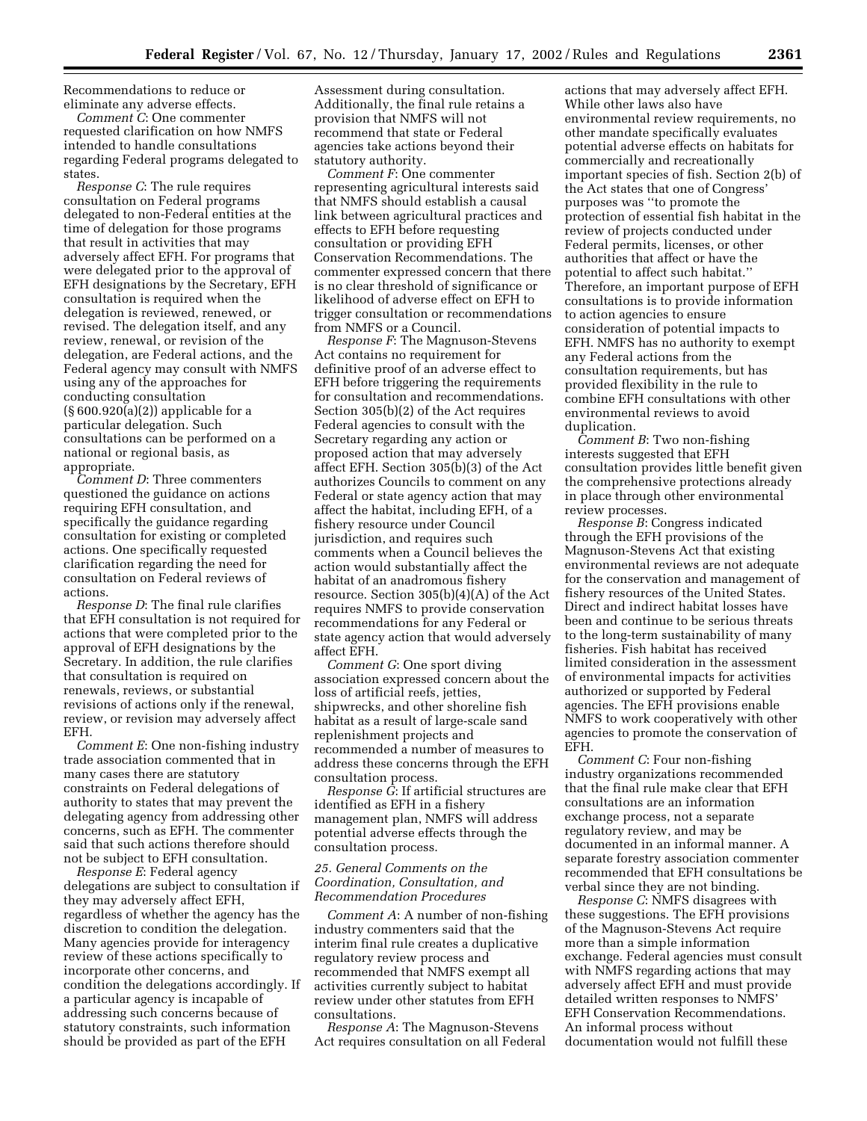Recommendations to reduce or eliminate any adverse effects.

*Comment C*: One commenter requested clarification on how NMFS intended to handle consultations regarding Federal programs delegated to states.

*Response C*: The rule requires consultation on Federal programs delegated to non-Federal entities at the time of delegation for those programs that result in activities that may adversely affect EFH. For programs that were delegated prior to the approval of EFH designations by the Secretary, EFH consultation is required when the delegation is reviewed, renewed, or revised. The delegation itself, and any review, renewal, or revision of the delegation, are Federal actions, and the Federal agency may consult with NMFS using any of the approaches for conducting consultation (§ 600.920(a)(2)) applicable for a particular delegation. Such consultations can be performed on a national or regional basis, as appropriate.

*Comment D*: Three commenters questioned the guidance on actions requiring EFH consultation, and specifically the guidance regarding consultation for existing or completed actions. One specifically requested clarification regarding the need for consultation on Federal reviews of actions.

*Response D*: The final rule clarifies that EFH consultation is not required for actions that were completed prior to the approval of EFH designations by the Secretary. In addition, the rule clarifies that consultation is required on renewals, reviews, or substantial revisions of actions only if the renewal, review, or revision may adversely affect EFH.

*Comment E*: One non-fishing industry trade association commented that in many cases there are statutory constraints on Federal delegations of authority to states that may prevent the delegating agency from addressing other concerns, such as EFH. The commenter said that such actions therefore should not be subject to EFH consultation.

*Response E*: Federal agency delegations are subject to consultation if they may adversely affect EFH, regardless of whether the agency has the discretion to condition the delegation. Many agencies provide for interagency review of these actions specifically to incorporate other concerns, and condition the delegations accordingly. If a particular agency is incapable of addressing such concerns because of statutory constraints, such information should be provided as part of the EFH

Assessment during consultation. Additionally, the final rule retains a provision that NMFS will not recommend that state or Federal agencies take actions beyond their statutory authority.

*Comment F*: One commenter representing agricultural interests said that NMFS should establish a causal link between agricultural practices and effects to EFH before requesting consultation or providing EFH Conservation Recommendations. The commenter expressed concern that there is no clear threshold of significance or likelihood of adverse effect on EFH to trigger consultation or recommendations from NMFS or a Council.

*Response F*: The Magnuson-Stevens Act contains no requirement for definitive proof of an adverse effect to EFH before triggering the requirements for consultation and recommendations. Section 305(b)(2) of the Act requires Federal agencies to consult with the Secretary regarding any action or proposed action that may adversely affect EFH. Section 305(b)(3) of the Act authorizes Councils to comment on any Federal or state agency action that may affect the habitat, including EFH, of a fishery resource under Council jurisdiction, and requires such comments when a Council believes the action would substantially affect the habitat of an anadromous fishery resource. Section 305(b)(4)(A) of the Act requires NMFS to provide conservation recommendations for any Federal or state agency action that would adversely affect EFH.

*Comment G*: One sport diving association expressed concern about the loss of artificial reefs, jetties, shipwrecks, and other shoreline fish habitat as a result of large-scale sand replenishment projects and recommended a number of measures to address these concerns through the EFH consultation process.

*Response G*: If artificial structures are identified as EFH in a fishery management plan, NMFS will address potential adverse effects through the consultation process.

### *25. General Comments on the Coordination, Consultation, and Recommendation Procedures*

*Comment A*: A number of non-fishing industry commenters said that the interim final rule creates a duplicative regulatory review process and recommended that NMFS exempt all activities currently subject to habitat review under other statutes from EFH consultations.

*Response A*: The Magnuson-Stevens Act requires consultation on all Federal actions that may adversely affect EFH. While other laws also have environmental review requirements, no other mandate specifically evaluates potential adverse effects on habitats for commercially and recreationally important species of fish. Section 2(b) of the Act states that one of Congress' purposes was ''to promote the protection of essential fish habitat in the review of projects conducted under Federal permits, licenses, or other authorities that affect or have the potential to affect such habitat.'' Therefore, an important purpose of EFH consultations is to provide information to action agencies to ensure consideration of potential impacts to EFH. NMFS has no authority to exempt any Federal actions from the consultation requirements, but has provided flexibility in the rule to combine EFH consultations with other environmental reviews to avoid duplication.

*Comment B*: Two non-fishing interests suggested that EFH consultation provides little benefit given the comprehensive protections already in place through other environmental review processes.

*Response B*: Congress indicated through the EFH provisions of the Magnuson-Stevens Act that existing environmental reviews are not adequate for the conservation and management of fishery resources of the United States. Direct and indirect habitat losses have been and continue to be serious threats to the long-term sustainability of many fisheries. Fish habitat has received limited consideration in the assessment of environmental impacts for activities authorized or supported by Federal agencies. The EFH provisions enable NMFS to work cooperatively with other agencies to promote the conservation of EFH.

*Comment C*: Four non-fishing industry organizations recommended that the final rule make clear that EFH consultations are an information exchange process, not a separate regulatory review, and may be documented in an informal manner. A separate forestry association commenter recommended that EFH consultations be verbal since they are not binding.

*Response C*: NMFS disagrees with these suggestions. The EFH provisions of the Magnuson-Stevens Act require more than a simple information exchange. Federal agencies must consult with NMFS regarding actions that may adversely affect EFH and must provide detailed written responses to NMFS' EFH Conservation Recommendations. An informal process without documentation would not fulfill these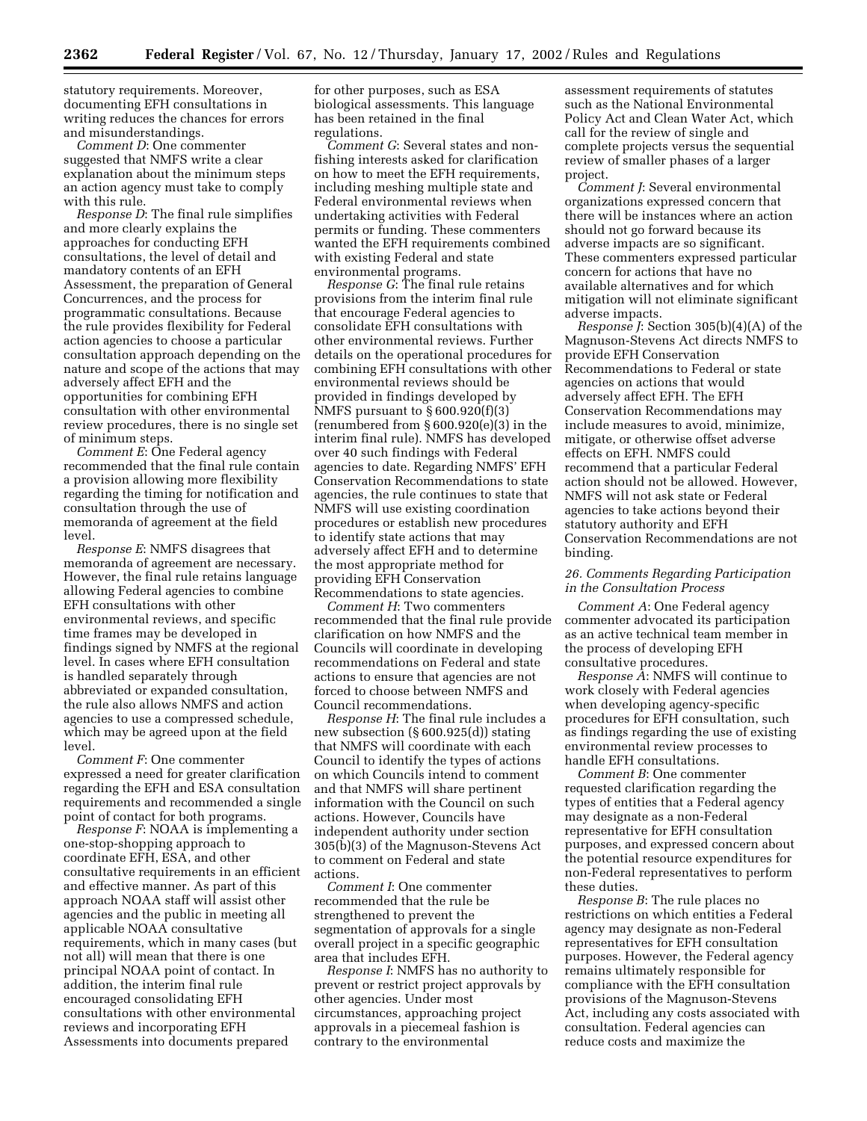statutory requirements. Moreover, documenting EFH consultations in writing reduces the chances for errors and misunderstandings.

*Comment D*: One commenter suggested that NMFS write a clear explanation about the minimum steps an action agency must take to comply with this rule.

*Response D*: The final rule simplifies and more clearly explains the approaches for conducting EFH consultations, the level of detail and mandatory contents of an EFH Assessment, the preparation of General Concurrences, and the process for programmatic consultations. Because the rule provides flexibility for Federal action agencies to choose a particular consultation approach depending on the nature and scope of the actions that may adversely affect EFH and the opportunities for combining EFH consultation with other environmental review procedures, there is no single set of minimum steps.

*Comment E*: One Federal agency recommended that the final rule contain a provision allowing more flexibility regarding the timing for notification and consultation through the use of memoranda of agreement at the field level.

*Response E*: NMFS disagrees that memoranda of agreement are necessary. However, the final rule retains language allowing Federal agencies to combine EFH consultations with other environmental reviews, and specific time frames may be developed in findings signed by NMFS at the regional level. In cases where EFH consultation is handled separately through abbreviated or expanded consultation, the rule also allows NMFS and action agencies to use a compressed schedule, which may be agreed upon at the field level.

*Comment F*: One commenter expressed a need for greater clarification regarding the EFH and ESA consultation requirements and recommended a single point of contact for both programs.

*Response F*: NOAA is implementing a one-stop-shopping approach to coordinate EFH, ESA, and other consultative requirements in an efficient and effective manner. As part of this approach NOAA staff will assist other agencies and the public in meeting all applicable NOAA consultative requirements, which in many cases (but not all) will mean that there is one principal NOAA point of contact. In addition, the interim final rule encouraged consolidating EFH consultations with other environmental reviews and incorporating EFH Assessments into documents prepared

for other purposes, such as ESA biological assessments. This language has been retained in the final regulations.

*Comment G*: Several states and nonfishing interests asked for clarification on how to meet the EFH requirements, including meshing multiple state and Federal environmental reviews when undertaking activities with Federal permits or funding. These commenters wanted the EFH requirements combined with existing Federal and state environmental programs.

*Response G*: The final rule retains provisions from the interim final rule that encourage Federal agencies to consolidate EFH consultations with other environmental reviews. Further details on the operational procedures for combining EFH consultations with other environmental reviews should be provided in findings developed by NMFS pursuant to § 600.920(f)(3) (renumbered from § 600.920(e)(3) in the interim final rule). NMFS has developed over 40 such findings with Federal agencies to date. Regarding NMFS' EFH Conservation Recommendations to state agencies, the rule continues to state that NMFS will use existing coordination procedures or establish new procedures to identify state actions that may adversely affect EFH and to determine the most appropriate method for providing EFH Conservation Recommendations to state agencies.

*Comment H*: Two commenters recommended that the final rule provide clarification on how NMFS and the Councils will coordinate in developing recommendations on Federal and state actions to ensure that agencies are not forced to choose between NMFS and Council recommendations.

*Response H*: The final rule includes a new subsection (§ 600.925(d)) stating that NMFS will coordinate with each Council to identify the types of actions on which Councils intend to comment and that NMFS will share pertinent information with the Council on such actions. However, Councils have independent authority under section 305(b)(3) of the Magnuson-Stevens Act to comment on Federal and state actions.

*Comment I*: One commenter recommended that the rule be strengthened to prevent the segmentation of approvals for a single overall project in a specific geographic area that includes EFH.

*Response I*: NMFS has no authority to prevent or restrict project approvals by other agencies. Under most circumstances, approaching project approvals in a piecemeal fashion is contrary to the environmental

assessment requirements of statutes such as the National Environmental Policy Act and Clean Water Act, which call for the review of single and complete projects versus the sequential review of smaller phases of a larger project.

*Comment J*: Several environmental organizations expressed concern that there will be instances where an action should not go forward because its adverse impacts are so significant. These commenters expressed particular concern for actions that have no available alternatives and for which mitigation will not eliminate significant adverse impacts.

*Response J*: Section 305(b)(4)(A) of the Magnuson-Stevens Act directs NMFS to provide EFH Conservation Recommendations to Federal or state agencies on actions that would adversely affect EFH. The EFH Conservation Recommendations may include measures to avoid, minimize, mitigate, or otherwise offset adverse effects on EFH. NMFS could recommend that a particular Federal action should not be allowed. However, NMFS will not ask state or Federal agencies to take actions beyond their statutory authority and EFH Conservation Recommendations are not binding.

### *26. Comments Regarding Participation in the Consultation Process*

*Comment A*: One Federal agency commenter advocated its participation as an active technical team member in the process of developing EFH consultative procedures.

*Response A*: NMFS will continue to work closely with Federal agencies when developing agency-specific procedures for EFH consultation, such as findings regarding the use of existing environmental review processes to handle EFH consultations.

*Comment B*: One commenter requested clarification regarding the types of entities that a Federal agency may designate as a non-Federal representative for EFH consultation purposes, and expressed concern about the potential resource expenditures for non-Federal representatives to perform these duties.

*Response B*: The rule places no restrictions on which entities a Federal agency may designate as non-Federal representatives for EFH consultation purposes. However, the Federal agency remains ultimately responsible for compliance with the EFH consultation provisions of the Magnuson-Stevens Act, including any costs associated with consultation. Federal agencies can reduce costs and maximize the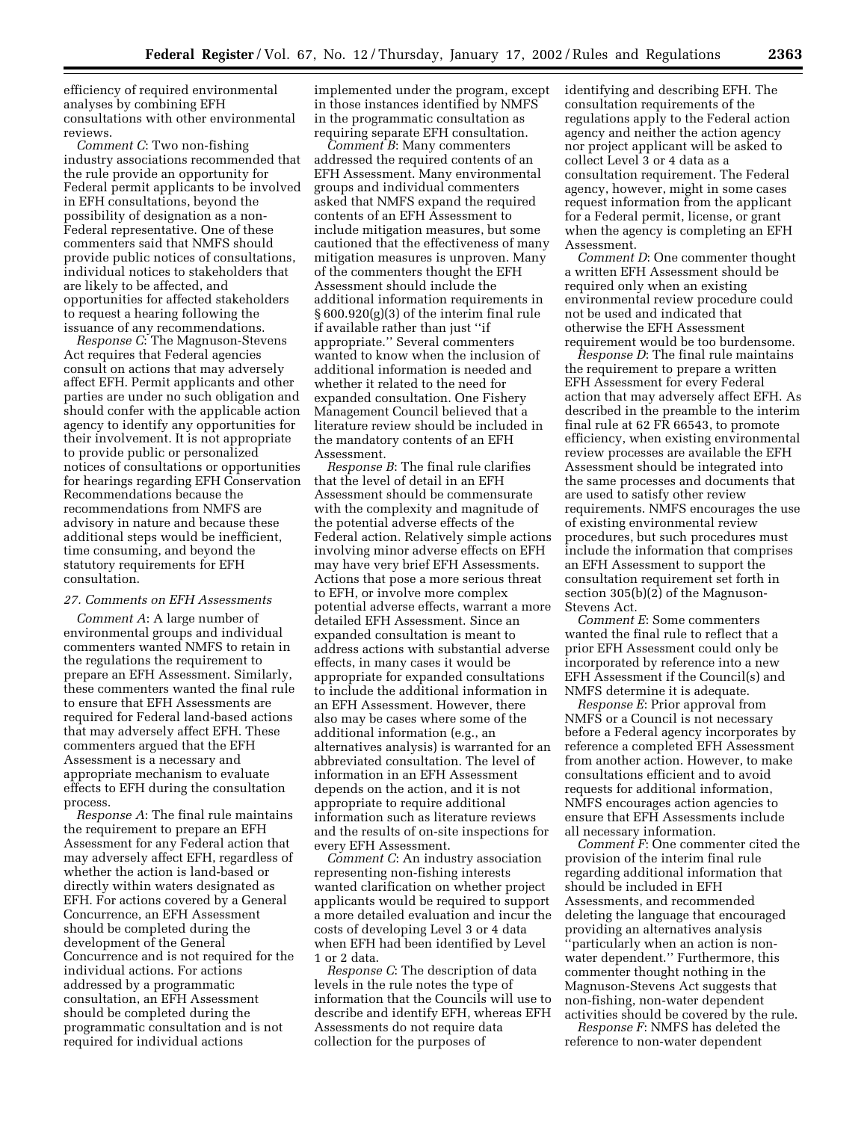efficiency of required environmental analyses by combining EFH consultations with other environmental reviews.

*Comment C*: Two non-fishing industry associations recommended that the rule provide an opportunity for Federal permit applicants to be involved in EFH consultations, beyond the possibility of designation as a non-Federal representative. One of these commenters said that NMFS should provide public notices of consultations, individual notices to stakeholders that are likely to be affected, and opportunities for affected stakeholders to request a hearing following the issuance of any recommendations.

*Response C*: The Magnuson-Stevens Act requires that Federal agencies consult on actions that may adversely affect EFH. Permit applicants and other parties are under no such obligation and should confer with the applicable action agency to identify any opportunities for their involvement. It is not appropriate to provide public or personalized notices of consultations or opportunities for hearings regarding EFH Conservation Recommendations because the recommendations from NMFS are advisory in nature and because these additional steps would be inefficient, time consuming, and beyond the statutory requirements for EFH consultation.

#### *27. Comments on EFH Assessments*

*Comment A*: A large number of environmental groups and individual commenters wanted NMFS to retain in the regulations the requirement to prepare an EFH Assessment. Similarly, these commenters wanted the final rule to ensure that EFH Assessments are required for Federal land-based actions that may adversely affect EFH. These commenters argued that the EFH Assessment is a necessary and appropriate mechanism to evaluate effects to EFH during the consultation process.

*Response A*: The final rule maintains the requirement to prepare an EFH Assessment for any Federal action that may adversely affect EFH, regardless of whether the action is land-based or directly within waters designated as EFH. For actions covered by a General Concurrence, an EFH Assessment should be completed during the development of the General Concurrence and is not required for the individual actions. For actions addressed by a programmatic consultation, an EFH Assessment should be completed during the programmatic consultation and is not required for individual actions

implemented under the program, except in those instances identified by NMFS in the programmatic consultation as requiring separate EFH consultation.

*Comment B*: Many commenters addressed the required contents of an EFH Assessment. Many environmental groups and individual commenters asked that NMFS expand the required contents of an EFH Assessment to include mitigation measures, but some cautioned that the effectiveness of many mitigation measures is unproven. Many of the commenters thought the EFH Assessment should include the additional information requirements in § 600.920(g)(3) of the interim final rule if available rather than just ''if appropriate.'' Several commenters wanted to know when the inclusion of additional information is needed and whether it related to the need for expanded consultation. One Fishery Management Council believed that a literature review should be included in the mandatory contents of an EFH Assessment.

*Response B*: The final rule clarifies that the level of detail in an EFH Assessment should be commensurate with the complexity and magnitude of the potential adverse effects of the Federal action. Relatively simple actions involving minor adverse effects on EFH may have very brief EFH Assessments. Actions that pose a more serious threat to EFH, or involve more complex potential adverse effects, warrant a more detailed EFH Assessment. Since an expanded consultation is meant to address actions with substantial adverse effects, in many cases it would be appropriate for expanded consultations to include the additional information in an EFH Assessment. However, there also may be cases where some of the additional information (e.g., an alternatives analysis) is warranted for an abbreviated consultation. The level of information in an EFH Assessment depends on the action, and it is not appropriate to require additional information such as literature reviews and the results of on-site inspections for every EFH Assessment.

*Comment C*: An industry association representing non-fishing interests wanted clarification on whether project applicants would be required to support a more detailed evaluation and incur the costs of developing Level 3 or 4 data when EFH had been identified by Level 1 or 2 data.

*Response C*: The description of data levels in the rule notes the type of information that the Councils will use to describe and identify EFH, whereas EFH Assessments do not require data collection for the purposes of

identifying and describing EFH. The consultation requirements of the regulations apply to the Federal action agency and neither the action agency nor project applicant will be asked to collect Level 3 or 4 data as a consultation requirement. The Federal agency, however, might in some cases request information from the applicant for a Federal permit, license, or grant when the agency is completing an EFH Assessment.

*Comment D*: One commenter thought a written EFH Assessment should be required only when an existing environmental review procedure could not be used and indicated that otherwise the EFH Assessment requirement would be too burdensome.

*Response D*: The final rule maintains the requirement to prepare a written EFH Assessment for every Federal action that may adversely affect EFH. As described in the preamble to the interim final rule at 62 FR 66543, to promote efficiency, when existing environmental review processes are available the EFH Assessment should be integrated into the same processes and documents that are used to satisfy other review requirements. NMFS encourages the use of existing environmental review procedures, but such procedures must include the information that comprises an EFH Assessment to support the consultation requirement set forth in section 305(b)(2) of the Magnuson-Stevens Act.

*Comment E*: Some commenters wanted the final rule to reflect that a prior EFH Assessment could only be incorporated by reference into a new EFH Assessment if the Council(s) and NMFS determine it is adequate.

*Response E*: Prior approval from NMFS or a Council is not necessary before a Federal agency incorporates by reference a completed EFH Assessment from another action. However, to make consultations efficient and to avoid requests for additional information, NMFS encourages action agencies to ensure that EFH Assessments include all necessary information.

*Comment F*: One commenter cited the provision of the interim final rule regarding additional information that should be included in EFH Assessments, and recommended deleting the language that encouraged providing an alternatives analysis ''particularly when an action is nonwater dependent.'' Furthermore, this commenter thought nothing in the Magnuson-Stevens Act suggests that non-fishing, non-water dependent activities should be covered by the rule. *Response F*: NMFS has deleted the

reference to non-water dependent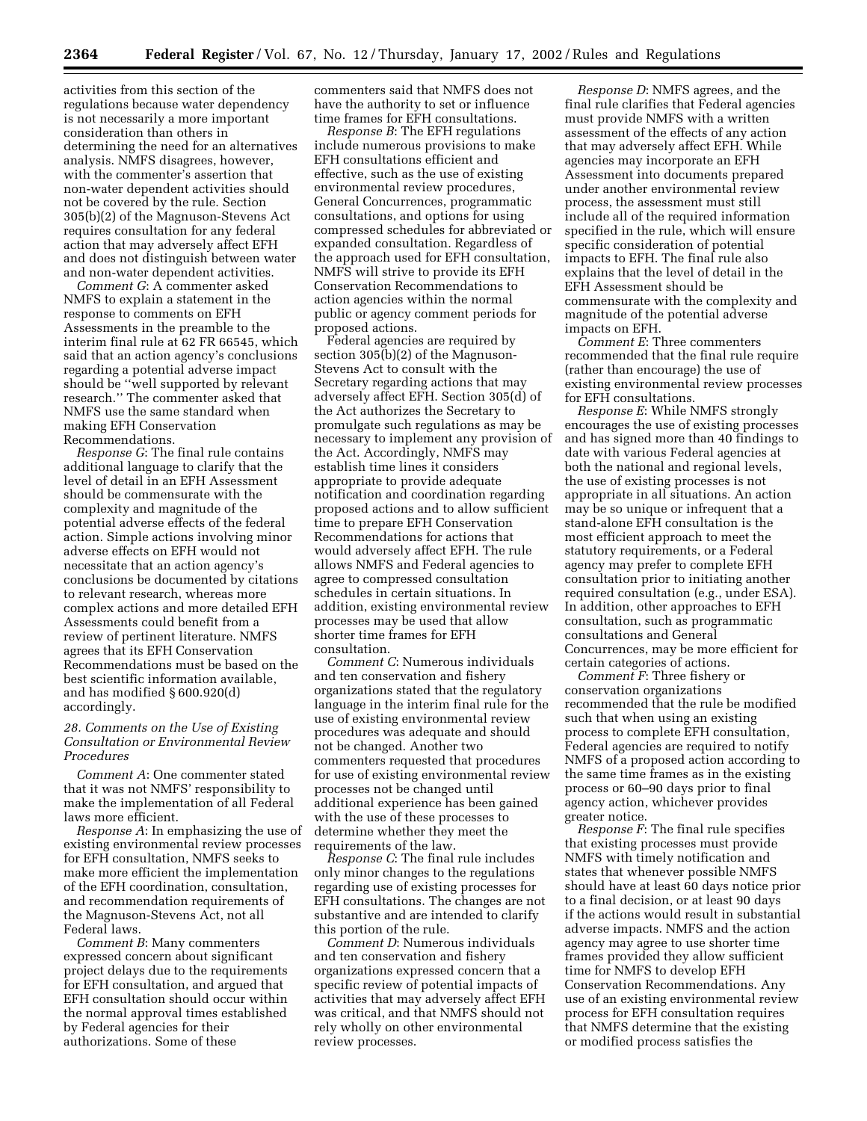activities from this section of the regulations because water dependency is not necessarily a more important consideration than others in determining the need for an alternatives analysis. NMFS disagrees, however, with the commenter's assertion that non-water dependent activities should not be covered by the rule. Section 305(b)(2) of the Magnuson-Stevens Act requires consultation for any federal action that may adversely affect EFH and does not distinguish between water and non-water dependent activities.

*Comment G*: A commenter asked NMFS to explain a statement in the response to comments on EFH Assessments in the preamble to the interim final rule at 62 FR 66545, which said that an action agency's conclusions regarding a potential adverse impact should be ''well supported by relevant research.'' The commenter asked that NMFS use the same standard when making EFH Conservation Recommendations.

*Response G*: The final rule contains additional language to clarify that the level of detail in an EFH Assessment should be commensurate with the complexity and magnitude of the potential adverse effects of the federal action. Simple actions involving minor adverse effects on EFH would not necessitate that an action agency's conclusions be documented by citations to relevant research, whereas more complex actions and more detailed EFH Assessments could benefit from a review of pertinent literature. NMFS agrees that its EFH Conservation Recommendations must be based on the best scientific information available, and has modified § 600.920(d) accordingly.

### *28. Comments on the Use of Existing Consultation or Environmental Review Procedures*

*Comment A*: One commenter stated that it was not NMFS' responsibility to make the implementation of all Federal laws more efficient.

*Response A*: In emphasizing the use of existing environmental review processes for EFH consultation, NMFS seeks to make more efficient the implementation of the EFH coordination, consultation, and recommendation requirements of the Magnuson-Stevens Act, not all Federal laws.

*Comment B*: Many commenters expressed concern about significant project delays due to the requirements for EFH consultation, and argued that EFH consultation should occur within the normal approval times established by Federal agencies for their authorizations. Some of these

commenters said that NMFS does not have the authority to set or influence time frames for EFH consultations.

*Response B*: The EFH regulations include numerous provisions to make EFH consultations efficient and effective, such as the use of existing environmental review procedures, General Concurrences, programmatic consultations, and options for using compressed schedules for abbreviated or expanded consultation. Regardless of the approach used for EFH consultation, NMFS will strive to provide its EFH Conservation Recommendations to action agencies within the normal public or agency comment periods for proposed actions.

Federal agencies are required by section 305(b)(2) of the Magnuson-Stevens Act to consult with the Secretary regarding actions that may adversely affect EFH. Section 305(d) of the Act authorizes the Secretary to promulgate such regulations as may be necessary to implement any provision of the Act. Accordingly, NMFS may establish time lines it considers appropriate to provide adequate notification and coordination regarding proposed actions and to allow sufficient time to prepare EFH Conservation Recommendations for actions that would adversely affect EFH. The rule allows NMFS and Federal agencies to agree to compressed consultation schedules in certain situations. In addition, existing environmental review processes may be used that allow shorter time frames for EFH consultation.

*Comment C*: Numerous individuals and ten conservation and fishery organizations stated that the regulatory language in the interim final rule for the use of existing environmental review procedures was adequate and should not be changed. Another two commenters requested that procedures for use of existing environmental review processes not be changed until additional experience has been gained with the use of these processes to determine whether they meet the requirements of the law.

*Response C*: The final rule includes only minor changes to the regulations regarding use of existing processes for EFH consultations. The changes are not substantive and are intended to clarify this portion of the rule.

*Comment D*: Numerous individuals and ten conservation and fishery organizations expressed concern that a specific review of potential impacts of activities that may adversely affect EFH was critical, and that NMFS should not rely wholly on other environmental review processes.

*Response D*: NMFS agrees, and the final rule clarifies that Federal agencies must provide NMFS with a written assessment of the effects of any action that may adversely affect EFH. While agencies may incorporate an EFH Assessment into documents prepared under another environmental review process, the assessment must still include all of the required information specified in the rule, which will ensure specific consideration of potential impacts to EFH. The final rule also explains that the level of detail in the EFH Assessment should be commensurate with the complexity and magnitude of the potential adverse impacts on EFH.

*Comment E*: Three commenters recommended that the final rule require (rather than encourage) the use of existing environmental review processes for EFH consultations.

*Response E*: While NMFS strongly encourages the use of existing processes and has signed more than 40 findings to date with various Federal agencies at both the national and regional levels, the use of existing processes is not appropriate in all situations. An action may be so unique or infrequent that a stand-alone EFH consultation is the most efficient approach to meet the statutory requirements, or a Federal agency may prefer to complete EFH consultation prior to initiating another required consultation (e.g., under ESA). In addition, other approaches to EFH consultation, such as programmatic consultations and General Concurrences, may be more efficient for certain categories of actions.

*Comment F*: Three fishery or conservation organizations recommended that the rule be modified such that when using an existing process to complete EFH consultation, Federal agencies are required to notify NMFS of a proposed action according to the same time frames as in the existing process or 60–90 days prior to final agency action, whichever provides greater notice.

*Response F*: The final rule specifies that existing processes must provide NMFS with timely notification and states that whenever possible NMFS should have at least 60 days notice prior to a final decision, or at least 90 days if the actions would result in substantial adverse impacts. NMFS and the action agency may agree to use shorter time frames provided they allow sufficient time for NMFS to develop EFH Conservation Recommendations. Any use of an existing environmental review process for EFH consultation requires that NMFS determine that the existing or modified process satisfies the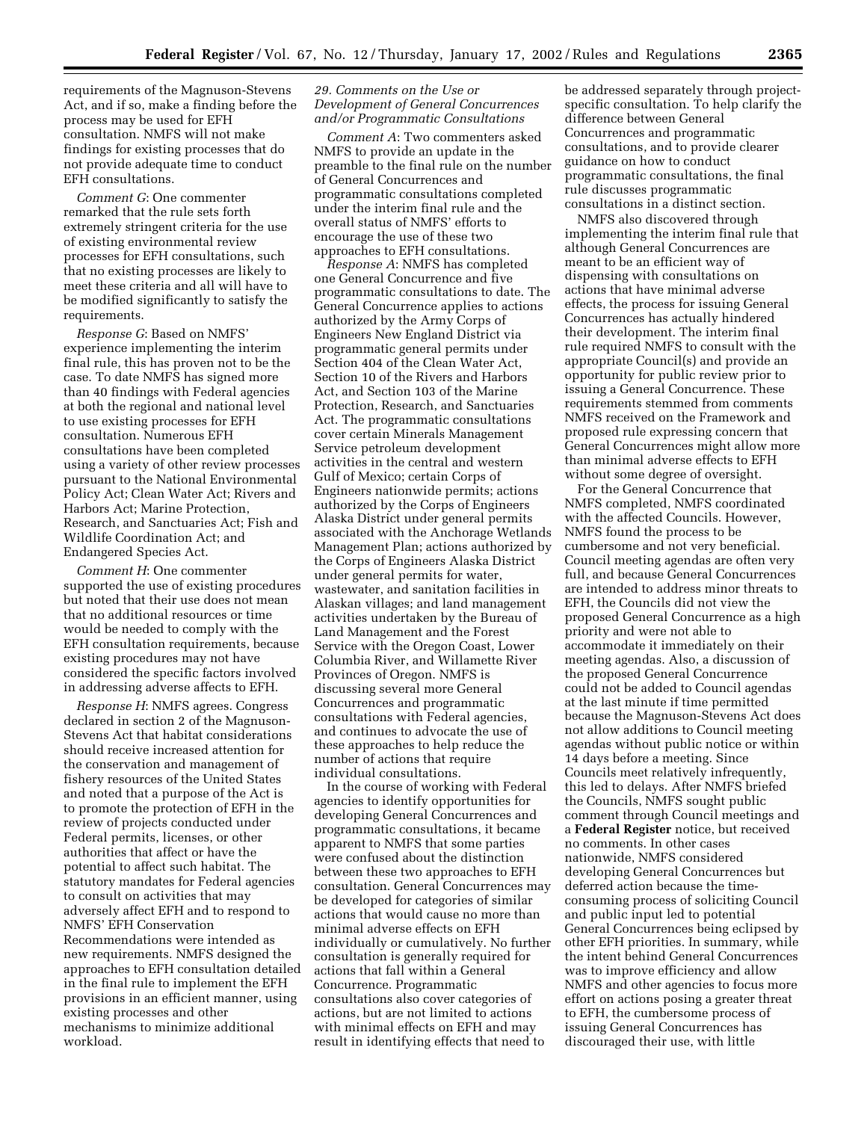requirements of the Magnuson-Stevens Act, and if so, make a finding before the process may be used for EFH consultation. NMFS will not make findings for existing processes that do not provide adequate time to conduct EFH consultations.

*Comment G*: One commenter remarked that the rule sets forth extremely stringent criteria for the use of existing environmental review processes for EFH consultations, such that no existing processes are likely to meet these criteria and all will have to be modified significantly to satisfy the requirements.

*Response G*: Based on NMFS' experience implementing the interim final rule, this has proven not to be the case. To date NMFS has signed more than 40 findings with Federal agencies at both the regional and national level to use existing processes for EFH consultation. Numerous EFH consultations have been completed using a variety of other review processes pursuant to the National Environmental Policy Act; Clean Water Act; Rivers and Harbors Act; Marine Protection, Research, and Sanctuaries Act; Fish and Wildlife Coordination Act; and Endangered Species Act.

*Comment H*: One commenter supported the use of existing procedures but noted that their use does not mean that no additional resources or time would be needed to comply with the EFH consultation requirements, because existing procedures may not have considered the specific factors involved in addressing adverse affects to EFH.

*Response H*: NMFS agrees. Congress declared in section 2 of the Magnuson-Stevens Act that habitat considerations should receive increased attention for the conservation and management of fishery resources of the United States and noted that a purpose of the Act is to promote the protection of EFH in the review of projects conducted under Federal permits, licenses, or other authorities that affect or have the potential to affect such habitat. The statutory mandates for Federal agencies to consult on activities that may adversely affect EFH and to respond to NMFS' EFH Conservation Recommendations were intended as new requirements. NMFS designed the approaches to EFH consultation detailed in the final rule to implement the EFH provisions in an efficient manner, using existing processes and other mechanisms to minimize additional workload.

## *29. Comments on the Use or Development of General Concurrences and/or Programmatic Consultations*

*Comment A*: Two commenters asked NMFS to provide an update in the preamble to the final rule on the number of General Concurrences and programmatic consultations completed under the interim final rule and the overall status of NMFS' efforts to encourage the use of these two approaches to EFH consultations.

*Response A*: NMFS has completed one General Concurrence and five programmatic consultations to date. The General Concurrence applies to actions authorized by the Army Corps of Engineers New England District via programmatic general permits under Section 404 of the Clean Water Act, Section 10 of the Rivers and Harbors Act, and Section 103 of the Marine Protection, Research, and Sanctuaries Act. The programmatic consultations cover certain Minerals Management Service petroleum development activities in the central and western Gulf of Mexico; certain Corps of Engineers nationwide permits; actions authorized by the Corps of Engineers Alaska District under general permits associated with the Anchorage Wetlands Management Plan; actions authorized by the Corps of Engineers Alaska District under general permits for water, wastewater, and sanitation facilities in Alaskan villages; and land management activities undertaken by the Bureau of Land Management and the Forest Service with the Oregon Coast, Lower Columbia River, and Willamette River Provinces of Oregon. NMFS is discussing several more General Concurrences and programmatic consultations with Federal agencies, and continues to advocate the use of these approaches to help reduce the number of actions that require individual consultations.

In the course of working with Federal agencies to identify opportunities for developing General Concurrences and programmatic consultations, it became apparent to NMFS that some parties were confused about the distinction between these two approaches to EFH consultation. General Concurrences may be developed for categories of similar actions that would cause no more than minimal adverse effects on EFH individually or cumulatively. No further consultation is generally required for actions that fall within a General Concurrence. Programmatic consultations also cover categories of actions, but are not limited to actions with minimal effects on EFH and may result in identifying effects that need to

be addressed separately through projectspecific consultation. To help clarify the difference between General Concurrences and programmatic consultations, and to provide clearer guidance on how to conduct programmatic consultations, the final rule discusses programmatic consultations in a distinct section.

NMFS also discovered through implementing the interim final rule that although General Concurrences are meant to be an efficient way of dispensing with consultations on actions that have minimal adverse effects, the process for issuing General Concurrences has actually hindered their development. The interim final rule required NMFS to consult with the appropriate Council(s) and provide an opportunity for public review prior to issuing a General Concurrence. These requirements stemmed from comments NMFS received on the Framework and proposed rule expressing concern that General Concurrences might allow more than minimal adverse effects to EFH without some degree of oversight.

For the General Concurrence that NMFS completed, NMFS coordinated with the affected Councils. However, NMFS found the process to be cumbersome and not very beneficial. Council meeting agendas are often very full, and because General Concurrences are intended to address minor threats to EFH, the Councils did not view the proposed General Concurrence as a high priority and were not able to accommodate it immediately on their meeting agendas. Also, a discussion of the proposed General Concurrence could not be added to Council agendas at the last minute if time permitted because the Magnuson-Stevens Act does not allow additions to Council meeting agendas without public notice or within 14 days before a meeting. Since Councils meet relatively infrequently, this led to delays. After NMFS briefed the Councils, NMFS sought public comment through Council meetings and a **Federal Register** notice, but received no comments. In other cases nationwide, NMFS considered developing General Concurrences but deferred action because the timeconsuming process of soliciting Council and public input led to potential General Concurrences being eclipsed by other EFH priorities. In summary, while the intent behind General Concurrences was to improve efficiency and allow NMFS and other agencies to focus more effort on actions posing a greater threat to EFH, the cumbersome process of issuing General Concurrences has discouraged their use, with little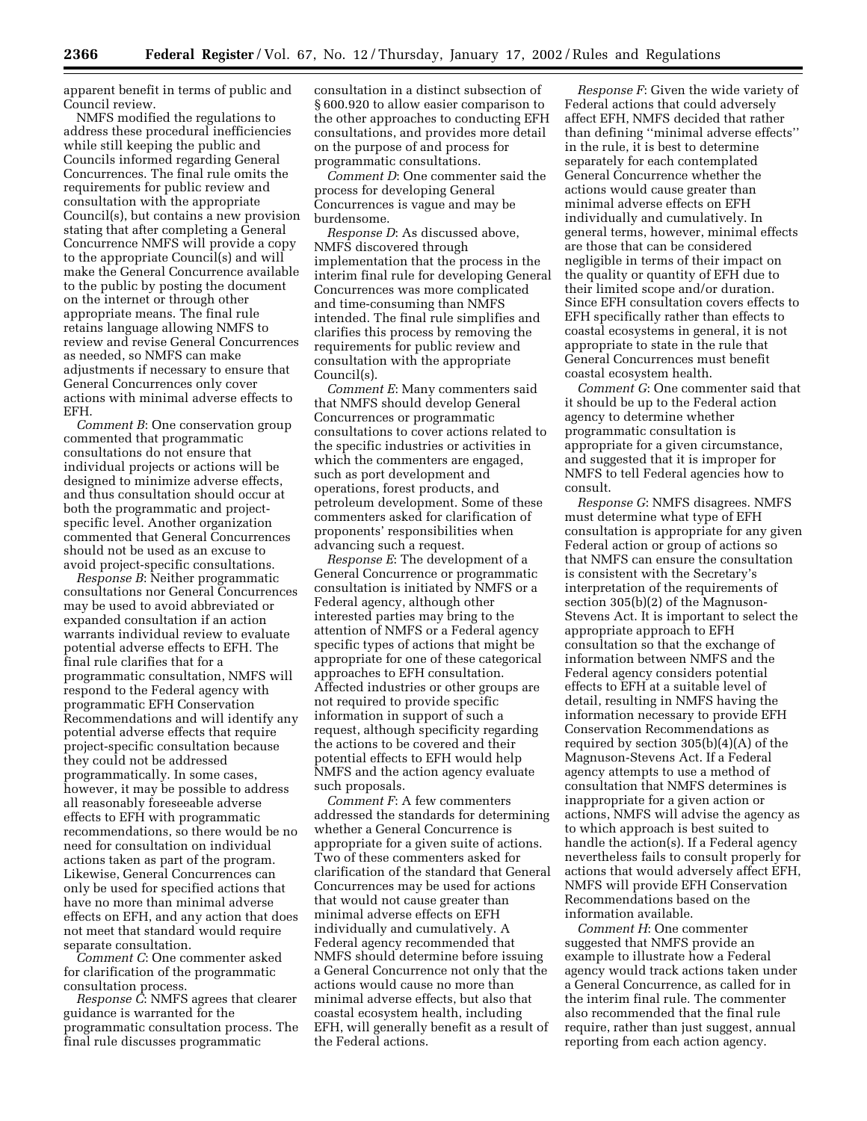apparent benefit in terms of public and Council review.

NMFS modified the regulations to address these procedural inefficiencies while still keeping the public and Councils informed regarding General Concurrences. The final rule omits the requirements for public review and consultation with the appropriate Council(s), but contains a new provision stating that after completing a General Concurrence NMFS will provide a copy to the appropriate Council(s) and will make the General Concurrence available to the public by posting the document on the internet or through other appropriate means. The final rule retains language allowing NMFS to review and revise General Concurrences as needed, so NMFS can make adjustments if necessary to ensure that General Concurrences only cover actions with minimal adverse effects to EFH.

*Comment B*: One conservation group commented that programmatic consultations do not ensure that individual projects or actions will be designed to minimize adverse effects, and thus consultation should occur at both the programmatic and projectspecific level. Another organization commented that General Concurrences should not be used as an excuse to avoid project-specific consultations.

*Response B*: Neither programmatic consultations nor General Concurrences may be used to avoid abbreviated or expanded consultation if an action warrants individual review to evaluate potential adverse effects to EFH. The final rule clarifies that for a programmatic consultation, NMFS will respond to the Federal agency with programmatic EFH Conservation Recommendations and will identify any potential adverse effects that require project-specific consultation because they could not be addressed programmatically. In some cases, however, it may be possible to address all reasonably foreseeable adverse effects to EFH with programmatic recommendations, so there would be no need for consultation on individual actions taken as part of the program. Likewise, General Concurrences can only be used for specified actions that have no more than minimal adverse effects on EFH, and any action that does not meet that standard would require separate consultation.

*Comment C*: One commenter asked for clarification of the programmatic consultation process.

*Response C*: NMFS agrees that clearer guidance is warranted for the programmatic consultation process. The final rule discusses programmatic

consultation in a distinct subsection of § 600.920 to allow easier comparison to the other approaches to conducting EFH consultations, and provides more detail on the purpose of and process for programmatic consultations.

*Comment D*: One commenter said the process for developing General Concurrences is vague and may be burdensome.

*Response D*: As discussed above, NMFS discovered through implementation that the process in the interim final rule for developing General Concurrences was more complicated and time-consuming than NMFS intended. The final rule simplifies and clarifies this process by removing the requirements for public review and consultation with the appropriate Council(s).

*Comment E*: Many commenters said that NMFS should develop General Concurrences or programmatic consultations to cover actions related to the specific industries or activities in which the commenters are engaged, such as port development and operations, forest products, and petroleum development. Some of these commenters asked for clarification of proponents' responsibilities when advancing such a request.

*Response E*: The development of a General Concurrence or programmatic consultation is initiated by NMFS or a Federal agency, although other interested parties may bring to the attention of NMFS or a Federal agency specific types of actions that might be appropriate for one of these categorical approaches to EFH consultation. Affected industries or other groups are not required to provide specific information in support of such a request, although specificity regarding the actions to be covered and their potential effects to EFH would help NMFS and the action agency evaluate such proposals.

*Comment F*: A few commenters addressed the standards for determining whether a General Concurrence is appropriate for a given suite of actions. Two of these commenters asked for clarification of the standard that General Concurrences may be used for actions that would not cause greater than minimal adverse effects on EFH individually and cumulatively. A Federal agency recommended that NMFS should determine before issuing a General Concurrence not only that the actions would cause no more than minimal adverse effects, but also that coastal ecosystem health, including EFH, will generally benefit as a result of the Federal actions.

*Response F*: Given the wide variety of Federal actions that could adversely affect EFH, NMFS decided that rather than defining ''minimal adverse effects'' in the rule, it is best to determine separately for each contemplated General Concurrence whether the actions would cause greater than minimal adverse effects on EFH individually and cumulatively. In general terms, however, minimal effects are those that can be considered negligible in terms of their impact on the quality or quantity of EFH due to their limited scope and/or duration. Since EFH consultation covers effects to EFH specifically rather than effects to coastal ecosystems in general, it is not appropriate to state in the rule that General Concurrences must benefit coastal ecosystem health.

*Comment G*: One commenter said that it should be up to the Federal action agency to determine whether programmatic consultation is appropriate for a given circumstance, and suggested that it is improper for NMFS to tell Federal agencies how to consult.

*Response G*: NMFS disagrees. NMFS must determine what type of EFH consultation is appropriate for any given Federal action or group of actions so that NMFS can ensure the consultation is consistent with the Secretary's interpretation of the requirements of section 305(b)(2) of the Magnuson-Stevens Act. It is important to select the appropriate approach to EFH consultation so that the exchange of information between NMFS and the Federal agency considers potential effects to EFH at a suitable level of detail, resulting in NMFS having the information necessary to provide EFH Conservation Recommendations as required by section 305(b)(4)(A) of the Magnuson-Stevens Act. If a Federal agency attempts to use a method of consultation that NMFS determines is inappropriate for a given action or actions, NMFS will advise the agency as to which approach is best suited to handle the action(s). If a Federal agency nevertheless fails to consult properly for actions that would adversely affect EFH, NMFS will provide EFH Conservation Recommendations based on the information available.

*Comment H*: One commenter suggested that NMFS provide an example to illustrate how a Federal agency would track actions taken under a General Concurrence, as called for in the interim final rule. The commenter also recommended that the final rule require, rather than just suggest, annual reporting from each action agency.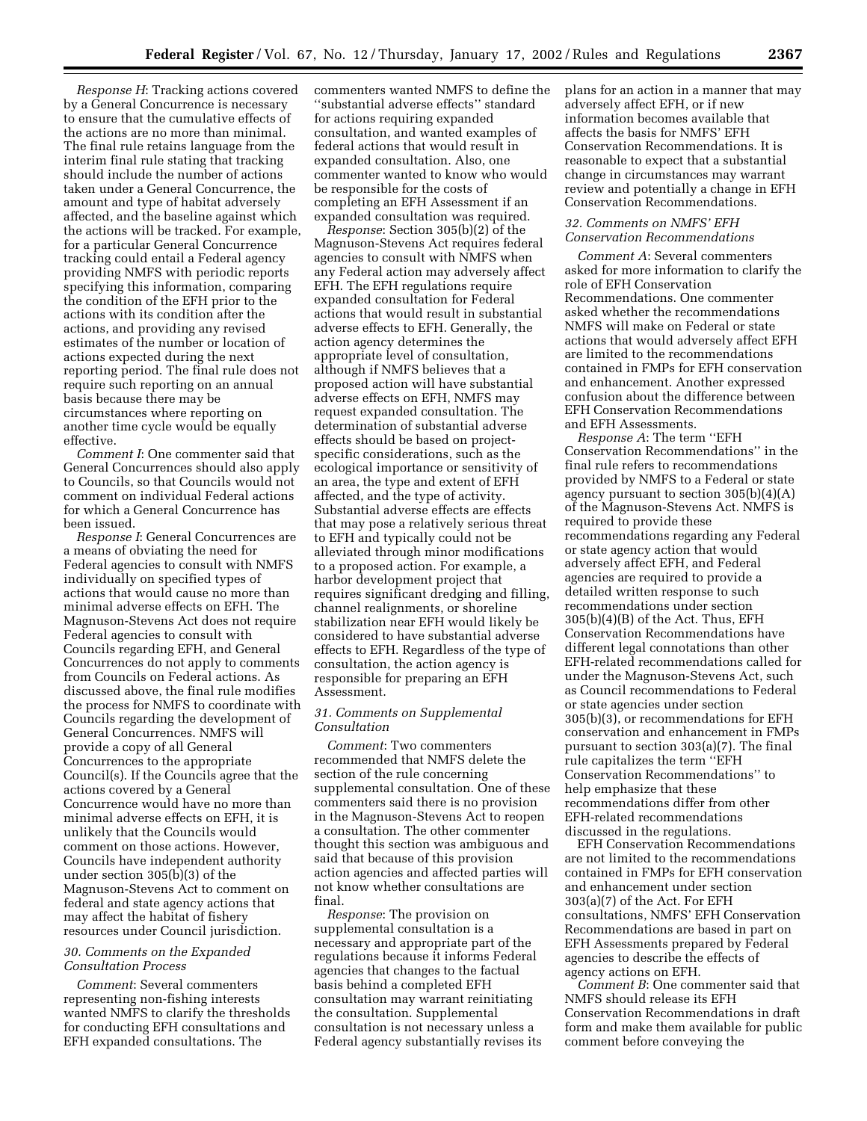*Response H*: Tracking actions covered by a General Concurrence is necessary to ensure that the cumulative effects of the actions are no more than minimal. The final rule retains language from the interim final rule stating that tracking should include the number of actions taken under a General Concurrence, the amount and type of habitat adversely affected, and the baseline against which the actions will be tracked. For example, for a particular General Concurrence tracking could entail a Federal agency providing NMFS with periodic reports specifying this information, comparing the condition of the EFH prior to the actions with its condition after the actions, and providing any revised estimates of the number or location of actions expected during the next reporting period. The final rule does not require such reporting on an annual basis because there may be circumstances where reporting on another time cycle would be equally effective.

*Comment I*: One commenter said that General Concurrences should also apply to Councils, so that Councils would not comment on individual Federal actions for which a General Concurrence has been issued.

*Response I*: General Concurrences are a means of obviating the need for Federal agencies to consult with NMFS individually on specified types of actions that would cause no more than minimal adverse effects on EFH. The Magnuson-Stevens Act does not require Federal agencies to consult with Councils regarding EFH, and General Concurrences do not apply to comments from Councils on Federal actions. As discussed above, the final rule modifies the process for NMFS to coordinate with Councils regarding the development of General Concurrences. NMFS will provide a copy of all General Concurrences to the appropriate Council(s). If the Councils agree that the actions covered by a General Concurrence would have no more than minimal adverse effects on EFH, it is unlikely that the Councils would comment on those actions. However, Councils have independent authority under section 305(b)(3) of the Magnuson-Stevens Act to comment on federal and state agency actions that may affect the habitat of fishery resources under Council jurisdiction.

### *30. Comments on the Expanded Consultation Process*

*Comment*: Several commenters representing non-fishing interests wanted NMFS to clarify the thresholds for conducting EFH consultations and EFH expanded consultations. The

commenters wanted NMFS to define the ʻsubstantial adverse effects'' standard for actions requiring expanded consultation, and wanted examples of federal actions that would result in expanded consultation. Also, one commenter wanted to know who would be responsible for the costs of completing an EFH Assessment if an expanded consultation was required.

*Response*: Section 305(b)(2) of the Magnuson-Stevens Act requires federal agencies to consult with NMFS when any Federal action may adversely affect EFH. The EFH regulations require expanded consultation for Federal actions that would result in substantial adverse effects to EFH. Generally, the action agency determines the appropriate level of consultation, although if NMFS believes that a proposed action will have substantial adverse effects on EFH, NMFS may request expanded consultation. The determination of substantial adverse effects should be based on projectspecific considerations, such as the ecological importance or sensitivity of an area, the type and extent of EFH affected, and the type of activity. Substantial adverse effects are effects that may pose a relatively serious threat to EFH and typically could not be alleviated through minor modifications to a proposed action. For example, a harbor development project that requires significant dredging and filling, channel realignments, or shoreline stabilization near EFH would likely be considered to have substantial adverse effects to EFH. Regardless of the type of consultation, the action agency is responsible for preparing an EFH Assessment.

## *31. Comments on Supplemental Consultation*

*Comment*: Two commenters recommended that NMFS delete the section of the rule concerning supplemental consultation. One of these commenters said there is no provision in the Magnuson-Stevens Act to reopen a consultation. The other commenter thought this section was ambiguous and said that because of this provision action agencies and affected parties will not know whether consultations are final.

*Response*: The provision on supplemental consultation is a necessary and appropriate part of the regulations because it informs Federal agencies that changes to the factual basis behind a completed EFH consultation may warrant reinitiating the consultation. Supplemental consultation is not necessary unless a Federal agency substantially revises its plans for an action in a manner that may adversely affect EFH, or if new information becomes available that affects the basis for NMFS' EFH Conservation Recommendations. It is reasonable to expect that a substantial change in circumstances may warrant review and potentially a change in EFH Conservation Recommendations.

## *32. Comments on NMFS' EFH Conservation Recommendations*

*Comment A*: Several commenters asked for more information to clarify the role of EFH Conservation Recommendations. One commenter asked whether the recommendations NMFS will make on Federal or state actions that would adversely affect EFH are limited to the recommendations contained in FMPs for EFH conservation and enhancement. Another expressed confusion about the difference between EFH Conservation Recommendations and EFH Assessments.

*Response A*: The term ''EFH Conservation Recommendations'' in the final rule refers to recommendations provided by NMFS to a Federal or state agency pursuant to section 305(b)(4)(A) of the Magnuson-Stevens Act. NMFS is required to provide these recommendations regarding any Federal or state agency action that would adversely affect EFH, and Federal agencies are required to provide a detailed written response to such recommendations under section 305(b)(4)(B) of the Act. Thus, EFH Conservation Recommendations have different legal connotations than other EFH-related recommendations called for under the Magnuson-Stevens Act, such as Council recommendations to Federal or state agencies under section 305(b)(3), or recommendations for EFH conservation and enhancement in FMPs pursuant to section 303(a)(7). The final rule capitalizes the term ''EFH Conservation Recommendations'' to help emphasize that these recommendations differ from other EFH-related recommendations discussed in the regulations.

EFH Conservation Recommendations are not limited to the recommendations contained in FMPs for EFH conservation and enhancement under section 303(a)(7) of the Act. For EFH consultations, NMFS' EFH Conservation Recommendations are based in part on EFH Assessments prepared by Federal agencies to describe the effects of agency actions on EFH.

*Comment B*: One commenter said that NMFS should release its EFH Conservation Recommendations in draft form and make them available for public comment before conveying the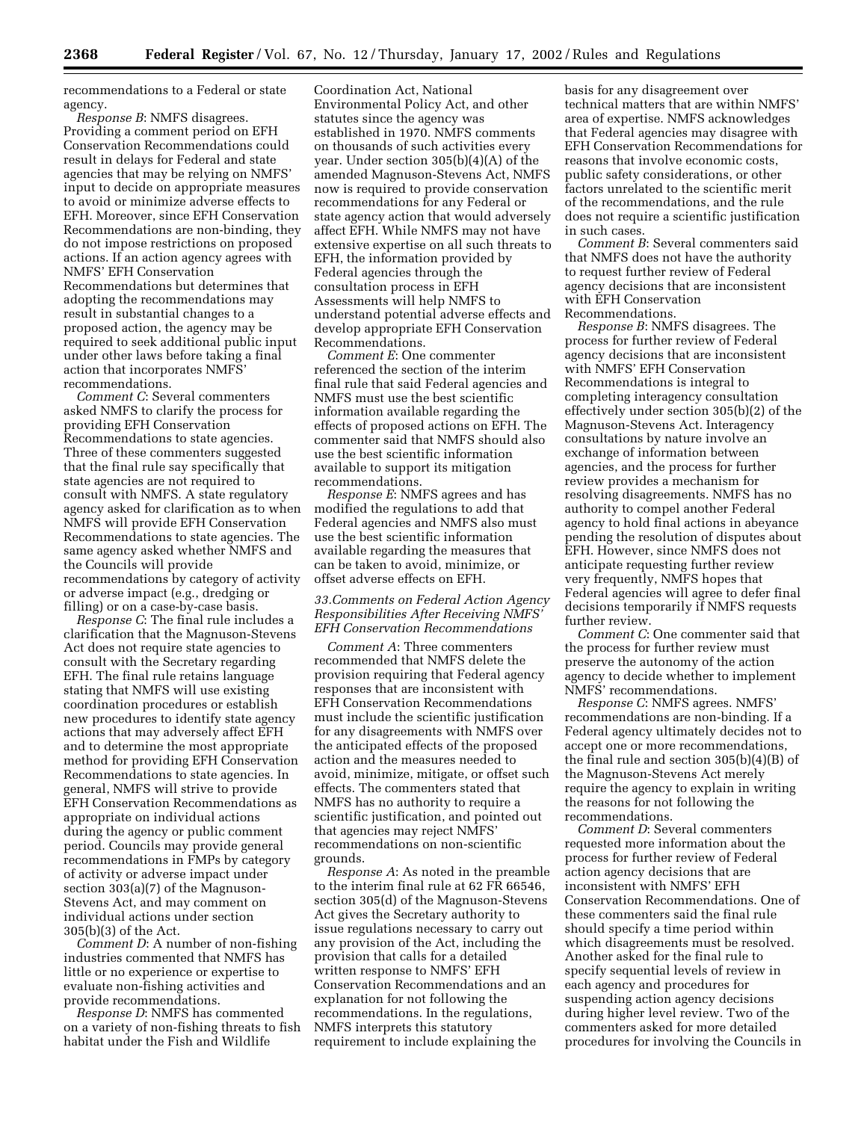recommendations to a Federal or state agency.

*Response B*: NMFS disagrees. Providing a comment period on EFH Conservation Recommendations could result in delays for Federal and state agencies that may be relying on NMFS' input to decide on appropriate measures to avoid or minimize adverse effects to EFH. Moreover, since EFH Conservation Recommendations are non-binding, they do not impose restrictions on proposed actions. If an action agency agrees with NMFS' EFH Conservation Recommendations but determines that adopting the recommendations may result in substantial changes to a proposed action, the agency may be required to seek additional public input under other laws before taking a final action that incorporates NMFS' recommendations.

*Comment C*: Several commenters asked NMFS to clarify the process for providing EFH Conservation Recommendations to state agencies. Three of these commenters suggested that the final rule say specifically that state agencies are not required to consult with NMFS. A state regulatory agency asked for clarification as to when NMFS will provide EFH Conservation Recommendations to state agencies. The same agency asked whether NMFS and the Councils will provide recommendations by category of activity or adverse impact (e.g., dredging or filling) or on a case-by-case basis.

*Response C*: The final rule includes a clarification that the Magnuson-Stevens Act does not require state agencies to consult with the Secretary regarding EFH. The final rule retains language stating that NMFS will use existing coordination procedures or establish new procedures to identify state agency actions that may adversely affect EFH and to determine the most appropriate method for providing EFH Conservation Recommendations to state agencies. In general, NMFS will strive to provide EFH Conservation Recommendations as appropriate on individual actions during the agency or public comment period. Councils may provide general recommendations in FMPs by category of activity or adverse impact under section 303(a)(7) of the Magnuson-Stevens Act, and may comment on individual actions under section 305(b)(3) of the Act.

*Comment D*: A number of non-fishing industries commented that NMFS has little or no experience or expertise to evaluate non-fishing activities and provide recommendations.

*Response D*: NMFS has commented on a variety of non-fishing threats to fish habitat under the Fish and Wildlife

Coordination Act, National Environmental Policy Act, and other statutes since the agency was established in 1970. NMFS comments on thousands of such activities every year. Under section 305(b)(4)(A) of the amended Magnuson-Stevens Act, NMFS now is required to provide conservation recommendations for any Federal or state agency action that would adversely affect EFH. While NMFS may not have extensive expertise on all such threats to EFH, the information provided by Federal agencies through the consultation process in EFH Assessments will help NMFS to understand potential adverse effects and develop appropriate EFH Conservation Recommendations.

*Comment E*: One commenter referenced the section of the interim final rule that said Federal agencies and NMFS must use the best scientific information available regarding the effects of proposed actions on EFH. The commenter said that NMFS should also use the best scientific information available to support its mitigation recommendations.

*Response E*: NMFS agrees and has modified the regulations to add that Federal agencies and NMFS also must use the best scientific information available regarding the measures that can be taken to avoid, minimize, or offset adverse effects on EFH.

### *33.Comments on Federal Action Agency Responsibilities After Receiving NMFS' EFH Conservation Recommendations*

*Comment A*: Three commenters recommended that NMFS delete the provision requiring that Federal agency responses that are inconsistent with EFH Conservation Recommendations must include the scientific justification for any disagreements with NMFS over the anticipated effects of the proposed action and the measures needed to avoid, minimize, mitigate, or offset such effects. The commenters stated that NMFS has no authority to require a scientific justification, and pointed out that agencies may reject NMFS' recommendations on non-scientific grounds.

*Response A*: As noted in the preamble to the interim final rule at 62 FR 66546, section 305(d) of the Magnuson-Stevens Act gives the Secretary authority to issue regulations necessary to carry out any provision of the Act, including the provision that calls for a detailed written response to NMFS' EFH Conservation Recommendations and an explanation for not following the recommendations. In the regulations, NMFS interprets this statutory requirement to include explaining the

basis for any disagreement over technical matters that are within NMFS' area of expertise. NMFS acknowledges that Federal agencies may disagree with EFH Conservation Recommendations for reasons that involve economic costs, public safety considerations, or other factors unrelated to the scientific merit of the recommendations, and the rule does not require a scientific justification in such cases.

*Comment B*: Several commenters said that NMFS does not have the authority to request further review of Federal agency decisions that are inconsistent with EFH Conservation Recommendations.

*Response B*: NMFS disagrees. The process for further review of Federal agency decisions that are inconsistent with NMFS' EFH Conservation Recommendations is integral to completing interagency consultation effectively under section 305(b)(2) of the Magnuson-Stevens Act. Interagency consultations by nature involve an exchange of information between agencies, and the process for further review provides a mechanism for resolving disagreements. NMFS has no authority to compel another Federal agency to hold final actions in abeyance pending the resolution of disputes about EFH. However, since NMFS does not anticipate requesting further review very frequently, NMFS hopes that Federal agencies will agree to defer final decisions temporarily if NMFS requests further review.

*Comment C*: One commenter said that the process for further review must preserve the autonomy of the action agency to decide whether to implement NMFS' recommendations.

*Response C*: NMFS agrees. NMFS' recommendations are non-binding. If a Federal agency ultimately decides not to accept one or more recommendations, the final rule and section 305(b)(4)(B) of the Magnuson-Stevens Act merely require the agency to explain in writing the reasons for not following the recommendations.

*Comment D*: Several commenters requested more information about the process for further review of Federal action agency decisions that are inconsistent with NMFS' EFH Conservation Recommendations. One of these commenters said the final rule should specify a time period within which disagreements must be resolved. Another asked for the final rule to specify sequential levels of review in each agency and procedures for suspending action agency decisions during higher level review. Two of the commenters asked for more detailed procedures for involving the Councils in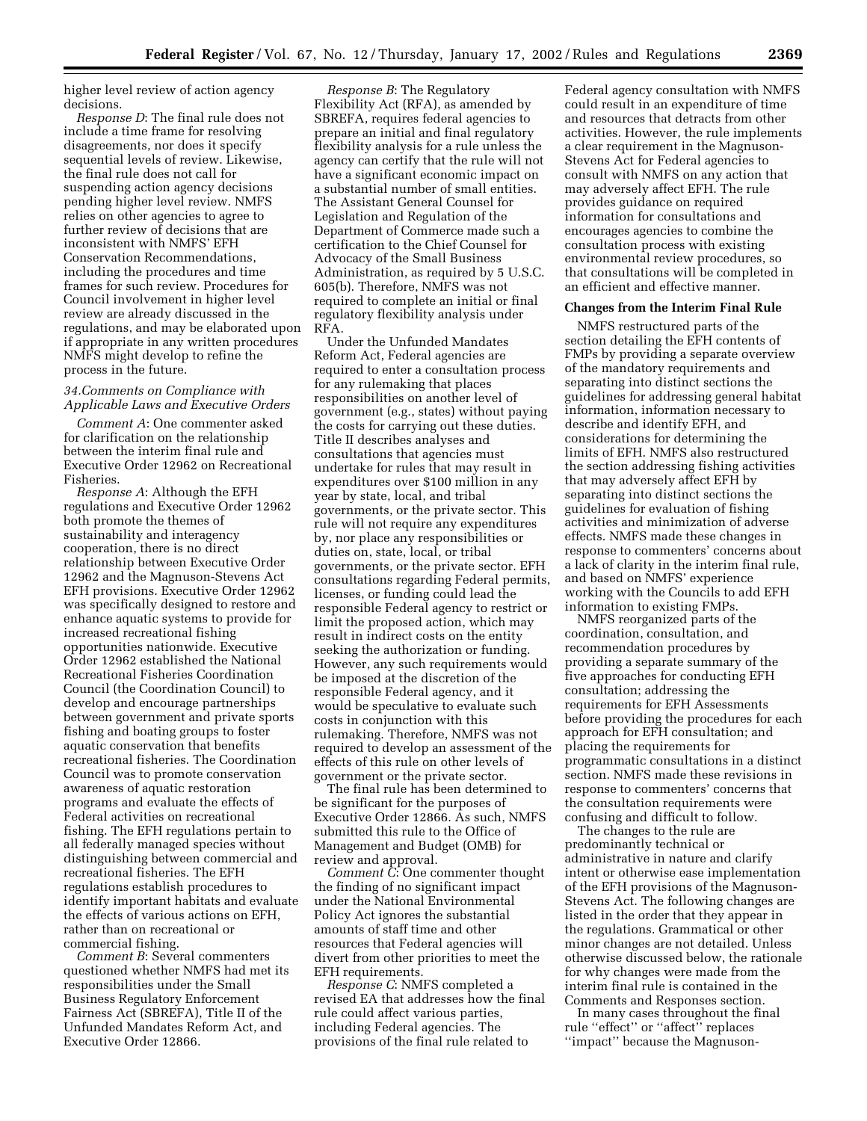higher level review of action agency decisions.

*Response D*: The final rule does not include a time frame for resolving disagreements, nor does it specify sequential levels of review. Likewise, the final rule does not call for suspending action agency decisions pending higher level review. NMFS relies on other agencies to agree to further review of decisions that are inconsistent with NMFS' EFH Conservation Recommendations, including the procedures and time frames for such review. Procedures for Council involvement in higher level review are already discussed in the regulations, and may be elaborated upon if appropriate in any written procedures NMFS might develop to refine the process in the future.

### *34.Comments on Compliance with Applicable Laws and Executive Orders*

*Comment A*: One commenter asked for clarification on the relationship between the interim final rule and Executive Order 12962 on Recreational Fisheries.

*Response A*: Although the EFH regulations and Executive Order 12962 both promote the themes of sustainability and interagency cooperation, there is no direct relationship between Executive Order 12962 and the Magnuson-Stevens Act EFH provisions. Executive Order 12962 was specifically designed to restore and enhance aquatic systems to provide for increased recreational fishing opportunities nationwide. Executive Order 12962 established the National Recreational Fisheries Coordination Council (the Coordination Council) to develop and encourage partnerships between government and private sports fishing and boating groups to foster aquatic conservation that benefits recreational fisheries. The Coordination Council was to promote conservation awareness of aquatic restoration programs and evaluate the effects of Federal activities on recreational fishing. The EFH regulations pertain to all federally managed species without distinguishing between commercial and recreational fisheries. The EFH regulations establish procedures to identify important habitats and evaluate the effects of various actions on EFH, rather than on recreational or commercial fishing.

*Comment B*: Several commenters questioned whether NMFS had met its responsibilities under the Small Business Regulatory Enforcement Fairness Act (SBREFA), Title II of the Unfunded Mandates Reform Act, and Executive Order 12866.

*Response B*: The Regulatory Flexibility Act (RFA), as amended by SBREFA, requires federal agencies to prepare an initial and final regulatory flexibility analysis for a rule unless the agency can certify that the rule will not have a significant economic impact on a substantial number of small entities. The Assistant General Counsel for Legislation and Regulation of the Department of Commerce made such a certification to the Chief Counsel for Advocacy of the Small Business Administration, as required by 5 U.S.C. 605(b). Therefore, NMFS was not required to complete an initial or final regulatory flexibility analysis under RFA.

Under the Unfunded Mandates Reform Act, Federal agencies are required to enter a consultation process for any rulemaking that places responsibilities on another level of government (e.g., states) without paying the costs for carrying out these duties. Title II describes analyses and consultations that agencies must undertake for rules that may result in expenditures over \$100 million in any year by state, local, and tribal governments, or the private sector. This rule will not require any expenditures by, nor place any responsibilities or duties on, state, local, or tribal governments, or the private sector. EFH consultations regarding Federal permits, licenses, or funding could lead the responsible Federal agency to restrict or limit the proposed action, which may result in indirect costs on the entity seeking the authorization or funding. However, any such requirements would be imposed at the discretion of the responsible Federal agency, and it would be speculative to evaluate such costs in conjunction with this rulemaking. Therefore, NMFS was not required to develop an assessment of the effects of this rule on other levels of government or the private sector.

The final rule has been determined to be significant for the purposes of Executive Order 12866. As such, NMFS submitted this rule to the Office of Management and Budget (OMB) for review and approval.

*Comment C*: One commenter thought the finding of no significant impact under the National Environmental Policy Act ignores the substantial amounts of staff time and other resources that Federal agencies will divert from other priorities to meet the EFH requirements.

*Response C*: NMFS completed a revised EA that addresses how the final rule could affect various parties, including Federal agencies. The provisions of the final rule related to

Federal agency consultation with NMFS could result in an expenditure of time and resources that detracts from other activities. However, the rule implements a clear requirement in the Magnuson-Stevens Act for Federal agencies to consult with NMFS on any action that may adversely affect EFH. The rule provides guidance on required information for consultations and encourages agencies to combine the consultation process with existing environmental review procedures, so that consultations will be completed in an efficient and effective manner.

## **Changes from the Interim Final Rule**

NMFS restructured parts of the section detailing the EFH contents of FMPs by providing a separate overview of the mandatory requirements and separating into distinct sections the guidelines for addressing general habitat information, information necessary to describe and identify EFH, and considerations for determining the limits of EFH. NMFS also restructured the section addressing fishing activities that may adversely affect EFH by separating into distinct sections the guidelines for evaluation of fishing activities and minimization of adverse effects. NMFS made these changes in response to commenters' concerns about a lack of clarity in the interim final rule, and based on NMFS' experience working with the Councils to add EFH information to existing FMPs.

NMFS reorganized parts of the coordination, consultation, and recommendation procedures by providing a separate summary of the five approaches for conducting EFH consultation; addressing the requirements for EFH Assessments before providing the procedures for each approach for EFH consultation; and placing the requirements for programmatic consultations in a distinct section. NMFS made these revisions in response to commenters' concerns that the consultation requirements were confusing and difficult to follow.

The changes to the rule are predominantly technical or administrative in nature and clarify intent or otherwise ease implementation of the EFH provisions of the Magnuson-Stevens Act. The following changes are listed in the order that they appear in the regulations. Grammatical or other minor changes are not detailed. Unless otherwise discussed below, the rationale for why changes were made from the interim final rule is contained in the Comments and Responses section.

In many cases throughout the final rule ''effect'' or ''affect'' replaces ''impact'' because the Magnuson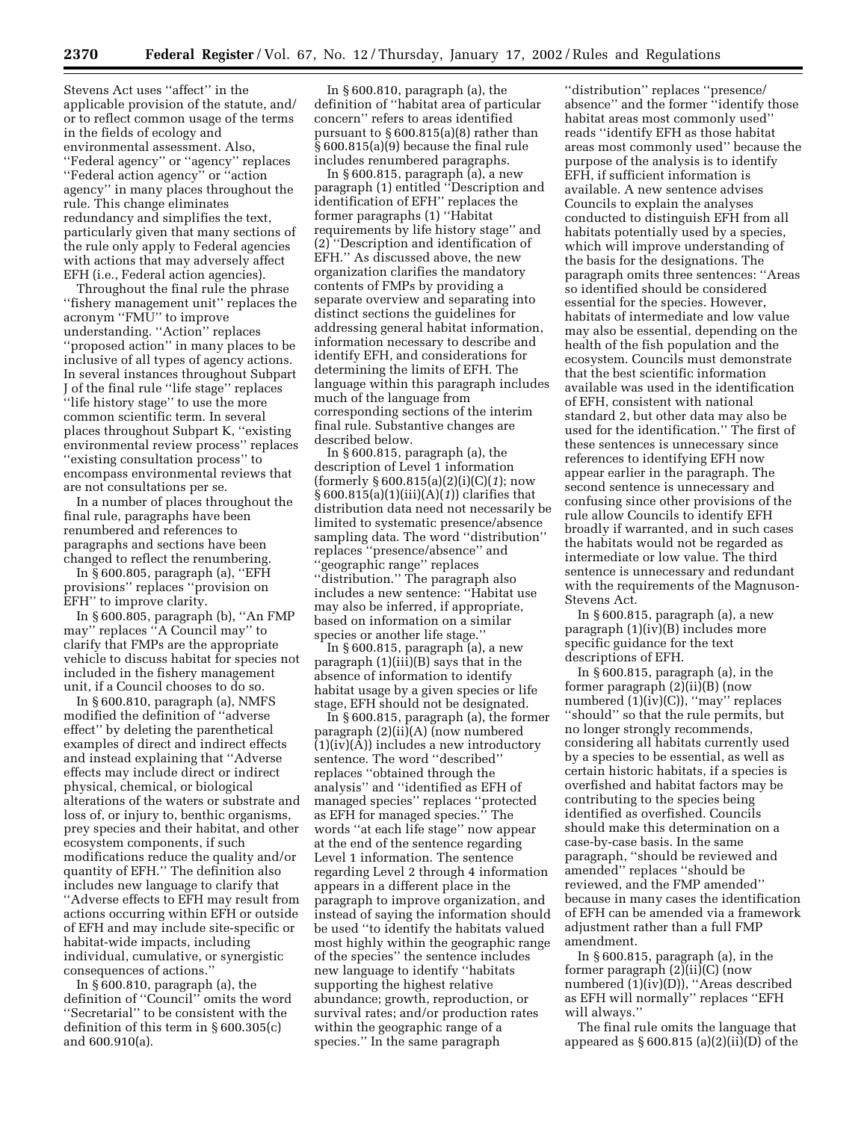Stevens Act uses ''affect'' in the applicable provision of the statute, and/ or to reflect common usage of the terms in the fields of ecology and environmental assessment. Also, ''Federal agency'' or ''agency'' replaces ''Federal action agency'' or ''action agency'' in many places throughout the rule. This change eliminates redundancy and simplifies the text, particularly given that many sections of the rule only apply to Federal agencies with actions that may adversely affect EFH (i.e., Federal action agencies).

Throughout the final rule the phrase ''fishery management unit'' replaces the acronym ''FMU'' to improve understanding. ''Action'' replaces ''proposed action'' in many places to be inclusive of all types of agency actions. In several instances throughout Subpart J of the final rule ''life stage'' replaces ''life history stage'' to use the more common scientific term. In several places throughout Subpart K, ''existing environmental review process'' replaces ''existing consultation process'' to encompass environmental reviews that are not consultations per se.

In a number of places throughout the final rule, paragraphs have been renumbered and references to paragraphs and sections have been changed to reflect the renumbering.

In § 600.805, paragraph (a), ''EFH provisions'' replaces ''provision on EFH'' to improve clarity.

In § 600.805, paragraph (b), ''An FMP may'' replaces ''A Council may'' to clarify that FMPs are the appropriate vehicle to discuss habitat for species not included in the fishery management unit, if a Council chooses to do so.

In § 600.810, paragraph (a), NMFS modified the definition of ''adverse effect'' by deleting the parenthetical examples of direct and indirect effects and instead explaining that ''Adverse effects may include direct or indirect physical, chemical, or biological alterations of the waters or substrate and loss of, or injury to, benthic organisms, prey species and their habitat, and other ecosystem components, if such modifications reduce the quality and/or quantity of EFH.'' The definition also includes new language to clarify that ''Adverse effects to EFH may result from actions occurring within EFH or outside of EFH and may include site-specific or habitat-wide impacts, including individual, cumulative, or synergistic consequences of actions.''

In § 600.810, paragraph (a), the definition of ''Council'' omits the word ''Secretarial'' to be consistent with the definition of this term in § 600.305(c) and 600.910(a).

In § 600.810, paragraph (a), the definition of ''habitat area of particular concern'' refers to areas identified pursuant to § 600.815(a)(8) rather than § 600.815(a)(9) because the final rule includes renumbered paragraphs.

In § 600.815, paragraph (a), a new paragraph (1) entitled ''Description and identification of EFH'' replaces the former paragraphs (1) ''Habitat requirements by life history stage'' and (2) ''Description and identification of EFH.'' As discussed above, the new organization clarifies the mandatory contents of FMPs by providing a separate overview and separating into distinct sections the guidelines for addressing general habitat information, information necessary to describe and identify EFH, and considerations for determining the limits of EFH. The language within this paragraph includes much of the language from corresponding sections of the interim final rule. Substantive changes are described below.

In § 600.815, paragraph (a), the description of Level 1 information (formerly § 600.815(a)(2)(i)(C)(*1*); now § 600.815(a)(1)(iii)(A)(*1*)) clarifies that distribution data need not necessarily be limited to systematic presence/absence sampling data. The word ''distribution'' replaces ''presence/absence'' and ''geographic range'' replaces ''distribution.'' The paragraph also includes a new sentence: ''Habitat use may also be inferred, if appropriate, based on information on a similar species or another life stage.''

In § 600.815, paragraph (a), a new paragraph (1)(iii)(B) says that in the absence of information to identify habitat usage by a given species or life stage, EFH should not be designated.

In § 600.815, paragraph (a), the former paragraph (2)(ii)(A) (now numbered (1)(iv)(A)) includes a new introductory sentence. The word ''described'' replaces ''obtained through the analysis'' and ''identified as EFH of managed species'' replaces ''protected as EFH for managed species.'' The words ''at each life stage'' now appear at the end of the sentence regarding Level 1 information. The sentence regarding Level 2 through 4 information appears in a different place in the paragraph to improve organization, and instead of saying the information should be used ''to identify the habitats valued most highly within the geographic range of the species'' the sentence includes new language to identify ''habitats supporting the highest relative abundance; growth, reproduction, or survival rates; and/or production rates within the geographic range of a species.'' In the same paragraph

''distribution'' replaces ''presence/ absence'' and the former ''identify those habitat areas most commonly used'' reads ''identify EFH as those habitat areas most commonly used'' because the purpose of the analysis is to identify EFH, if sufficient information is available. A new sentence advises Councils to explain the analyses conducted to distinguish EFH from all habitats potentially used by a species, which will improve understanding of the basis for the designations. The paragraph omits three sentences: ''Areas so identified should be considered essential for the species. However, habitats of intermediate and low value may also be essential, depending on the health of the fish population and the ecosystem. Councils must demonstrate that the best scientific information available was used in the identification of EFH, consistent with national standard 2, but other data may also be used for the identification.'' The first of these sentences is unnecessary since references to identifying EFH now appear earlier in the paragraph. The second sentence is unnecessary and confusing since other provisions of the rule allow Councils to identify EFH broadly if warranted, and in such cases the habitats would not be regarded as intermediate or low value. The third sentence is unnecessary and redundant with the requirements of the Magnuson-Stevens Act.

In § 600.815, paragraph (a), a new paragraph (1)(iv)(B) includes more specific guidance for the text descriptions of EFH.

In  $\S 600.815$ , paragraph (a), in the former paragraph (2)(ii)(B) (now numbered (1)(iv)(C)), "may" replaces ''should'' so that the rule permits, but no longer strongly recommends, considering all habitats currently used by a species to be essential, as well as certain historic habitats, if a species is overfished and habitat factors may be contributing to the species being identified as overfished. Councils should make this determination on a case-by-case basis. In the same paragraph, ''should be reviewed and amended'' replaces ''should be reviewed, and the FMP amended'' because in many cases the identification of EFH can be amended via a framework adjustment rather than a full FMP amendment.

In § 600.815, paragraph (a), in the former paragraph (2)(ii)(C) (now numbered (1)(iv)(D)), "Areas described as EFH will normally'' replaces ''EFH will always.''

The final rule omits the language that appeared as  $§ 600.815 (a)(2)(ii)(D) of the$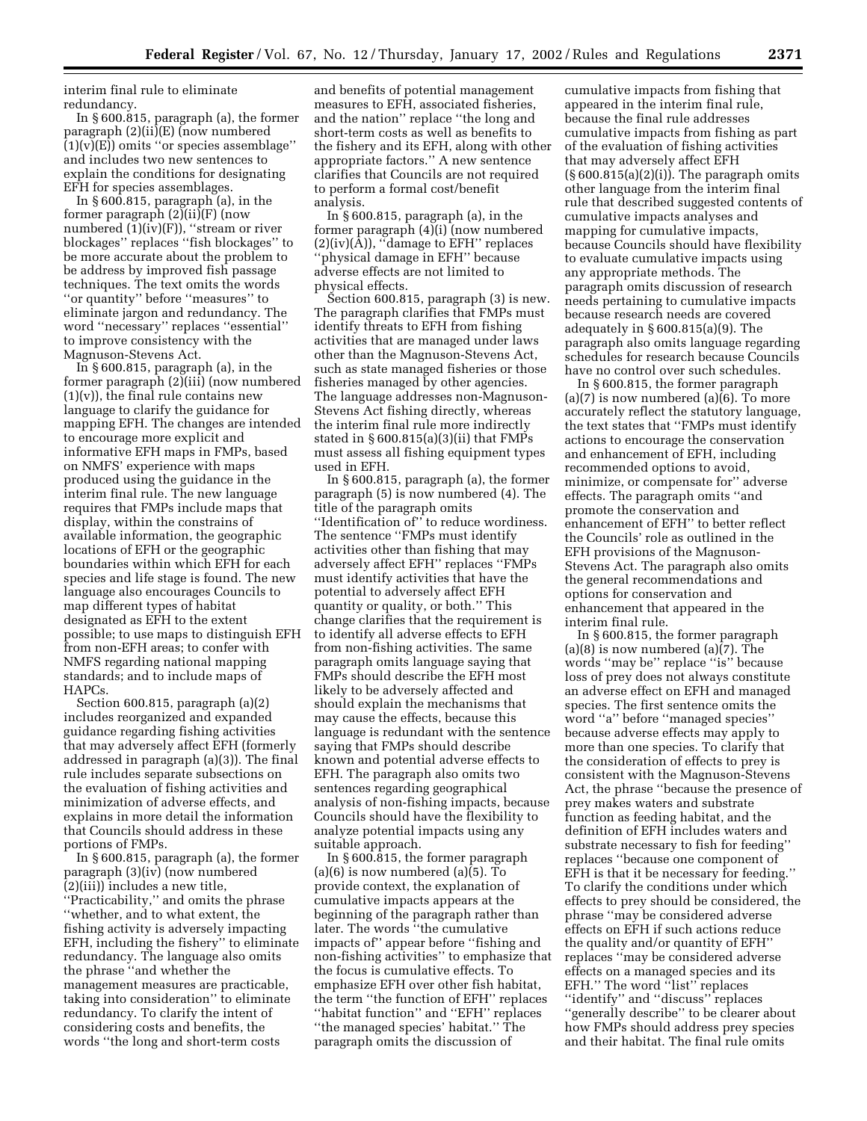interim final rule to eliminate redundancy.

In § 600.815, paragraph (a), the former paragraph (2)(ii)(E) (now numbered  $(1)(v)(E)$  omits "or species assemblage" and includes two new sentences to explain the conditions for designating EFH for species assemblages.

In  $\S 600.815$ , paragraph (a), in the former paragraph (2)(ii)(F) (now numbered (1)(iv)(F)), ''stream or river blockages'' replaces ''fish blockages'' to be more accurate about the problem to be address by improved fish passage techniques. The text omits the words ''or quantity'' before ''measures'' to eliminate jargon and redundancy. The word ''necessary'' replaces ''essential'' to improve consistency with the Magnuson-Stevens Act.

In § 600.815, paragraph (a), in the former paragraph (2)(iii) (now numbered  $(1)(v)$ , the final rule contains new language to clarify the guidance for mapping EFH. The changes are intended to encourage more explicit and informative EFH maps in FMPs, based on NMFS' experience with maps produced using the guidance in the interim final rule. The new language requires that FMPs include maps that display, within the constrains of available information, the geographic locations of EFH or the geographic boundaries within which EFH for each species and life stage is found. The new language also encourages Councils to map different types of habitat designated as EFH to the extent possible; to use maps to distinguish EFH from non-EFH areas; to confer with NMFS regarding national mapping standards; and to include maps of HAPCs.

Section 600.815, paragraph (a)(2) includes reorganized and expanded guidance regarding fishing activities that may adversely affect EFH (formerly addressed in paragraph (a)(3)). The final rule includes separate subsections on the evaluation of fishing activities and minimization of adverse effects, and explains in more detail the information that Councils should address in these portions of FMPs.

In § 600.815, paragraph (a), the former paragraph (3)(iv) (now numbered (2)(iii)) includes a new title, ''Practicability,'' and omits the phrase ''whether, and to what extent, the fishing activity is adversely impacting EFH, including the fishery'' to eliminate redundancy. The language also omits the phrase ''and whether the management measures are practicable, taking into consideration'' to eliminate redundancy. To clarify the intent of considering costs and benefits, the words ''the long and short-term costs

and benefits of potential management measures to EFH, associated fisheries, and the nation'' replace ''the long and short-term costs as well as benefits to the fishery and its EFH, along with other appropriate factors.'' A new sentence clarifies that Councils are not required to perform a formal cost/benefit analysis.

In § 600.815, paragraph (a), in the former paragraph (4)(i) (now numbered  $(2)(iv)(A)$ , "damage to EFH" replaces ''physical damage in EFH'' because adverse effects are not limited to physical effects.

Section 600.815, paragraph (3) is new. The paragraph clarifies that FMPs must identify threats to EFH from fishing activities that are managed under laws other than the Magnuson-Stevens Act, such as state managed fisheries or those fisheries managed by other agencies. The language addresses non-Magnuson-Stevens Act fishing directly, whereas the interim final rule more indirectly stated in § 600.815(a)(3)(ii) that FMPs must assess all fishing equipment types used in EFH.

In § 600.815, paragraph (a), the former paragraph (5) is now numbered (4). The title of the paragraph omits ''Identification of'' to reduce wordiness. The sentence ''FMPs must identify activities other than fishing that may adversely affect EFH'' replaces ''FMPs must identify activities that have the potential to adversely affect EFH quantity or quality, or both.'' This change clarifies that the requirement is to identify all adverse effects to EFH from non-fishing activities. The same paragraph omits language saying that FMPs should describe the EFH most likely to be adversely affected and should explain the mechanisms that may cause the effects, because this language is redundant with the sentence saying that FMPs should describe known and potential adverse effects to EFH. The paragraph also omits two sentences regarding geographical analysis of non-fishing impacts, because Councils should have the flexibility to analyze potential impacts using any suitable approach.

In § 600.815, the former paragraph  $(a)(6)$  is now numbered  $(a)(5)$ . To provide context, the explanation of cumulative impacts appears at the beginning of the paragraph rather than later. The words ''the cumulative impacts of'' appear before ''fishing and non-fishing activities'' to emphasize that the focus is cumulative effects. To emphasize EFH over other fish habitat, the term ''the function of EFH'' replaces ''habitat function'' and ''EFH'' replaces ''the managed species' habitat.'' The paragraph omits the discussion of

cumulative impacts from fishing that appeared in the interim final rule, because the final rule addresses cumulative impacts from fishing as part of the evaluation of fishing activities that may adversely affect EFH  $(\S 600.815(a)(2)(i))$ . The paragraph omits other language from the interim final rule that described suggested contents of cumulative impacts analyses and mapping for cumulative impacts, because Councils should have flexibility to evaluate cumulative impacts using any appropriate methods. The paragraph omits discussion of research needs pertaining to cumulative impacts because research needs are covered adequately in § 600.815(a)(9). The paragraph also omits language regarding schedules for research because Councils have no control over such schedules.

In § 600.815, the former paragraph (a)(7) is now numbered (a)(6). To more accurately reflect the statutory language, the text states that ''FMPs must identify actions to encourage the conservation and enhancement of EFH, including recommended options to avoid, minimize, or compensate for'' adverse effects. The paragraph omits ''and promote the conservation and enhancement of EFH'' to better reflect the Councils' role as outlined in the EFH provisions of the Magnuson-Stevens Act. The paragraph also omits the general recommendations and options for conservation and enhancement that appeared in the interim final rule.

In § 600.815, the former paragraph (a)(8) is now numbered (a)(7). The words ''may be'' replace ''is'' because loss of prey does not always constitute an adverse effect on EFH and managed species. The first sentence omits the word ''a'' before ''managed species'' because adverse effects may apply to more than one species. To clarify that the consideration of effects to prey is consistent with the Magnuson-Stevens Act, the phrase ''because the presence of prey makes waters and substrate function as feeding habitat, and the definition of EFH includes waters and substrate necessary to fish for feeding'' replaces ''because one component of EFH is that it be necessary for feeding.'' To clarify the conditions under which effects to prey should be considered, the phrase ''may be considered adverse effects on EFH if such actions reduce the quality and/or quantity of EFH'' replaces ''may be considered adverse effects on a managed species and its EFH.'' The word ''list'' replaces ''identify'' and ''discuss'' replaces ''generally describe'' to be clearer about how FMPs should address prey species and their habitat. The final rule omits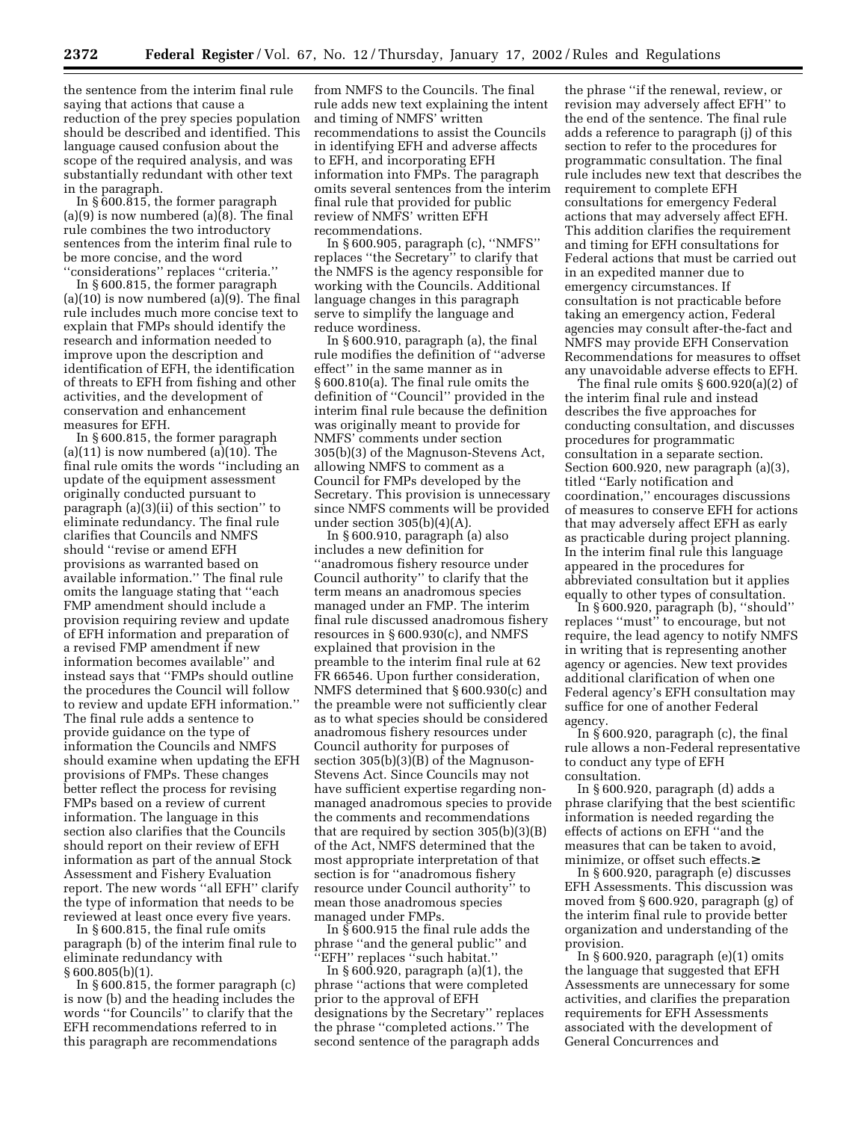the sentence from the interim final rule saying that actions that cause a reduction of the prey species population should be described and identified. This language caused confusion about the scope of the required analysis, and was substantially redundant with other text in the paragraph.

In § 600.815, the former paragraph (a)(9) is now numbered (a)(8). The final rule combines the two introductory sentences from the interim final rule to be more concise, and the word ''considerations'' replaces ''criteria.''

In § 600.815, the former paragraph  $(a)(10)$  is now numbered  $(a)(9)$ . The final rule includes much more concise text to explain that FMPs should identify the research and information needed to improve upon the description and identification of EFH, the identification of threats to EFH from fishing and other activities, and the development of conservation and enhancement measures for EFH.

In § 600.815, the former paragraph  $(a)(11)$  is now numbered  $(a)(10)$ . The final rule omits the words ''including an update of the equipment assessment originally conducted pursuant to paragraph (a)(3)(ii) of this section'' to eliminate redundancy. The final rule clarifies that Councils and NMFS should ''revise or amend EFH provisions as warranted based on available information.'' The final rule omits the language stating that ''each FMP amendment should include a provision requiring review and update of EFH information and preparation of a revised FMP amendment if new information becomes available'' and instead says that ''FMPs should outline the procedures the Council will follow to review and update EFH information.'' The final rule adds a sentence to provide guidance on the type of information the Councils and NMFS should examine when updating the EFH provisions of FMPs. These changes better reflect the process for revising FMPs based on a review of current information. The language in this section also clarifies that the Councils should report on their review of EFH information as part of the annual Stock Assessment and Fishery Evaluation report. The new words ''all EFH'' clarify the type of information that needs to be reviewed at least once every five years.

In § 600.815, the final rule omits paragraph (b) of the interim final rule to eliminate redundancy with § 600.805(b)(1).

In § 600.815, the former paragraph (c) is now (b) and the heading includes the words ''for Councils'' to clarify that the EFH recommendations referred to in this paragraph are recommendations

from NMFS to the Councils. The final rule adds new text explaining the intent and timing of NMFS' written recommendations to assist the Councils in identifying EFH and adverse affects to EFH, and incorporating EFH information into FMPs. The paragraph omits several sentences from the interim final rule that provided for public review of NMFS' written EFH recommendations.

In § 600.905, paragraph (c), ''NMFS'' replaces ''the Secretary'' to clarify that the NMFS is the agency responsible for working with the Councils. Additional language changes in this paragraph serve to simplify the language and reduce wordiness.

In § 600.910, paragraph (a), the final rule modifies the definition of ''adverse effect'' in the same manner as in § 600.810(a). The final rule omits the definition of ''Council'' provided in the interim final rule because the definition was originally meant to provide for NMFS' comments under section 305(b)(3) of the Magnuson-Stevens Act, allowing NMFS to comment as a Council for FMPs developed by the Secretary. This provision is unnecessary since NMFS comments will be provided under section  $305(b)(4)(A)$ .

In § 600.910, paragraph (a) also includes a new definition for ''anadromous fishery resource under Council authority'' to clarify that the term means an anadromous species managed under an FMP. The interim final rule discussed anadromous fishery resources in § 600.930(c), and NMFS explained that provision in the preamble to the interim final rule at 62 FR 66546. Upon further consideration, NMFS determined that § 600.930(c) and the preamble were not sufficiently clear as to what species should be considered anadromous fishery resources under Council authority for purposes of section 305(b)(3)(B) of the Magnuson-Stevens Act. Since Councils may not have sufficient expertise regarding nonmanaged anadromous species to provide the comments and recommendations that are required by section 305(b)(3)(B) of the Act, NMFS determined that the most appropriate interpretation of that section is for ''anadromous fishery resource under Council authority'' to mean those anadromous species managed under FMPs.

In § 600.915 the final rule adds the phrase ''and the general public'' and 'EFH" replaces "such habitat."

In § 600.920, paragraph (a)(1), the phrase ''actions that were completed prior to the approval of EFH designations by the Secretary'' replaces the phrase ''completed actions.'' The second sentence of the paragraph adds

the phrase ''if the renewal, review, or revision may adversely affect EFH'' to the end of the sentence. The final rule adds a reference to paragraph (j) of this section to refer to the procedures for programmatic consultation. The final rule includes new text that describes the requirement to complete EFH consultations for emergency Federal actions that may adversely affect EFH. This addition clarifies the requirement and timing for EFH consultations for Federal actions that must be carried out in an expedited manner due to emergency circumstances. If consultation is not practicable before taking an emergency action, Federal agencies may consult after-the-fact and NMFS may provide EFH Conservation Recommendations for measures to offset any unavoidable adverse effects to EFH.

The final rule omits § 600.920(a)(2) of the interim final rule and instead describes the five approaches for conducting consultation, and discusses procedures for programmatic consultation in a separate section. Section 600.920, new paragraph (a)(3), titled ''Early notification and coordination,'' encourages discussions of measures to conserve EFH for actions that may adversely affect EFH as early as practicable during project planning. In the interim final rule this language appeared in the procedures for abbreviated consultation but it applies equally to other types of consultation.

In § 600.920, paragraph (b), ''should'' replaces ''must'' to encourage, but not require, the lead agency to notify NMFS in writing that is representing another agency or agencies. New text provides additional clarification of when one Federal agency's EFH consultation may suffice for one of another Federal agency.

In § 600.920, paragraph (c), the final rule allows a non-Federal representative to conduct any type of EFH consultation.

In § 600.920, paragraph (d) adds a phrase clarifying that the best scientific information is needed regarding the effects of actions on EFH ''and the measures that can be taken to avoid, minimize, or offset such effects.≥

In § 600.920, paragraph (e) discusses EFH Assessments. This discussion was moved from § 600.920, paragraph (g) of the interim final rule to provide better organization and understanding of the provision.

In  $§ 600.920$ , paragraph  $(e)(1)$  omits the language that suggested that EFH Assessments are unnecessary for some activities, and clarifies the preparation requirements for EFH Assessments associated with the development of General Concurrences and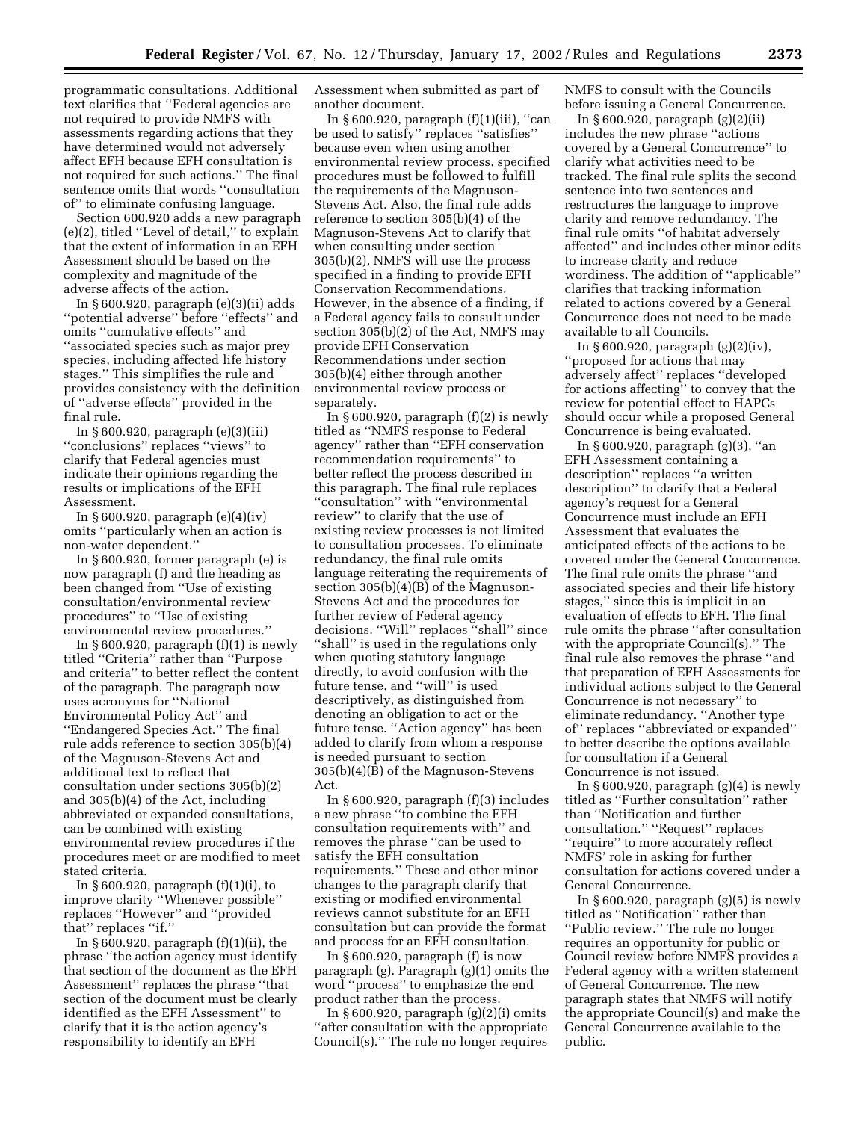programmatic consultations. Additional text clarifies that ''Federal agencies are not required to provide NMFS with assessments regarding actions that they have determined would not adversely affect EFH because EFH consultation is not required for such actions.'' The final sentence omits that words ''consultation of'' to eliminate confusing language.

Section 600.920 adds a new paragraph (e)(2), titled ''Level of detail,'' to explain that the extent of information in an EFH Assessment should be based on the complexity and magnitude of the adverse affects of the action.

In § 600.920, paragraph (e)(3)(ii) adds ''potential adverse'' before ''effects'' and omits ''cumulative effects'' and ''associated species such as major prey species, including affected life history stages.'' This simplifies the rule and provides consistency with the definition of ''adverse effects'' provided in the final rule.

In § 600.920, paragraph (e)(3)(iii) ''conclusions'' replaces ''views'' to clarify that Federal agencies must indicate their opinions regarding the results or implications of the EFH Assessment.

In § 600.920, paragraph (e)(4)(iv) omits ''particularly when an action is non-water dependent.''

In § 600.920, former paragraph (e) is now paragraph (f) and the heading as been changed from ''Use of existing consultation/environmental review procedures'' to ''Use of existing environmental review procedures.''

In  $\S 600.920$ , paragraph  $(f)(1)$  is newly titled ''Criteria'' rather than ''Purpose and criteria'' to better reflect the content of the paragraph. The paragraph now uses acronyms for ''National Environmental Policy Act'' and ''Endangered Species Act.'' The final rule adds reference to section 305(b)(4) of the Magnuson-Stevens Act and additional text to reflect that consultation under sections 305(b)(2) and 305(b)(4) of the Act, including abbreviated or expanded consultations, can be combined with existing environmental review procedures if the procedures meet or are modified to meet stated criteria.

In § 600.920, paragraph  $(f)(1)(i)$ , to improve clarity ''Whenever possible'' replaces ''However'' and ''provided that'' replaces ''if.''

In  $\S 600.920$ , paragraph  $(f)(1)(ii)$ , the phrase ''the action agency must identify that section of the document as the EFH Assessment'' replaces the phrase ''that section of the document must be clearly identified as the EFH Assessment'' to clarify that it is the action agency's responsibility to identify an EFH

Assessment when submitted as part of another document.

In  $\S 600.920$ , paragraph  $(f)(1)(iii)$ , "can be used to satisfy'' replaces ''satisfies'' because even when using another environmental review process, specified procedures must be followed to fulfill the requirements of the Magnuson-Stevens Act. Also, the final rule adds reference to section 305(b)(4) of the Magnuson-Stevens Act to clarify that when consulting under section 305(b)(2), NMFS will use the process specified in a finding to provide EFH Conservation Recommendations. However, in the absence of a finding, if a Federal agency fails to consult under section 305(b)(2) of the Act, NMFS may provide EFH Conservation Recommendations under section 305(b)(4) either through another environmental review process or separately.

In  $\S 600.920$ , paragraph  $(f)(2)$  is newly titled as ''NMFS response to Federal agency'' rather than ''EFH conservation recommendation requirements'' to better reflect the process described in this paragraph. The final rule replaces ''consultation'' with ''environmental review'' to clarify that the use of existing review processes is not limited to consultation processes. To eliminate redundancy, the final rule omits language reiterating the requirements of section 305(b)(4)(B) of the Magnuson-Stevens Act and the procedures for further review of Federal agency decisions. ''Will'' replaces ''shall'' since ''shall'' is used in the regulations only when quoting statutory language directly, to avoid confusion with the future tense, and ''will'' is used descriptively, as distinguished from denoting an obligation to act or the future tense. ''Action agency'' has been added to clarify from whom a response is needed pursuant to section 305(b)(4)(B) of the Magnuson-Stevens Act.

In § 600.920, paragraph (f)(3) includes a new phrase ''to combine the EFH consultation requirements with'' and removes the phrase ''can be used to satisfy the EFH consultation requirements.'' These and other minor changes to the paragraph clarify that existing or modified environmental reviews cannot substitute for an EFH consultation but can provide the format and process for an EFH consultation.

In  $\S 600.920$ , paragraph (f) is now paragraph (g). Paragraph (g)(1) omits the word ''process'' to emphasize the end product rather than the process.

In  $\S 600.920$ , paragraph  $(g)(2)(i)$  omits ''after consultation with the appropriate Council(s).'' The rule no longer requires NMFS to consult with the Councils before issuing a General Concurrence.

In § 600.920, paragraph (g)(2)(ii) includes the new phrase ''actions covered by a General Concurrence'' to clarify what activities need to be tracked. The final rule splits the second sentence into two sentences and restructures the language to improve clarity and remove redundancy. The final rule omits ''of habitat adversely affected'' and includes other minor edits to increase clarity and reduce wordiness. The addition of ''applicable'' clarifies that tracking information related to actions covered by a General Concurrence does not need to be made available to all Councils.

In § 600.920, paragraph (g)(2)(iv), ''proposed for actions that may adversely affect'' replaces ''developed for actions affecting'' to convey that the review for potential effect to HAPCs should occur while a proposed General Concurrence is being evaluated.

In § 600.920, paragraph (g)(3), ''an EFH Assessment containing a description'' replaces ''a written description'' to clarify that a Federal agency's request for a General Concurrence must include an EFH Assessment that evaluates the anticipated effects of the actions to be covered under the General Concurrence. The final rule omits the phrase ''and associated species and their life history stages,'' since this is implicit in an evaluation of effects to EFH. The final rule omits the phrase ''after consultation with the appropriate Council(s)." The final rule also removes the phrase ''and that preparation of EFH Assessments for individual actions subject to the General Concurrence is not necessary'' to eliminate redundancy. ''Another type of'' replaces ''abbreviated or expanded'' to better describe the options available for consultation if a General Concurrence is not issued.

In  $\S 600.920$ , paragraph  $(g)(4)$  is newly titled as ''Further consultation'' rather than ''Notification and further consultation." "Request" replaces ''require'' to more accurately reflect NMFS' role in asking for further consultation for actions covered under a General Concurrence.

In  $\S 600.920$ , paragraph  $(g)(5)$  is newly titled as ''Notification'' rather than ''Public review.'' The rule no longer requires an opportunity for public or Council review before NMFS provides a Federal agency with a written statement of General Concurrence. The new paragraph states that NMFS will notify the appropriate Council(s) and make the General Concurrence available to the public.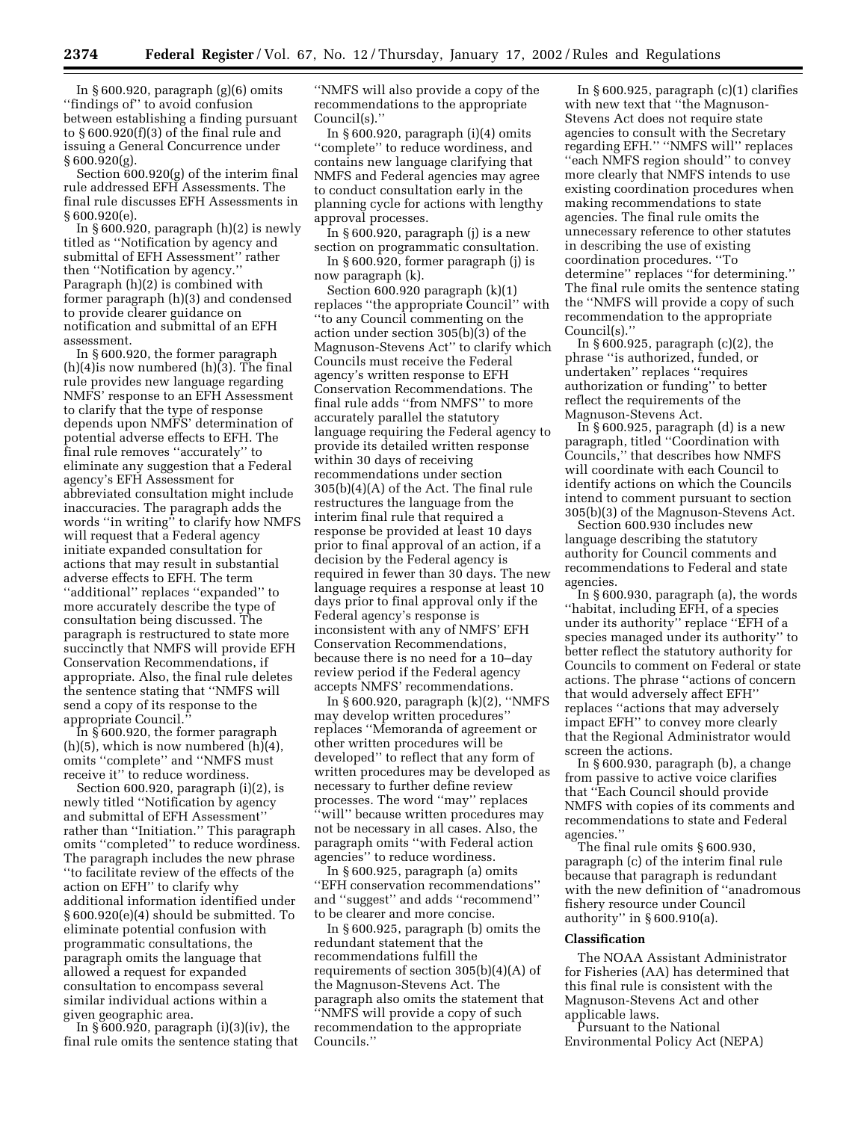In  $\S 600.920$ , paragraph  $(g)(6)$  omits ''findings of'' to avoid confusion between establishing a finding pursuant to § 600.920(f)(3) of the final rule and issuing a General Concurrence under § 600.920(g).

Section 600.920(g) of the interim final rule addressed EFH Assessments. The final rule discusses EFH Assessments in § 600.920(e).

In § 600.920, paragraph  $(h)(2)$  is newly titled as ''Notification by agency and submittal of EFH Assessment'' rather then ''Notification by agency.'' Paragraph (h)(2) is combined with former paragraph (h)(3) and condensed to provide clearer guidance on notification and submittal of an EFH assessment.

In § 600.920, the former paragraph  $(h)(4)$  is now numbered  $(h)(3)$ . The final rule provides new language regarding NMFS' response to an EFH Assessment to clarify that the type of response depends upon NMFS' determination of potential adverse effects to EFH. The final rule removes ''accurately'' to eliminate any suggestion that a Federal agency's EFH Assessment for abbreviated consultation might include inaccuracies. The paragraph adds the words ''in writing'' to clarify how NMFS will request that a Federal agency initiate expanded consultation for actions that may result in substantial adverse effects to EFH. The term ''additional'' replaces ''expanded'' to more accurately describe the type of consultation being discussed. The paragraph is restructured to state more succinctly that NMFS will provide EFH Conservation Recommendations, if appropriate. Also, the final rule deletes the sentence stating that ''NMFS will send a copy of its response to the appropriate Council.''

In § 600.920, the former paragraph  $(h)(5)$ , which is now numbered  $(h)(4)$ , omits ''complete'' and ''NMFS must receive it'' to reduce wordiness.

Section 600.920, paragraph (i)(2), is newly titled ''Notification by agency and submittal of EFH Assessment'' rather than ''Initiation.'' This paragraph omits ''completed'' to reduce wordiness. The paragraph includes the new phrase ''to facilitate review of the effects of the action on EFH'' to clarify why additional information identified under § 600.920(e)(4) should be submitted. To eliminate potential confusion with programmatic consultations, the paragraph omits the language that allowed a request for expanded consultation to encompass several similar individual actions within a given geographic area.

In § 600.920, paragraph (i)(3)(iv), the final rule omits the sentence stating that

''NMFS will also provide a copy of the recommendations to the appropriate Council(s).''

In § 600.920, paragraph (i)(4) omits "complete" to reduce wordiness, and contains new language clarifying that NMFS and Federal agencies may agree to conduct consultation early in the planning cycle for actions with lengthy approval processes.

In § 600.920, paragraph (j) is a new section on programmatic consultation.

In § 600.920, former paragraph (j) is now paragraph (k).

Section 600.920 paragraph (k)(1) replaces ''the appropriate Council'' with ''to any Council commenting on the action under section 305(b)(3) of the Magnuson-Stevens Act'' to clarify which Councils must receive the Federal agency's written response to EFH Conservation Recommendations. The final rule adds ''from NMFS'' to more accurately parallel the statutory language requiring the Federal agency to provide its detailed written response within 30 days of receiving recommendations under section 305(b)(4)(A) of the Act. The final rule restructures the language from the interim final rule that required a response be provided at least 10 days prior to final approval of an action, if a decision by the Federal agency is required in fewer than 30 days. The new language requires a response at least 10 days prior to final approval only if the Federal agency's response is inconsistent with any of NMFS' EFH Conservation Recommendations, because there is no need for a 10–day review period if the Federal agency accepts NMFS' recommendations.

In § 600.920, paragraph (k)(2), ''NMFS may develop written procedures'' replaces ''Memoranda of agreement or other written procedures will be developed'' to reflect that any form of written procedures may be developed as necessary to further define review processes. The word ''may'' replaces ''will'' because written procedures may not be necessary in all cases. Also, the paragraph omits ''with Federal action agencies'' to reduce wordiness.

In § 600.925, paragraph (a) omits ''EFH conservation recommendations'' and ''suggest'' and adds ''recommend'' to be clearer and more concise.

In § 600.925, paragraph (b) omits the redundant statement that the recommendations fulfill the requirements of section 305(b)(4)(A) of the Magnuson-Stevens Act. The paragraph also omits the statement that ''NMFS will provide a copy of such recommendation to the appropriate Councils.''

In  $\S 600.925$ , paragraph  $(c)(1)$  clarifies with new text that ''the Magnuson-Stevens Act does not require state agencies to consult with the Secretary regarding EFH.'' ''NMFS will'' replaces ''each NMFS region should'' to convey more clearly that NMFS intends to use existing coordination procedures when making recommendations to state agencies. The final rule omits the unnecessary reference to other statutes in describing the use of existing coordination procedures. ''To determine'' replaces ''for determining.'' The final rule omits the sentence stating the ''NMFS will provide a copy of such recommendation to the appropriate Council(s).''

In § 600.925, paragraph (c)(2), the phrase ''is authorized, funded, or undertaken'' replaces ''requires authorization or funding'' to better reflect the requirements of the Magnuson-Stevens Act.

In § 600.925, paragraph (d) is a new paragraph, titled ''Coordination with Councils,'' that describes how NMFS will coordinate with each Council to identify actions on which the Councils intend to comment pursuant to section 305(b)(3) of the Magnuson-Stevens Act.

Section 600.930 includes new language describing the statutory authority for Council comments and recommendations to Federal and state agencies.

In § 600.930, paragraph (a), the words ''habitat, including EFH, of a species under its authority'' replace ''EFH of a species managed under its authority'' to better reflect the statutory authority for Councils to comment on Federal or state actions. The phrase ''actions of concern that would adversely affect EFH'' replaces ''actions that may adversely impact EFH'' to convey more clearly that the Regional Administrator would screen the actions.

In § 600.930, paragraph (b), a change from passive to active voice clarifies that ''Each Council should provide NMFS with copies of its comments and recommendations to state and Federal agencies.''

The final rule omits § 600.930, paragraph (c) of the interim final rule because that paragraph is redundant with the new definition of ''anadromous fishery resource under Council authority'' in § 600.910(a).

#### **Classification**

The NOAA Assistant Administrator for Fisheries (AA) has determined that this final rule is consistent with the Magnuson-Stevens Act and other applicable laws.

Pursuant to the National Environmental Policy Act (NEPA)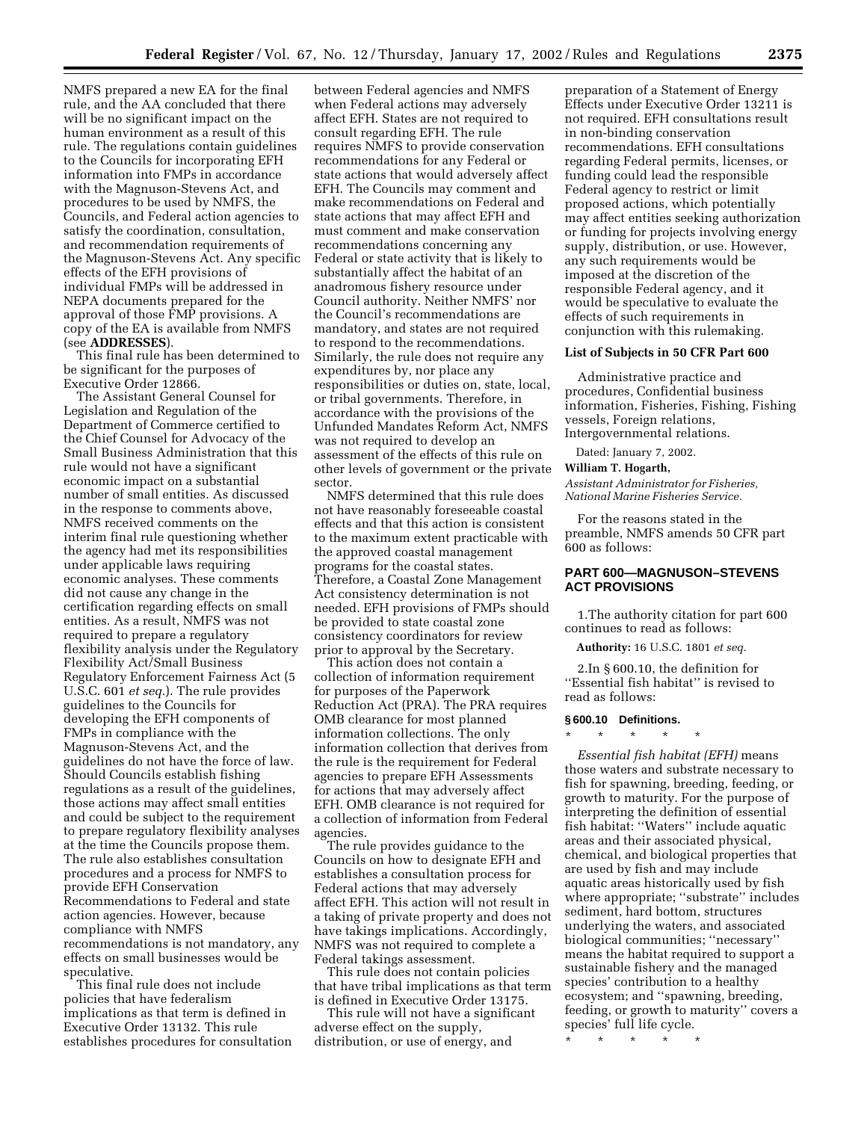NMFS prepared a new EA for the final rule, and the AA concluded that there will be no significant impact on the human environment as a result of this rule. The regulations contain guidelines to the Councils for incorporating EFH information into FMPs in accordance with the Magnuson-Stevens Act, and procedures to be used by NMFS, the Councils, and Federal action agencies to satisfy the coordination, consultation, and recommendation requirements of the Magnuson-Stevens Act. Any specific effects of the EFH provisions of individual FMPs will be addressed in NEPA documents prepared for the approval of those FMP provisions. A copy of the EA is available from NMFS (see **ADDRESSES**).

This final rule has been determined to be significant for the purposes of Executive Order 12866.

The Assistant General Counsel for Legislation and Regulation of the Department of Commerce certified to the Chief Counsel for Advocacy of the Small Business Administration that this rule would not have a significant economic impact on a substantial number of small entities. As discussed in the response to comments above, NMFS received comments on the interim final rule questioning whether the agency had met its responsibilities under applicable laws requiring economic analyses. These comments did not cause any change in the certification regarding effects on small entities. As a result, NMFS was not required to prepare a regulatory flexibility analysis under the Regulatory Flexibility Act/Small Business Regulatory Enforcement Fairness Act (5 U.S.C. 601 *et seq.*). The rule provides guidelines to the Councils for developing the EFH components of FMPs in compliance with the Magnuson-Stevens Act, and the guidelines do not have the force of law. Should Councils establish fishing regulations as a result of the guidelines, those actions may affect small entities and could be subject to the requirement to prepare regulatory flexibility analyses at the time the Councils propose them. The rule also establishes consultation procedures and a process for NMFS to provide EFH Conservation Recommendations to Federal and state action agencies. However, because compliance with NMFS recommendations is not mandatory, any effects on small businesses would be speculative.

This final rule does not include policies that have federalism implications as that term is defined in Executive Order 13132. This rule establishes procedures for consultation

between Federal agencies and NMFS when Federal actions may adversely affect EFH. States are not required to consult regarding EFH. The rule requires NMFS to provide conservation recommendations for any Federal or state actions that would adversely affect EFH. The Councils may comment and make recommendations on Federal and state actions that may affect EFH and must comment and make conservation recommendations concerning any Federal or state activity that is likely to substantially affect the habitat of an anadromous fishery resource under Council authority. Neither NMFS' nor the Council's recommendations are mandatory, and states are not required to respond to the recommendations. Similarly, the rule does not require any expenditures by, nor place any responsibilities or duties on, state, local, or tribal governments. Therefore, in accordance with the provisions of the Unfunded Mandates Reform Act, NMFS was not required to develop an assessment of the effects of this rule on other levels of government or the private sector.

NMFS determined that this rule does not have reasonably foreseeable coastal effects and that this action is consistent to the maximum extent practicable with the approved coastal management programs for the coastal states. Therefore, a Coastal Zone Management Act consistency determination is not needed. EFH provisions of FMPs should be provided to state coastal zone consistency coordinators for review prior to approval by the Secretary.

This action does not contain a collection of information requirement for purposes of the Paperwork Reduction Act (PRA). The PRA requires OMB clearance for most planned information collections. The only information collection that derives from the rule is the requirement for Federal agencies to prepare EFH Assessments for actions that may adversely affect EFH. OMB clearance is not required for a collection of information from Federal agencies.

The rule provides guidance to the Councils on how to designate EFH and establishes a consultation process for Federal actions that may adversely affect EFH. This action will not result in a taking of private property and does not have takings implications. Accordingly, NMFS was not required to complete a Federal takings assessment.

This rule does not contain policies that have tribal implications as that term is defined in Executive Order 13175.

This rule will not have a significant adverse effect on the supply, distribution, or use of energy, and

preparation of a Statement of Energy Effects under Executive Order 13211 is not required. EFH consultations result in non-binding conservation recommendations. EFH consultations regarding Federal permits, licenses, or funding could lead the responsible Federal agency to restrict or limit proposed actions, which potentially may affect entities seeking authorization or funding for projects involving energy supply, distribution, or use. However, any such requirements would be imposed at the discretion of the responsible Federal agency, and it would be speculative to evaluate the effects of such requirements in conjunction with this rulemaking.

#### **List of Subjects in 50 CFR Part 600**

Administrative practice and procedures, Confidential business information, Fisheries, Fishing, Fishing vessels, Foreign relations, Intergovernmental relations.

Dated: January 7, 2002.

#### **William T. Hogarth,**

*Assistant Administrator for Fisheries, National Marine Fisheries Service.*

For the reasons stated in the preamble, NMFS amends 50 CFR part 600 as follows:

# **PART 600—MAGNUSON–STEVENS ACT PROVISIONS**

1.The authority citation for part 600 continues to read as follows:

**Authority:** 16 U.S.C. 1801 *et seq.*

2.In § 600.10, the definition for "Essential fish habitat" is revised to read as follows:

#### **§ 600.10 Definitions.**

\* \* \* \* \*

*Essential fish habitat (EFH)* means those waters and substrate necessary to fish for spawning, breeding, feeding, or growth to maturity. For the purpose of interpreting the definition of essential fish habitat: ''Waters'' include aquatic areas and their associated physical, chemical, and biological properties that are used by fish and may include aquatic areas historically used by fish where appropriate; ''substrate'' includes sediment, hard bottom, structures underlying the waters, and associated biological communities; ''necessary'' means the habitat required to support a sustainable fishery and the managed species' contribution to a healthy ecosystem; and ''spawning, breeding, feeding, or growth to maturity'' covers a species' full life cycle.

\* \* \* \* \*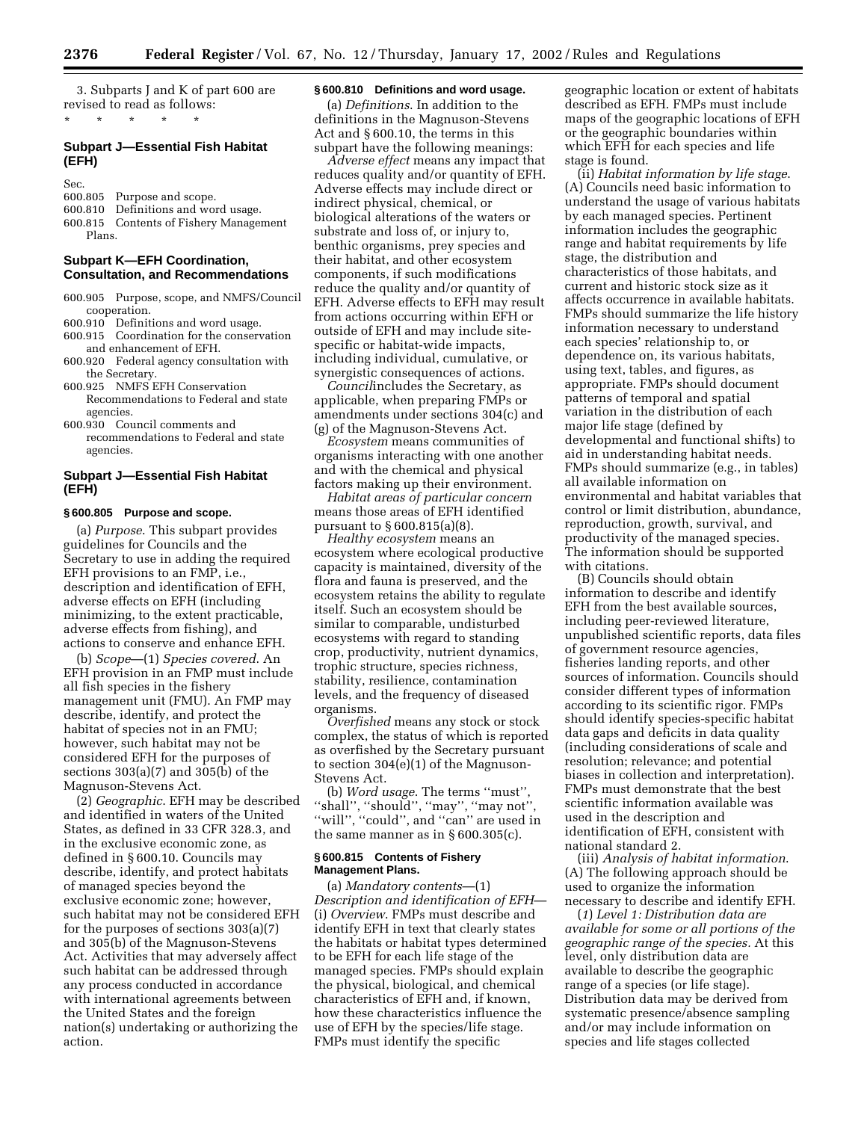3. Subparts J and K of part 600 are revised to read as follows:

# **Subpart J—Essential Fish Habitat (EFH)**

\* \* \* \* \*

Sec.

600.805 Purpose and scope. 600.810 Definitions and word usage. 600.815 Contents of Fishery Management Plans.

#### **Subpart K—EFH Coordination, Consultation, and Recommendations**

- 600.905 Purpose, scope, and NMFS/Council cooperation.
- 600.910 Definitions and word usage. 600.915 Coordination for the conservation and enhancement of EFH.
- 600.920 Federal agency consultation with the Secretary.
- 600.925 NMFS EFH Conservation Recommendations to Federal and state agencies.
- 600.930 Council comments and recommendations to Federal and state agencies.

# **Subpart J—Essential Fish Habitat (EFH)**

#### **§ 600.805 Purpose and scope.**

(a) *Purpose*. This subpart provides guidelines for Councils and the Secretary to use in adding the required EFH provisions to an FMP, i.e., description and identification of EFH, adverse effects on EFH (including minimizing, to the extent practicable, adverse effects from fishing), and actions to conserve and enhance EFH.

(b) *Scope*—(1) *Species covered*. An EFH provision in an FMP must include all fish species in the fishery management unit (FMU). An FMP may describe, identify, and protect the habitat of species not in an FMU; however, such habitat may not be considered EFH for the purposes of sections 303(a)(7) and 305(b) of the Magnuson-Stevens Act.

(2) *Geographic*. EFH may be described and identified in waters of the United States, as defined in 33 CFR 328.3, and in the exclusive economic zone, as defined in § 600.10. Councils may describe, identify, and protect habitats of managed species beyond the exclusive economic zone; however, such habitat may not be considered EFH for the purposes of sections 303(a)(7) and 305(b) of the Magnuson-Stevens Act. Activities that may adversely affect such habitat can be addressed through any process conducted in accordance with international agreements between the United States and the foreign nation(s) undertaking or authorizing the action.

## **§ 600.810 Definitions and word usage.**

(a) *Definitions*. In addition to the definitions in the Magnuson-Stevens Act and § 600.10, the terms in this subpart have the following meanings:

*Adverse effect* means any impact that reduces quality and/or quantity of EFH. Adverse effects may include direct or indirect physical, chemical, or biological alterations of the waters or substrate and loss of, or injury to, benthic organisms, prey species and their habitat, and other ecosystem components, if such modifications reduce the quality and/or quantity of EFH. Adverse effects to EFH may result from actions occurring within EFH or outside of EFH and may include sitespecific or habitat-wide impacts, including individual, cumulative, or synergistic consequences of actions.

*Council*includes the Secretary, as applicable, when preparing FMPs or amendments under sections 304(c) and (g) of the Magnuson-Stevens Act.

*Ecosystem* means communities of organisms interacting with one another and with the chemical and physical factors making up their environment.

*Habitat areas of particular concern* means those areas of EFH identified pursuant to § 600.815(a)(8).

*Healthy ecosystem* means an ecosystem where ecological productive capacity is maintained, diversity of the flora and fauna is preserved, and the ecosystem retains the ability to regulate itself. Such an ecosystem should be similar to comparable, undisturbed ecosystems with regard to standing crop, productivity, nutrient dynamics, trophic structure, species richness, stability, resilience, contamination levels, and the frequency of diseased organisms.

*Overfished* means any stock or stock complex, the status of which is reported as overfished by the Secretary pursuant to section 304(e)(1) of the Magnuson-Stevens Act.

(b) *Word usage*. The terms ''must'', ''shall'', ''should'', ''may'', ''may not'', ''will'', ''could'', and ''can'' are used in the same manner as in  $\S 600.305(c)$ .

#### **§ 600.815 Contents of Fishery Management Plans.**

(a) *Mandatory contents*—(1) *Description and identification of EFH*— (i) *Overview*. FMPs must describe and identify EFH in text that clearly states the habitats or habitat types determined to be EFH for each life stage of the managed species. FMPs should explain the physical, biological, and chemical characteristics of EFH and, if known, how these characteristics influence the use of EFH by the species/life stage. FMPs must identify the specific

geographic location or extent of habitats described as EFH. FMPs must include maps of the geographic locations of EFH or the geographic boundaries within which EFH for each species and life stage is found.

(ii) *Habitat information by life stage*. (A) Councils need basic information to understand the usage of various habitats by each managed species. Pertinent information includes the geographic range and habitat requirements by life stage, the distribution and characteristics of those habitats, and current and historic stock size as it affects occurrence in available habitats. FMPs should summarize the life history information necessary to understand each species' relationship to, or dependence on, its various habitats, using text, tables, and figures, as appropriate. FMPs should document patterns of temporal and spatial variation in the distribution of each major life stage (defined by developmental and functional shifts) to aid in understanding habitat needs. FMPs should summarize (e.g., in tables) all available information on environmental and habitat variables that control or limit distribution, abundance, reproduction, growth, survival, and productivity of the managed species. The information should be supported with citations.

(B) Councils should obtain information to describe and identify EFH from the best available sources, including peer-reviewed literature, unpublished scientific reports, data files of government resource agencies, fisheries landing reports, and other sources of information. Councils should consider different types of information according to its scientific rigor. FMPs should identify species-specific habitat data gaps and deficits in data quality (including considerations of scale and resolution; relevance; and potential biases in collection and interpretation). FMPs must demonstrate that the best scientific information available was used in the description and identification of EFH, consistent with national standard 2.

(iii) *Analysis of habitat information*. (A) The following approach should be used to organize the information necessary to describe and identify EFH.

(*1*) *Level 1: Distribution data are available for some or all portions of the geographic range of the species.* At this level, only distribution data are available to describe the geographic range of a species (or life stage). Distribution data may be derived from systematic presence/absence sampling and/or may include information on species and life stages collected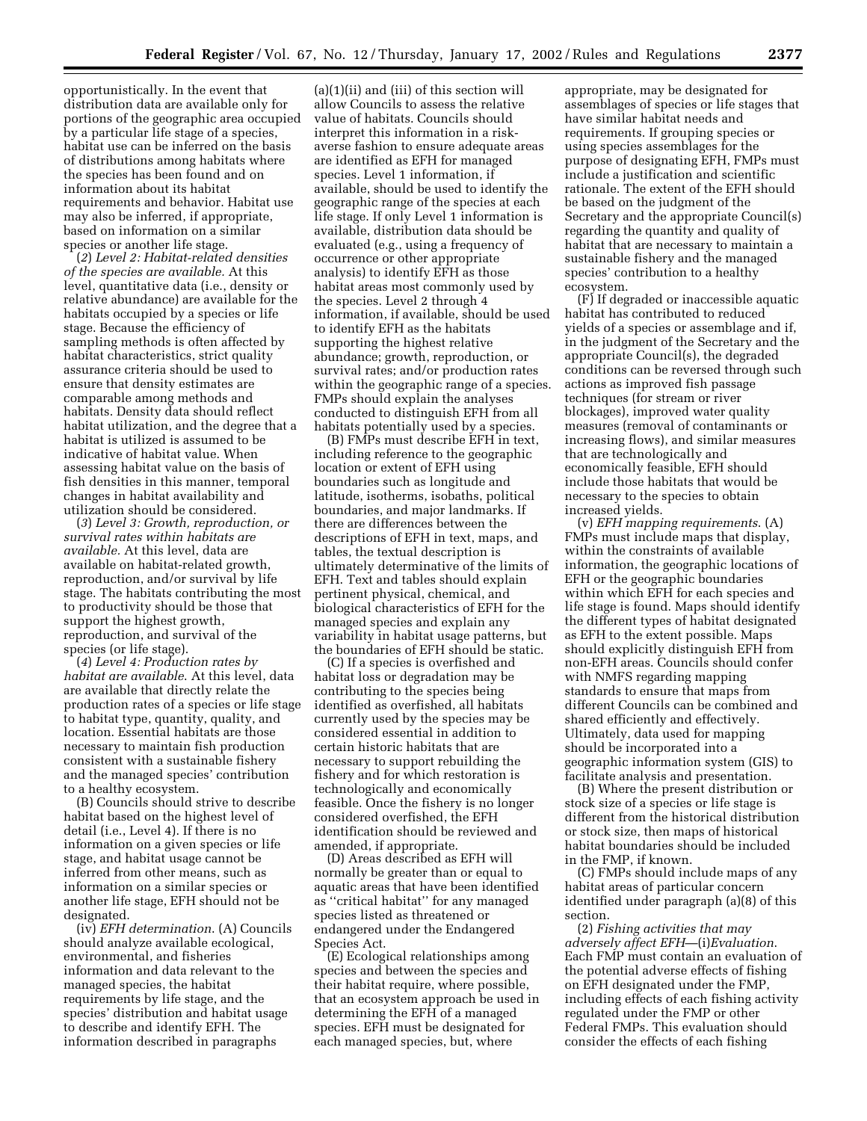opportunistically. In the event that distribution data are available only for portions of the geographic area occupied by a particular life stage of a species, habitat use can be inferred on the basis of distributions among habitats where the species has been found and on information about its habitat requirements and behavior. Habitat use may also be inferred, if appropriate, based on information on a similar species or another life stage.

(*2*) *Level 2: Habitat-related densities of the species are available.* At this level, quantitative data (i.e., density or relative abundance) are available for the habitats occupied by a species or life stage. Because the efficiency of sampling methods is often affected by habitat characteristics, strict quality assurance criteria should be used to ensure that density estimates are comparable among methods and habitats. Density data should reflect habitat utilization, and the degree that a habitat is utilized is assumed to be indicative of habitat value. When assessing habitat value on the basis of fish densities in this manner, temporal changes in habitat availability and utilization should be considered.

(*3*) *Level 3: Growth, reproduction, or survival rates within habitats are available.* At this level, data are available on habitat-related growth, reproduction, and/or survival by life stage. The habitats contributing the most to productivity should be those that support the highest growth, reproduction, and survival of the species (or life stage).

(*4*) *Level 4: Production rates by habitat are available*. At this level, data are available that directly relate the production rates of a species or life stage to habitat type, quantity, quality, and location. Essential habitats are those necessary to maintain fish production consistent with a sustainable fishery and the managed species' contribution to a healthy ecosystem.

(B) Councils should strive to describe habitat based on the highest level of detail (i.e., Level 4). If there is no information on a given species or life stage, and habitat usage cannot be inferred from other means, such as information on a similar species or another life stage, EFH should not be designated.

(iv) *EFH determination*. (A) Councils should analyze available ecological, environmental, and fisheries information and data relevant to the managed species, the habitat requirements by life stage, and the species' distribution and habitat usage to describe and identify EFH. The information described in paragraphs

(a)(1)(ii) and (iii) of this section will allow Councils to assess the relative value of habitats. Councils should interpret this information in a riskaverse fashion to ensure adequate areas are identified as EFH for managed species. Level 1 information, if available, should be used to identify the geographic range of the species at each life stage. If only Level 1 information is available, distribution data should be evaluated (e.g., using a frequency of occurrence or other appropriate analysis) to identify EFH as those habitat areas most commonly used by the species. Level 2 through 4 information, if available, should be used to identify EFH as the habitats supporting the highest relative abundance; growth, reproduction, or survival rates; and/or production rates within the geographic range of a species. FMPs should explain the analyses conducted to distinguish EFH from all habitats potentially used by a species.

(B) FMPs must describe EFH in text, including reference to the geographic location or extent of EFH using boundaries such as longitude and latitude, isotherms, isobaths, political boundaries, and major landmarks. If there are differences between the descriptions of EFH in text, maps, and tables, the textual description is ultimately determinative of the limits of EFH. Text and tables should explain pertinent physical, chemical, and biological characteristics of EFH for the managed species and explain any variability in habitat usage patterns, but the boundaries of EFH should be static.

(C) If a species is overfished and habitat loss or degradation may be contributing to the species being identified as overfished, all habitats currently used by the species may be considered essential in addition to certain historic habitats that are necessary to support rebuilding the fishery and for which restoration is technologically and economically feasible. Once the fishery is no longer considered overfished, the EFH identification should be reviewed and amended, if appropriate.

(D) Areas described as EFH will normally be greater than or equal to aquatic areas that have been identified as ''critical habitat'' for any managed species listed as threatened or endangered under the Endangered Species Act.

(E) Ecological relationships among species and between the species and their habitat require, where possible, that an ecosystem approach be used in determining the EFH of a managed species. EFH must be designated for each managed species, but, where

appropriate, may be designated for assemblages of species or life stages that have similar habitat needs and requirements. If grouping species or using species assemblages for the purpose of designating EFH, FMPs must include a justification and scientific rationale. The extent of the EFH should be based on the judgment of the Secretary and the appropriate Council(s) regarding the quantity and quality of habitat that are necessary to maintain a sustainable fishery and the managed species' contribution to a healthy ecosystem.

(F) If degraded or inaccessible aquatic habitat has contributed to reduced yields of a species or assemblage and if, in the judgment of the Secretary and the appropriate Council(s), the degraded conditions can be reversed through such actions as improved fish passage techniques (for stream or river blockages), improved water quality measures (removal of contaminants or increasing flows), and similar measures that are technologically and economically feasible, EFH should include those habitats that would be necessary to the species to obtain increased yields.

(v) *EFH mapping requirements*. (A) FMPs must include maps that display, within the constraints of available information, the geographic locations of EFH or the geographic boundaries within which EFH for each species and life stage is found. Maps should identify the different types of habitat designated as EFH to the extent possible. Maps should explicitly distinguish EFH from non-EFH areas. Councils should confer with NMFS regarding mapping standards to ensure that maps from different Councils can be combined and shared efficiently and effectively. Ultimately, data used for mapping should be incorporated into a geographic information system (GIS) to facilitate analysis and presentation.

(B) Where the present distribution or stock size of a species or life stage is different from the historical distribution or stock size, then maps of historical habitat boundaries should be included in the FMP, if known.

(C) FMPs should include maps of any habitat areas of particular concern identified under paragraph (a)(8) of this section.

(2) *Fishing activities that may adversely affect EFH*—(i)*Evaluation*. Each FMP must contain an evaluation of the potential adverse effects of fishing on EFH designated under the FMP, including effects of each fishing activity regulated under the FMP or other Federal FMPs. This evaluation should consider the effects of each fishing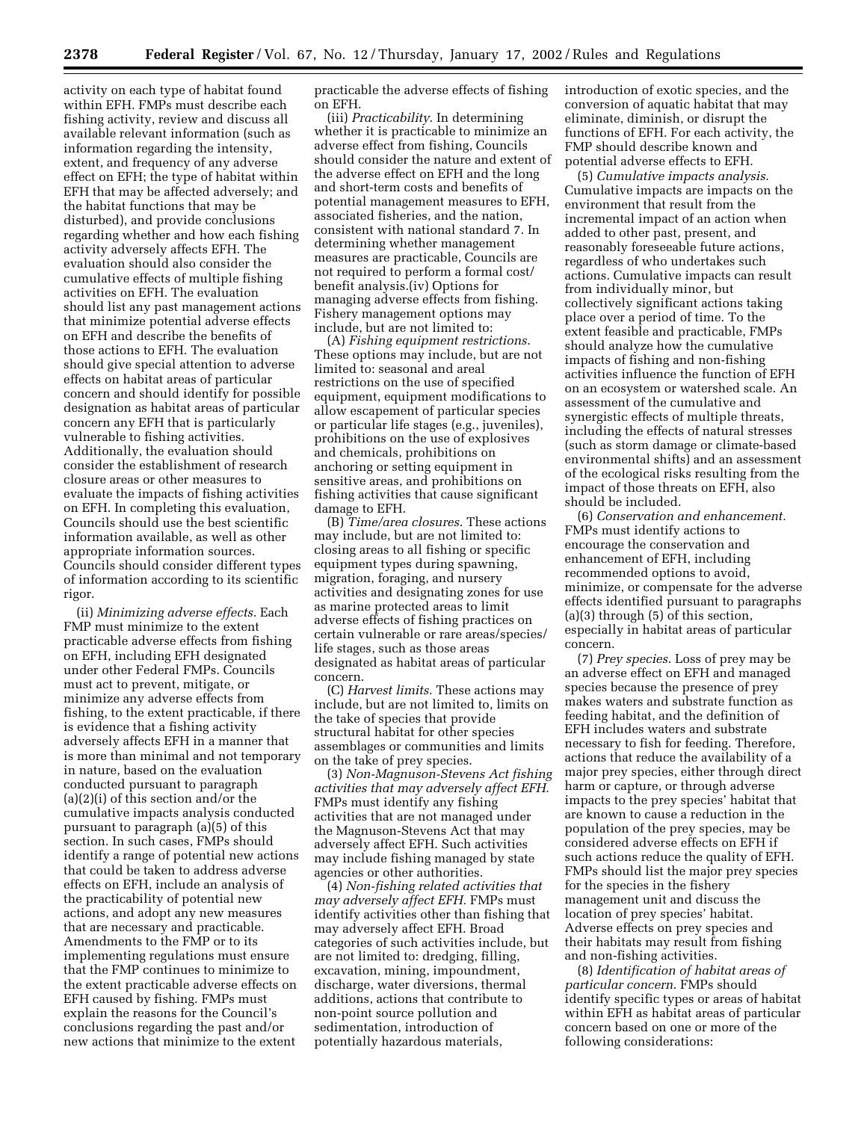activity on each type of habitat found within EFH. FMPs must describe each fishing activity, review and discuss all available relevant information (such as information regarding the intensity, extent, and frequency of any adverse effect on EFH; the type of habitat within EFH that may be affected adversely; and the habitat functions that may be disturbed), and provide conclusions regarding whether and how each fishing activity adversely affects EFH. The evaluation should also consider the cumulative effects of multiple fishing activities on EFH. The evaluation should list any past management actions that minimize potential adverse effects on EFH and describe the benefits of those actions to EFH. The evaluation should give special attention to adverse effects on habitat areas of particular concern and should identify for possible designation as habitat areas of particular concern any EFH that is particularly vulnerable to fishing activities. Additionally, the evaluation should consider the establishment of research closure areas or other measures to evaluate the impacts of fishing activities on EFH. In completing this evaluation, Councils should use the best scientific information available, as well as other appropriate information sources. Councils should consider different types of information according to its scientific rigor.

(ii) *Minimizing adverse effects*. Each FMP must minimize to the extent practicable adverse effects from fishing on EFH, including EFH designated under other Federal FMPs. Councils must act to prevent, mitigate, or minimize any adverse effects from fishing, to the extent practicable, if there is evidence that a fishing activity adversely affects EFH in a manner that is more than minimal and not temporary in nature, based on the evaluation conducted pursuant to paragraph (a)(2)(i) of this section and/or the cumulative impacts analysis conducted pursuant to paragraph (a)(5) of this section. In such cases, FMPs should identify a range of potential new actions that could be taken to address adverse effects on EFH, include an analysis of the practicability of potential new actions, and adopt any new measures that are necessary and practicable. Amendments to the FMP or to its implementing regulations must ensure that the FMP continues to minimize to the extent practicable adverse effects on EFH caused by fishing. FMPs must explain the reasons for the Council's conclusions regarding the past and/or new actions that minimize to the extent

practicable the adverse effects of fishing on EFH.

(iii) *Practicability*. In determining whether it is practicable to minimize an adverse effect from fishing, Councils should consider the nature and extent of the adverse effect on EFH and the long and short-term costs and benefits of potential management measures to EFH, associated fisheries, and the nation, consistent with national standard 7. In determining whether management measures are practicable, Councils are not required to perform a formal cost/ benefit analysis.(iv) Options for managing adverse effects from fishing. Fishery management options may include, but are not limited to:

(A) *Fishing equipment restrictions*. These options may include, but are not limited to: seasonal and areal restrictions on the use of specified equipment, equipment modifications to allow escapement of particular species or particular life stages (e.g., juveniles), prohibitions on the use of explosives and chemicals, prohibitions on anchoring or setting equipment in sensitive areas, and prohibitions on fishing activities that cause significant damage to EFH.

(B) *Time/area closures*. These actions may include, but are not limited to: closing areas to all fishing or specific equipment types during spawning, migration, foraging, and nursery activities and designating zones for use as marine protected areas to limit adverse effects of fishing practices on certain vulnerable or rare areas/species/ life stages, such as those areas designated as habitat areas of particular concern.

(C) *Harvest limits*. These actions may include, but are not limited to, limits on the take of species that provide structural habitat for other species assemblages or communities and limits on the take of prey species.

(3) *Non-Magnuson-Stevens Act fishing activities that may adversely affect EFH*. FMPs must identify any fishing activities that are not managed under the Magnuson-Stevens Act that may adversely affect EFH. Such activities may include fishing managed by state agencies or other authorities.

(4) *Non-fishing related activities that may adversely affect EFH.* FMPs must identify activities other than fishing that may adversely affect EFH. Broad categories of such activities include, but are not limited to: dredging, filling, excavation, mining, impoundment, discharge, water diversions, thermal additions, actions that contribute to non-point source pollution and sedimentation, introduction of potentially hazardous materials,

introduction of exotic species, and the conversion of aquatic habitat that may eliminate, diminish, or disrupt the functions of EFH. For each activity, the FMP should describe known and potential adverse effects to EFH.

(5) *Cumulative impacts analysis*. Cumulative impacts are impacts on the environment that result from the incremental impact of an action when added to other past, present, and reasonably foreseeable future actions, regardless of who undertakes such actions. Cumulative impacts can result from individually minor, but collectively significant actions taking place over a period of time. To the extent feasible and practicable, FMPs should analyze how the cumulative impacts of fishing and non-fishing activities influence the function of EFH on an ecosystem or watershed scale. An assessment of the cumulative and synergistic effects of multiple threats, including the effects of natural stresses (such as storm damage or climate-based environmental shifts) and an assessment of the ecological risks resulting from the impact of those threats on EFH, also should be included.

(6) *Conservation and enhancement.* FMPs must identify actions to encourage the conservation and enhancement of EFH, including recommended options to avoid, minimize, or compensate for the adverse effects identified pursuant to paragraphs (a)(3) through (5) of this section, especially in habitat areas of particular concern.

(7) *Prey species*. Loss of prey may be an adverse effect on EFH and managed species because the presence of prey makes waters and substrate function as feeding habitat, and the definition of EFH includes waters and substrate necessary to fish for feeding. Therefore, actions that reduce the availability of a major prey species, either through direct harm or capture, or through adverse impacts to the prey species' habitat that are known to cause a reduction in the population of the prey species, may be considered adverse effects on EFH if such actions reduce the quality of EFH. FMPs should list the major prey species for the species in the fishery management unit and discuss the location of prey species' habitat. Adverse effects on prey species and their habitats may result from fishing and non-fishing activities.

(8) *Identification of habitat areas of particular concern*. FMPs should identify specific types or areas of habitat within EFH as habitat areas of particular concern based on one or more of the following considerations: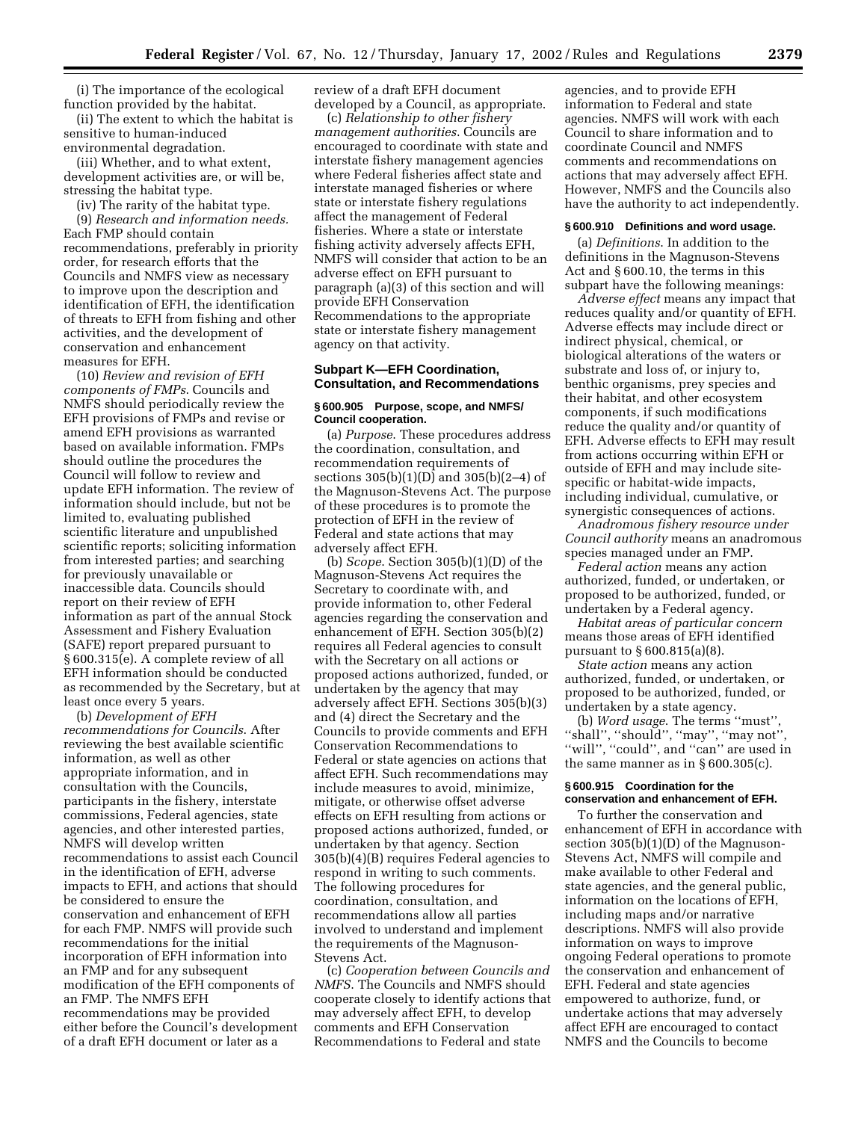(i) The importance of the ecological function provided by the habitat.

(ii) The extent to which the habitat is sensitive to human-induced environmental degradation.

(iii) Whether, and to what extent, development activities are, or will be, stressing the habitat type.

(iv) The rarity of the habitat type.

(9) *Research and information needs.* Each FMP should contain recommendations, preferably in priority order, for research efforts that the Councils and NMFS view as necessary to improve upon the description and identification of EFH, the identification of threats to EFH from fishing and other activities, and the development of conservation and enhancement measures for EFH.

(10) *Review and revision of EFH components of FMPs*. Councils and NMFS should periodically review the EFH provisions of FMPs and revise or amend EFH provisions as warranted based on available information. FMPs should outline the procedures the Council will follow to review and update EFH information. The review of information should include, but not be limited to, evaluating published scientific literature and unpublished scientific reports; soliciting information from interested parties; and searching for previously unavailable or inaccessible data. Councils should report on their review of EFH information as part of the annual Stock Assessment and Fishery Evaluation (SAFE) report prepared pursuant to § 600.315(e). A complete review of all EFH information should be conducted as recommended by the Secretary, but at least once every 5 years.

(b) *Development of EFH recommendations for Councils*. After reviewing the best available scientific information, as well as other appropriate information, and in consultation with the Councils, participants in the fishery, interstate commissions, Federal agencies, state agencies, and other interested parties, NMFS will develop written recommendations to assist each Council in the identification of EFH, adverse impacts to EFH, and actions that should be considered to ensure the conservation and enhancement of EFH for each FMP. NMFS will provide such recommendations for the initial incorporation of EFH information into an FMP and for any subsequent modification of the EFH components of an FMP. The NMFS EFH recommendations may be provided either before the Council's development of a draft EFH document or later as a

review of a draft EFH document developed by a Council, as appropriate.

(c) *Relationship to other fishery management authorities*. Councils are encouraged to coordinate with state and interstate fishery management agencies where Federal fisheries affect state and interstate managed fisheries or where state or interstate fishery regulations affect the management of Federal fisheries. Where a state or interstate fishing activity adversely affects EFH, NMFS will consider that action to be an adverse effect on EFH pursuant to paragraph (a)(3) of this section and will provide EFH Conservation Recommendations to the appropriate state or interstate fishery management agency on that activity.

## **Subpart K—EFH Coordination, Consultation, and Recommendations**

#### **§ 600.905 Purpose, scope, and NMFS/ Council cooperation.**

(a) *Purpose*. These procedures address the coordination, consultation, and recommendation requirements of sections 305(b)(1)(D) and 305(b)(2–4) of the Magnuson-Stevens Act. The purpose of these procedures is to promote the protection of EFH in the review of Federal and state actions that may adversely affect EFH.

(b) *Scope*. Section 305(b)(1)(D) of the Magnuson-Stevens Act requires the Secretary to coordinate with, and provide information to, other Federal agencies regarding the conservation and enhancement of EFH. Section 305(b)(2) requires all Federal agencies to consult with the Secretary on all actions or proposed actions authorized, funded, or undertaken by the agency that may adversely affect EFH. Sections 305(b)(3) and (4) direct the Secretary and the Councils to provide comments and EFH Conservation Recommendations to Federal or state agencies on actions that affect EFH. Such recommendations may include measures to avoid, minimize, mitigate, or otherwise offset adverse effects on EFH resulting from actions or proposed actions authorized, funded, or undertaken by that agency. Section 305(b)(4)(B) requires Federal agencies to respond in writing to such comments. The following procedures for coordination, consultation, and recommendations allow all parties involved to understand and implement the requirements of the Magnuson-Stevens Act.

(c) *Cooperation between Councils and NMFS*. The Councils and NMFS should cooperate closely to identify actions that may adversely affect EFH, to develop comments and EFH Conservation Recommendations to Federal and state

agencies, and to provide EFH information to Federal and state agencies. NMFS will work with each Council to share information and to coordinate Council and NMFS comments and recommendations on actions that may adversely affect EFH. However, NMFS and the Councils also have the authority to act independently.

#### **§ 600.910 Definitions and word usage.**

(a) *Definitions*. In addition to the definitions in the Magnuson-Stevens Act and § 600.10, the terms in this subpart have the following meanings:

*Adverse effect* means any impact that reduces quality and/or quantity of EFH. Adverse effects may include direct or indirect physical, chemical, or biological alterations of the waters or substrate and loss of, or injury to, benthic organisms, prey species and their habitat, and other ecosystem components, if such modifications reduce the quality and/or quantity of EFH. Adverse effects to EFH may result from actions occurring within EFH or outside of EFH and may include sitespecific or habitat-wide impacts, including individual, cumulative, or synergistic consequences of actions.

*Anadromous fishery resource under Council authority* means an anadromous species managed under an FMP.

*Federal action* means any action authorized, funded, or undertaken, or proposed to be authorized, funded, or undertaken by a Federal agency.

*Habitat areas of particular concern* means those areas of EFH identified pursuant to § 600.815(a)(8).

*State action* means any action authorized, funded, or undertaken, or proposed to be authorized, funded, or undertaken by a state agency.

(b) *Word usage*. The terms ''must'', ''shall'', ''should'', ''may'', ''may not'', ''will'', ''could'', and ''can'' are used in the same manner as in § 600.305(c).

## **§ 600.915 Coordination for the conservation and enhancement of EFH.**

To further the conservation and enhancement of EFH in accordance with section 305(b)(1)(D) of the Magnuson-Stevens Act, NMFS will compile and make available to other Federal and state agencies, and the general public, information on the locations of EFH, including maps and/or narrative descriptions. NMFS will also provide information on ways to improve ongoing Federal operations to promote the conservation and enhancement of EFH. Federal and state agencies empowered to authorize, fund, or undertake actions that may adversely affect EFH are encouraged to contact NMFS and the Councils to become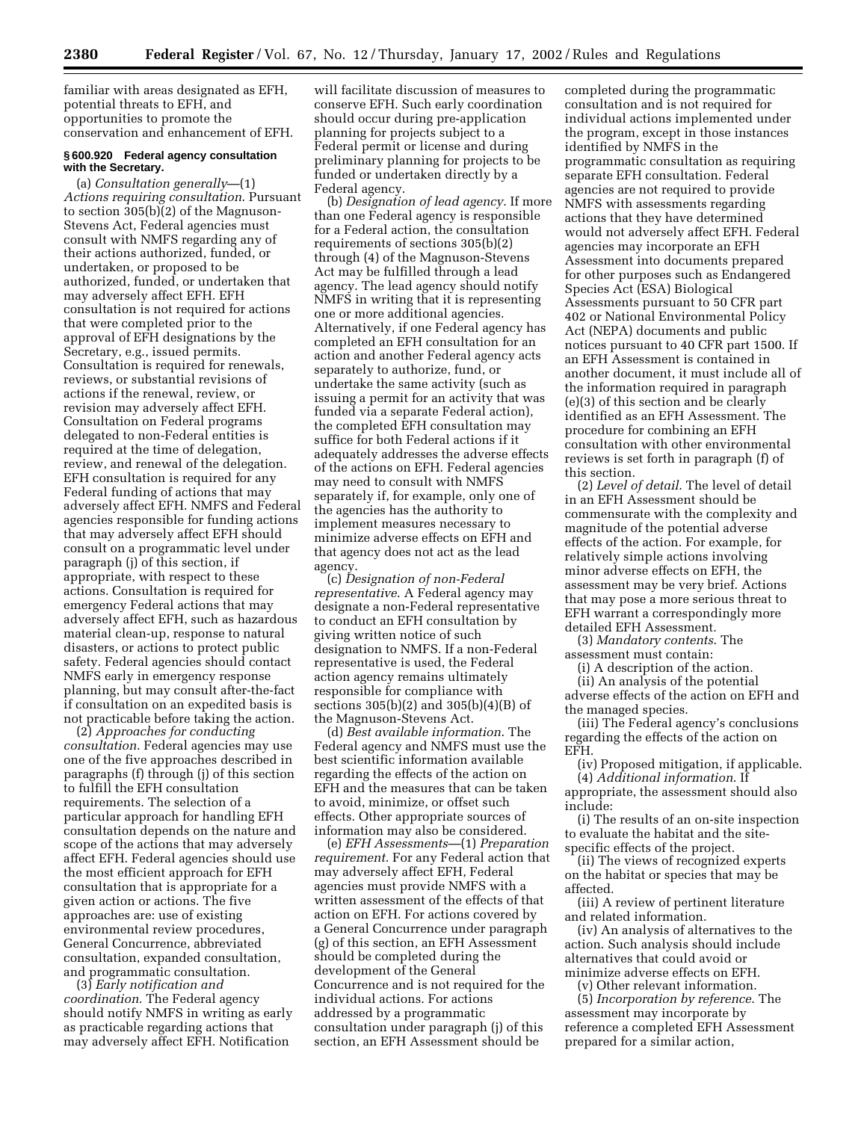familiar with areas designated as EFH, potential threats to EFH, and opportunities to promote the conservation and enhancement of EFH.

#### **§ 600.920 Federal agency consultation with the Secretary.**

(a) *Consultation generally*—(1) *Actions requiring consultation*. Pursuant to section 305(b)(2) of the Magnuson-Stevens Act, Federal agencies must consult with NMFS regarding any of their actions authorized, funded, or undertaken, or proposed to be authorized, funded, or undertaken that may adversely affect EFH. EFH consultation is not required for actions that were completed prior to the approval of EFH designations by the Secretary, e.g., issued permits. Consultation is required for renewals, reviews, or substantial revisions of actions if the renewal, review, or revision may adversely affect EFH. Consultation on Federal programs delegated to non-Federal entities is required at the time of delegation, review, and renewal of the delegation. EFH consultation is required for any Federal funding of actions that may adversely affect EFH. NMFS and Federal agencies responsible for funding actions that may adversely affect EFH should consult on a programmatic level under paragraph (j) of this section, if appropriate, with respect to these actions. Consultation is required for emergency Federal actions that may adversely affect EFH, such as hazardous material clean-up, response to natural disasters, or actions to protect public safety. Federal agencies should contact NMFS early in emergency response planning, but may consult after-the-fact if consultation on an expedited basis is not practicable before taking the action.

(2) *Approaches for conducting consultation*. Federal agencies may use one of the five approaches described in paragraphs (f) through (j) of this section to fulfill the EFH consultation requirements. The selection of a particular approach for handling EFH consultation depends on the nature and scope of the actions that may adversely affect EFH. Federal agencies should use the most efficient approach for EFH consultation that is appropriate for a given action or actions. The five approaches are: use of existing environmental review procedures, General Concurrence, abbreviated consultation, expanded consultation, and programmatic consultation.

(3) *Early notification and coordination*. The Federal agency should notify NMFS in writing as early as practicable regarding actions that may adversely affect EFH. Notification

will facilitate discussion of measures to conserve EFH. Such early coordination should occur during pre-application planning for projects subject to a Federal permit or license and during preliminary planning for projects to be funded or undertaken directly by a Federal agency.

(b) *Designation of lead agency*. If more than one Federal agency is responsible for a Federal action, the consultation requirements of sections 305(b)(2) through (4) of the Magnuson-Stevens Act may be fulfilled through a lead agency. The lead agency should notify NMFS in writing that it is representing one or more additional agencies. Alternatively, if one Federal agency has completed an EFH consultation for an action and another Federal agency acts separately to authorize, fund, or undertake the same activity (such as issuing a permit for an activity that was funded via a separate Federal action), the completed EFH consultation may suffice for both Federal actions if it adequately addresses the adverse effects of the actions on EFH. Federal agencies may need to consult with NMFS separately if, for example, only one of the agencies has the authority to implement measures necessary to minimize adverse effects on EFH and that agency does not act as the lead agency.

(c) *Designation of non-Federal representative*. A Federal agency may designate a non-Federal representative to conduct an EFH consultation by giving written notice of such designation to NMFS. If a non-Federal representative is used, the Federal action agency remains ultimately responsible for compliance with sections 305(b)(2) and 305(b)(4)(B) of the Magnuson-Stevens Act.

(d) *Best available information*. The Federal agency and NMFS must use the best scientific information available regarding the effects of the action on EFH and the measures that can be taken to avoid, minimize, or offset such effects. Other appropriate sources of information may also be considered.

(e) *EFH Assessments*—(1) *Preparation requirement*. For any Federal action that may adversely affect EFH, Federal agencies must provide NMFS with a written assessment of the effects of that action on EFH. For actions covered by a General Concurrence under paragraph (g) of this section, an EFH Assessment should be completed during the development of the General Concurrence and is not required for the individual actions. For actions addressed by a programmatic consultation under paragraph (j) of this section, an EFH Assessment should be

completed during the programmatic consultation and is not required for individual actions implemented under the program, except in those instances identified by NMFS in the programmatic consultation as requiring separate EFH consultation. Federal agencies are not required to provide NMFS with assessments regarding actions that they have determined would not adversely affect EFH. Federal agencies may incorporate an EFH Assessment into documents prepared for other purposes such as Endangered Species Act (ESA) Biological Assessments pursuant to 50 CFR part 402 or National Environmental Policy Act (NEPA) documents and public notices pursuant to 40 CFR part 1500. If an EFH Assessment is contained in another document, it must include all of the information required in paragraph (e)(3) of this section and be clearly identified as an EFH Assessment. The procedure for combining an EFH consultation with other environmental reviews is set forth in paragraph (f) of this section.

(2) *Level of detail*. The level of detail in an EFH Assessment should be commensurate with the complexity and magnitude of the potential adverse effects of the action. For example, for relatively simple actions involving minor adverse effects on EFH, the assessment may be very brief. Actions that may pose a more serious threat to EFH warrant a correspondingly more detailed EFH Assessment.

(3) *Mandatory contents*. The assessment must contain:

(i) A description of the action.

(ii) An analysis of the potential adverse effects of the action on EFH and the managed species.

(iii) The Federal agency's conclusions regarding the effects of the action on EFH.

(iv) Proposed mitigation, if applicable. (4) *Additional information*. If

appropriate, the assessment should also include:

(i) The results of an on-site inspection to evaluate the habitat and the sitespecific effects of the project.

(ii) The views of recognized experts on the habitat or species that may be affected.

(iii) A review of pertinent literature and related information.

(iv) An analysis of alternatives to the action. Such analysis should include alternatives that could avoid or minimize adverse effects on EFH.

(v) Other relevant information.

(5) *Incorporation by reference*. The assessment may incorporate by reference a completed EFH Assessment prepared for a similar action,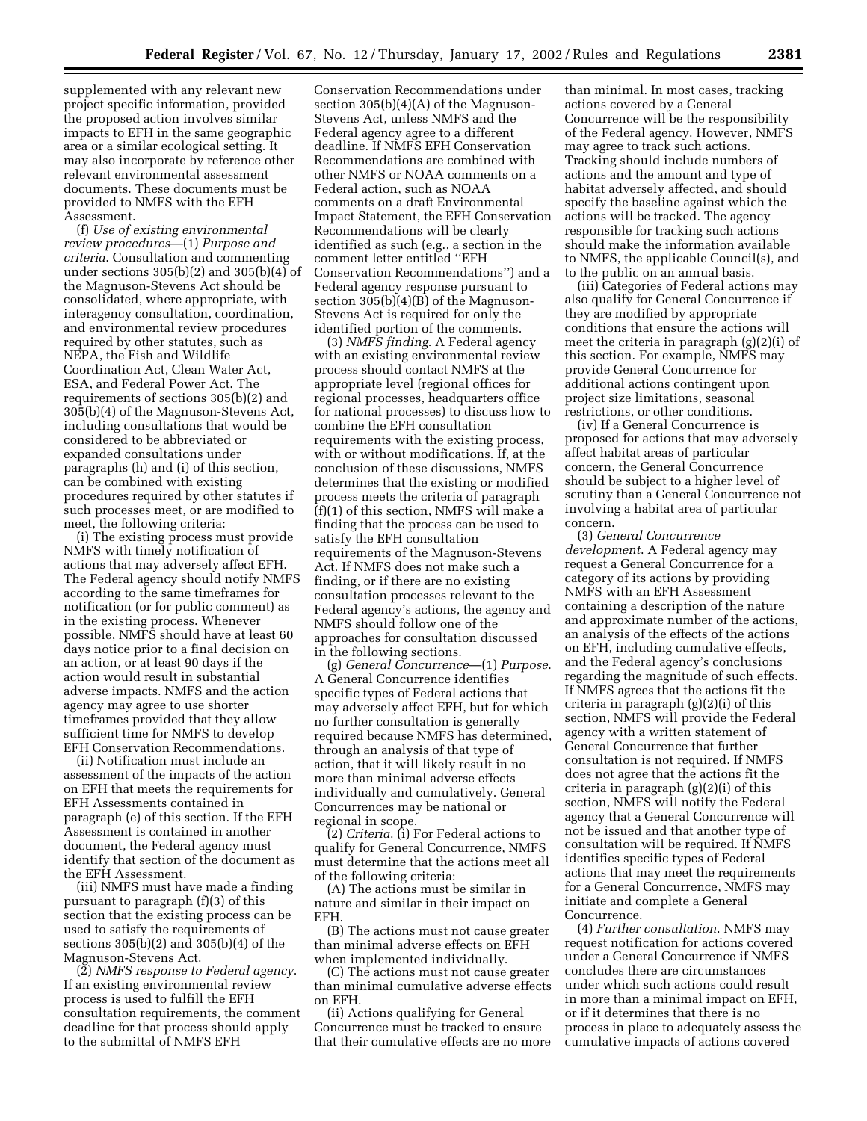supplemented with any relevant new project specific information, provided the proposed action involves similar impacts to EFH in the same geographic area or a similar ecological setting. It may also incorporate by reference other relevant environmental assessment documents. These documents must be provided to NMFS with the EFH Assessment.

(f) *Use of existing environmental review procedures*—(1) *Purpose and criteria*. Consultation and commenting under sections 305(b)(2) and 305(b)(4) of the Magnuson-Stevens Act should be consolidated, where appropriate, with interagency consultation, coordination, and environmental review procedures required by other statutes, such as NEPA, the Fish and Wildlife Coordination Act, Clean Water Act, ESA, and Federal Power Act. The requirements of sections 305(b)(2) and 305(b)(4) of the Magnuson-Stevens Act, including consultations that would be considered to be abbreviated or expanded consultations under paragraphs (h) and (i) of this section, can be combined with existing procedures required by other statutes if such processes meet, or are modified to meet, the following criteria:

(i) The existing process must provide NMFS with timely notification of actions that may adversely affect EFH. The Federal agency should notify NMFS according to the same timeframes for notification (or for public comment) as in the existing process. Whenever possible, NMFS should have at least 60 days notice prior to a final decision on an action, or at least 90 days if the action would result in substantial adverse impacts. NMFS and the action agency may agree to use shorter timeframes provided that they allow sufficient time for NMFS to develop EFH Conservation Recommendations.

(ii) Notification must include an assessment of the impacts of the action on EFH that meets the requirements for EFH Assessments contained in paragraph (e) of this section. If the EFH Assessment is contained in another document, the Federal agency must identify that section of the document as the EFH Assessment.

(iii) NMFS must have made a finding pursuant to paragraph (f)(3) of this section that the existing process can be used to satisfy the requirements of sections 305(b)(2) and 305(b)(4) of the Magnuson-Stevens Act.

(2) *NMFS response to Federal agency*. If an existing environmental review process is used to fulfill the EFH consultation requirements, the comment deadline for that process should apply to the submittal of NMFS EFH

Conservation Recommendations under section 305(b)(4)(A) of the Magnuson-Stevens Act, unless NMFS and the Federal agency agree to a different deadline. If NMFS EFH Conservation Recommendations are combined with other NMFS or NOAA comments on a Federal action, such as NOAA comments on a draft Environmental Impact Statement, the EFH Conservation Recommendations will be clearly identified as such (e.g., a section in the comment letter entitled ''EFH Conservation Recommendations'') and a Federal agency response pursuant to section 305(b)(4)(B) of the Magnuson-Stevens Act is required for only the identified portion of the comments.

(3) *NMFS finding*. A Federal agency with an existing environmental review process should contact NMFS at the appropriate level (regional offices for regional processes, headquarters office for national processes) to discuss how to combine the EFH consultation requirements with the existing process, with or without modifications. If, at the conclusion of these discussions, NMFS determines that the existing or modified process meets the criteria of paragraph (f)(1) of this section, NMFS will make a finding that the process can be used to satisfy the EFH consultation requirements of the Magnuson-Stevens Act. If NMFS does not make such a finding, or if there are no existing consultation processes relevant to the Federal agency's actions, the agency and NMFS should follow one of the approaches for consultation discussed in the following sections.

(g) *General Concurrence*—(1) *Purpose*. A General Concurrence identifies specific types of Federal actions that may adversely affect EFH, but for which no further consultation is generally required because NMFS has determined, through an analysis of that type of action, that it will likely result in no more than minimal adverse effects individually and cumulatively. General Concurrences may be national or regional in scope.

(2) *Criteria*. (i) For Federal actions to qualify for General Concurrence, NMFS must determine that the actions meet all of the following criteria:

(A) The actions must be similar in nature and similar in their impact on EFH.

(B) The actions must not cause greater than minimal adverse effects on EFH when implemented individually.

(C) The actions must not cause greater than minimal cumulative adverse effects on EFH.

(ii) Actions qualifying for General Concurrence must be tracked to ensure that their cumulative effects are no more

than minimal. In most cases, tracking actions covered by a General Concurrence will be the responsibility of the Federal agency. However, NMFS may agree to track such actions. Tracking should include numbers of actions and the amount and type of habitat adversely affected, and should specify the baseline against which the actions will be tracked. The agency responsible for tracking such actions should make the information available to NMFS, the applicable Council(s), and to the public on an annual basis.

(iii) Categories of Federal actions may also qualify for General Concurrence if they are modified by appropriate conditions that ensure the actions will meet the criteria in paragraph (g)(2)(i) of this section. For example, NMFS may provide General Concurrence for additional actions contingent upon project size limitations, seasonal restrictions, or other conditions.

(iv) If a General Concurrence is proposed for actions that may adversely affect habitat areas of particular concern, the General Concurrence should be subject to a higher level of scrutiny than a General Concurrence not involving a habitat area of particular concern.

(3) *General Concurrence development*. A Federal agency may request a General Concurrence for a category of its actions by providing NMFS with an EFH Assessment containing a description of the nature and approximate number of the actions, an analysis of the effects of the actions on EFH, including cumulative effects, and the Federal agency's conclusions regarding the magnitude of such effects. If NMFS agrees that the actions fit the criteria in paragraph (g)(2)(i) of this section, NMFS will provide the Federal agency with a written statement of General Concurrence that further consultation is not required. If NMFS does not agree that the actions fit the criteria in paragraph (g)(2)(i) of this section, NMFS will notify the Federal agency that a General Concurrence will not be issued and that another type of consultation will be required. If NMFS identifies specific types of Federal actions that may meet the requirements for a General Concurrence, NMFS may initiate and complete a General Concurrence.

(4) *Further consultation*. NMFS may request notification for actions covered under a General Concurrence if NMFS concludes there are circumstances under which such actions could result in more than a minimal impact on EFH, or if it determines that there is no process in place to adequately assess the cumulative impacts of actions covered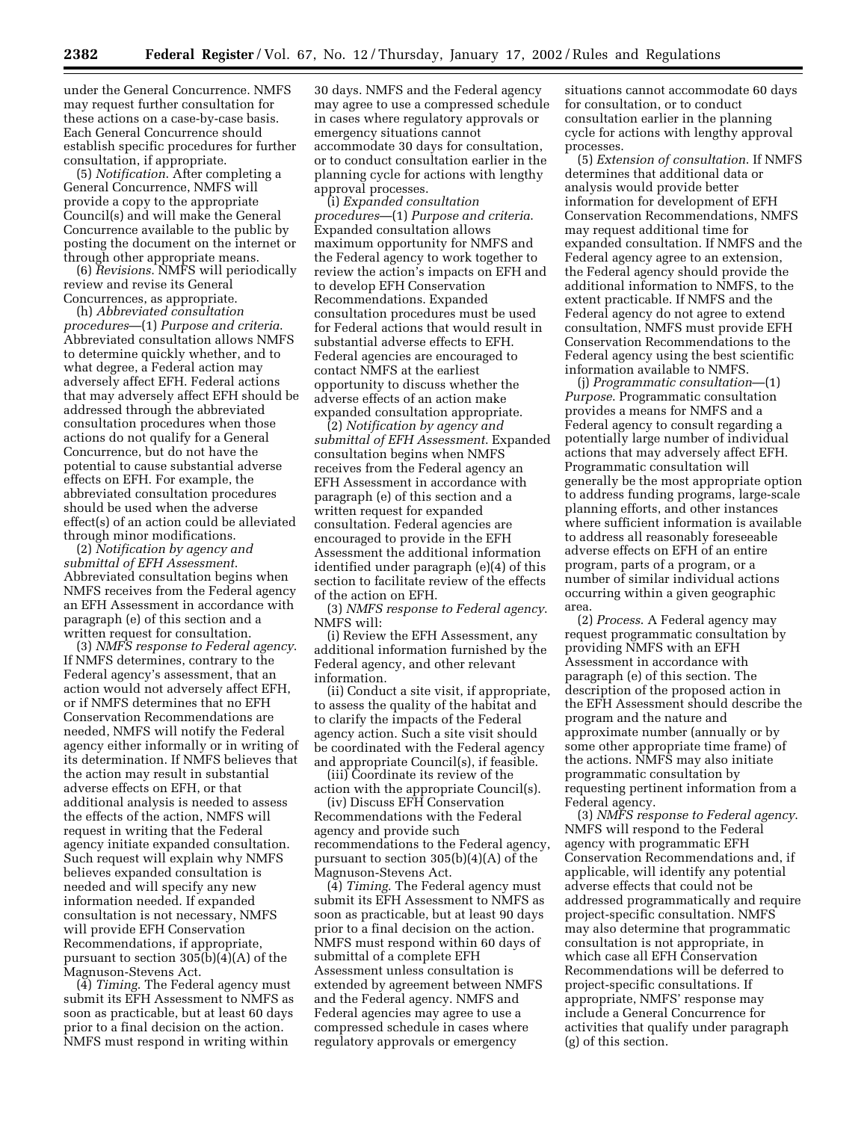under the General Concurrence. NMFS may request further consultation for these actions on a case-by-case basis. Each General Concurrence should establish specific procedures for further consultation, if appropriate.

(5) *Notification*. After completing a General Concurrence, NMFS will provide a copy to the appropriate Council(s) and will make the General Concurrence available to the public by posting the document on the internet or through other appropriate means.

(6) *Revisions*. NMFS will periodically review and revise its General Concurrences, as appropriate.

(h) *Abbreviated consultation procedures*—(1) *Purpose and criteria*. Abbreviated consultation allows NMFS to determine quickly whether, and to what degree, a Federal action may adversely affect EFH. Federal actions that may adversely affect EFH should be addressed through the abbreviated consultation procedures when those actions do not qualify for a General Concurrence, but do not have the potential to cause substantial adverse effects on EFH. For example, the abbreviated consultation procedures should be used when the adverse effect(s) of an action could be alleviated through minor modifications.

(2) *Notification by agency and submittal of EFH Assessment*. Abbreviated consultation begins when NMFS receives from the Federal agency an EFH Assessment in accordance with paragraph (e) of this section and a written request for consultation.

(3) *NMFS response to Federal agency*. If NMFS determines, contrary to the Federal agency's assessment, that an action would not adversely affect EFH, or if NMFS determines that no EFH Conservation Recommendations are needed, NMFS will notify the Federal agency either informally or in writing of its determination. If NMFS believes that the action may result in substantial adverse effects on EFH, or that additional analysis is needed to assess the effects of the action, NMFS will request in writing that the Federal agency initiate expanded consultation. Such request will explain why NMFS believes expanded consultation is needed and will specify any new information needed. If expanded consultation is not necessary, NMFS will provide EFH Conservation Recommendations, if appropriate, pursuant to section 305(b)(4)(A) of the Magnuson-Stevens Act.

(4) *Timing*. The Federal agency must submit its EFH Assessment to NMFS as soon as practicable, but at least 60 days prior to a final decision on the action. NMFS must respond in writing within

30 days. NMFS and the Federal agency may agree to use a compressed schedule in cases where regulatory approvals or emergency situations cannot accommodate 30 days for consultation, or to conduct consultation earlier in the planning cycle for actions with lengthy approval processes.

(i) *Expanded consultation procedures*—(1) *Purpose and criteria*. Expanded consultation allows maximum opportunity for NMFS and the Federal agency to work together to review the action's impacts on EFH and to develop EFH Conservation Recommendations. Expanded consultation procedures must be used for Federal actions that would result in substantial adverse effects to EFH. Federal agencies are encouraged to contact NMFS at the earliest opportunity to discuss whether the adverse effects of an action make expanded consultation appropriate.

(2) *Notification by agency and submittal of EFH Assessment*. Expanded consultation begins when NMFS receives from the Federal agency an EFH Assessment in accordance with paragraph (e) of this section and a written request for expanded consultation. Federal agencies are encouraged to provide in the EFH Assessment the additional information identified under paragraph (e)(4) of this section to facilitate review of the effects of the action on EFH.

(3) *NMFS response to Federal agency*. NMFS will:

(i) Review the EFH Assessment, any additional information furnished by the Federal agency, and other relevant information.

(ii) Conduct a site visit, if appropriate, to assess the quality of the habitat and to clarify the impacts of the Federal agency action. Such a site visit should be coordinated with the Federal agency and appropriate Council(s), if feasible.

(iii) Coordinate its review of the action with the appropriate Council(s).

(iv) Discuss EFH Conservation Recommendations with the Federal agency and provide such recommendations to the Federal agency, pursuant to section 305(b)(4)(A) of the Magnuson-Stevens Act.

(4) *Timing*. The Federal agency must submit its EFH Assessment to NMFS as soon as practicable, but at least 90 days prior to a final decision on the action. NMFS must respond within 60 days of submittal of a complete EFH Assessment unless consultation is extended by agreement between NMFS and the Federal agency. NMFS and Federal agencies may agree to use a compressed schedule in cases where regulatory approvals or emergency

situations cannot accommodate 60 days for consultation, or to conduct consultation earlier in the planning cycle for actions with lengthy approval processes.

(5) *Extension of consultation*. If NMFS determines that additional data or analysis would provide better information for development of EFH Conservation Recommendations, NMFS may request additional time for expanded consultation. If NMFS and the Federal agency agree to an extension, the Federal agency should provide the additional information to NMFS, to the extent practicable. If NMFS and the Federal agency do not agree to extend consultation, NMFS must provide EFH Conservation Recommendations to the Federal agency using the best scientific information available to NMFS.

(j) *Programmatic consultation*—(1) *Purpose*. Programmatic consultation provides a means for NMFS and a Federal agency to consult regarding a potentially large number of individual actions that may adversely affect EFH. Programmatic consultation will generally be the most appropriate option to address funding programs, large-scale planning efforts, and other instances where sufficient information is available to address all reasonably foreseeable adverse effects on EFH of an entire program, parts of a program, or a number of similar individual actions occurring within a given geographic area.

(2) *Process*. A Federal agency may request programmatic consultation by providing NMFS with an EFH Assessment in accordance with paragraph (e) of this section. The description of the proposed action in the EFH Assessment should describe the program and the nature and approximate number (annually or by some other appropriate time frame) of the actions. NMFS may also initiate programmatic consultation by requesting pertinent information from a Federal agency.

(3) *NMFS response to Federal agency*. NMFS will respond to the Federal agency with programmatic EFH Conservation Recommendations and, if applicable, will identify any potential adverse effects that could not be addressed programmatically and require project-specific consultation. NMFS may also determine that programmatic consultation is not appropriate, in which case all EFH Conservation Recommendations will be deferred to project-specific consultations. If appropriate, NMFS' response may include a General Concurrence for activities that qualify under paragraph (g) of this section.